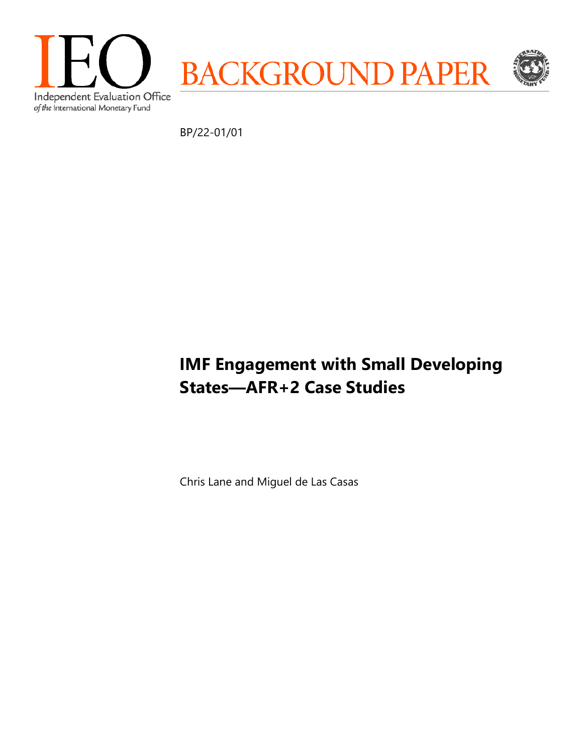

BP/22-01/01

# **IMF Engagement with Small Developing States—AFR+2 Case Studies**

Chris Lane and Miguel de Las Casas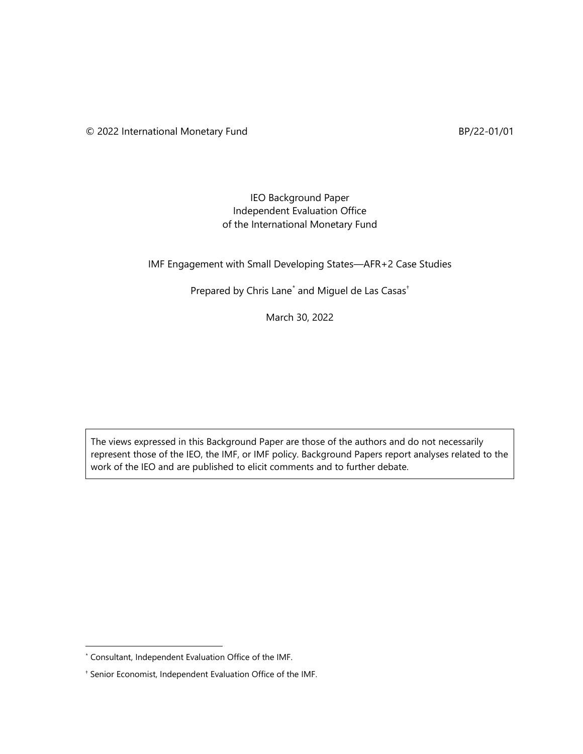## IEO Background Paper Independent Evaluation Office of the International Monetary Fund

## IMF Engagement with Small Developing States—AFR+2 Case Studies

## Prepared by Chris Lane<sup>[\\*](#page-1-0)</sup> and Miguel de Las Casas<sup>+</sup>

March 30, 2022

The views expressed in this Background Paper are those of the authors and do not necessarily represent those of the IEO, the IMF, or IMF policy. Background Papers report analyses related to the work of the IEO and are published to elicit comments and to further debate.

<span id="page-1-0"></span><sup>\*</sup> Consultant, Independent Evaluation Office of the IMF.

<span id="page-1-1"></span><sup>†</sup> Senior Economist, Independent Evaluation Office of the IMF.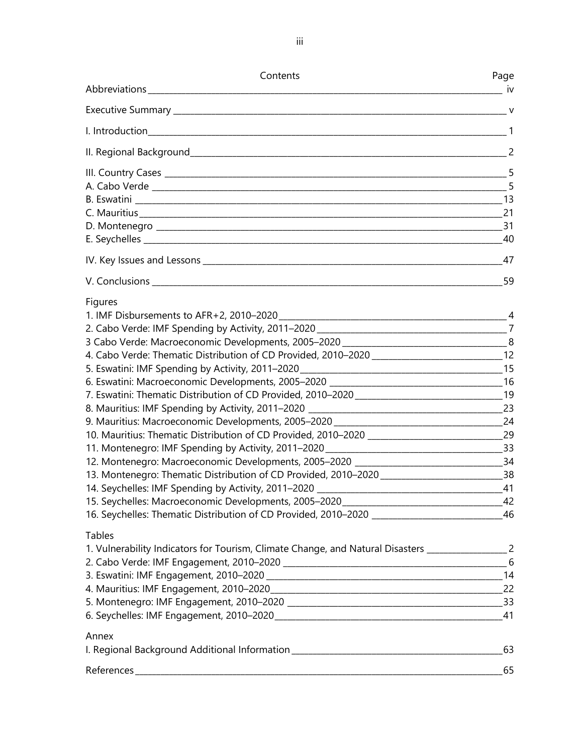| Contents                                                                                                                                                                                                                                                                                                                                                                                                      | Page             |
|---------------------------------------------------------------------------------------------------------------------------------------------------------------------------------------------------------------------------------------------------------------------------------------------------------------------------------------------------------------------------------------------------------------|------------------|
| Abbreviations ________________________                                                                                                                                                                                                                                                                                                                                                                        | iv               |
|                                                                                                                                                                                                                                                                                                                                                                                                               |                  |
|                                                                                                                                                                                                                                                                                                                                                                                                               |                  |
|                                                                                                                                                                                                                                                                                                                                                                                                               |                  |
|                                                                                                                                                                                                                                                                                                                                                                                                               |                  |
|                                                                                                                                                                                                                                                                                                                                                                                                               |                  |
|                                                                                                                                                                                                                                                                                                                                                                                                               |                  |
|                                                                                                                                                                                                                                                                                                                                                                                                               | $\frac{1}{2}$ 59 |
| Figures<br>4. Cabo Verde: Thematic Distribution of CD Provided, 2010-2020 _______________________________12<br>10. Mauritius: Thematic Distribution of CD Provided, 2010-2020 _______________________________29<br>12. Montenegro: Macroeconomic Developments, 2005-2020 _________________________________34<br>13. Montenegro: Thematic Distribution of CD Provided, 2010-2020 ___________________________38 |                  |
|                                                                                                                                                                                                                                                                                                                                                                                                               | 46               |
| <b>Tables</b><br>1. Vulnerability Indicators for Tourism, Climate Change, and Natural Disasters _____________________2                                                                                                                                                                                                                                                                                        |                  |
|                                                                                                                                                                                                                                                                                                                                                                                                               |                  |
|                                                                                                                                                                                                                                                                                                                                                                                                               |                  |
| Annex                                                                                                                                                                                                                                                                                                                                                                                                         |                  |
| References_                                                                                                                                                                                                                                                                                                                                                                                                   | 65               |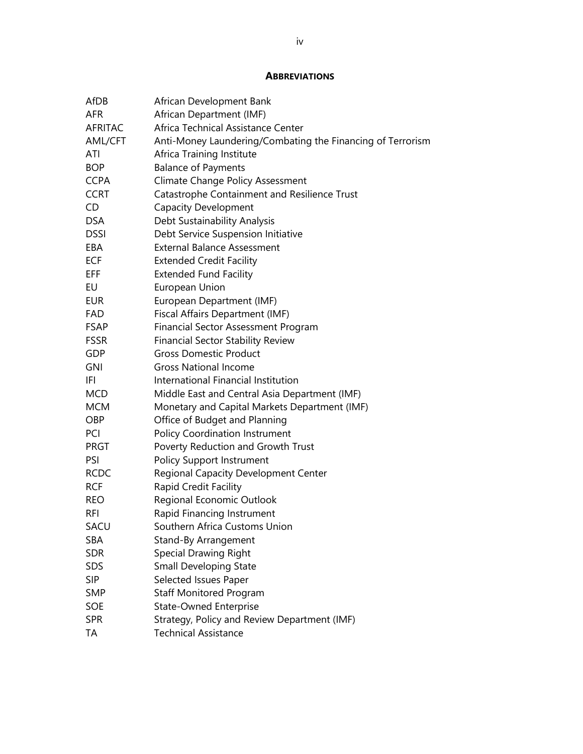#### **ABBREVIATIONS**

| AfDB           | African Development Bank                                   |
|----------------|------------------------------------------------------------|
| <b>AFR</b>     | African Department (IMF)                                   |
| <b>AFRITAC</b> | Africa Technical Assistance Center                         |
| AML/CFT        | Anti-Money Laundering/Combating the Financing of Terrorism |
| ATI            | Africa Training Institute                                  |
| <b>BOP</b>     | <b>Balance of Payments</b>                                 |
| <b>CCPA</b>    | <b>Climate Change Policy Assessment</b>                    |
| <b>CCRT</b>    | Catastrophe Containment and Resilience Trust               |
| CD             | <b>Capacity Development</b>                                |
| <b>DSA</b>     | Debt Sustainability Analysis                               |
| <b>DSSI</b>    | Debt Service Suspension Initiative                         |
| EBA            | <b>External Balance Assessment</b>                         |
| <b>ECF</b>     | <b>Extended Credit Facility</b>                            |
| EFF            | <b>Extended Fund Facility</b>                              |
| EU             | European Union                                             |
| <b>EUR</b>     | European Department (IMF)                                  |
| FAD            | Fiscal Affairs Department (IMF)                            |
| FSAP           | <b>Financial Sector Assessment Program</b>                 |
| <b>FSSR</b>    | <b>Financial Sector Stability Review</b>                   |
| <b>GDP</b>     | <b>Gross Domestic Product</b>                              |
| <b>GNI</b>     | <b>Gross National Income</b>                               |
| IFI            | International Financial Institution                        |
| MCD            | Middle East and Central Asia Department (IMF)              |
| <b>MCM</b>     | Monetary and Capital Markets Department (IMF)              |
| OBP            | Office of Budget and Planning                              |
| PCI            | <b>Policy Coordination Instrument</b>                      |
| <b>PRGT</b>    | Poverty Reduction and Growth Trust                         |
| PSI            | <b>Policy Support Instrument</b>                           |
| <b>RCDC</b>    | Regional Capacity Development Center                       |
| <b>RCF</b>     | Rapid Credit Facility                                      |
| REO            | Regional Economic Outlook                                  |
| RFI            | Rapid Financing Instrument                                 |
| SACU           | Southern Africa Customs Union                              |
| SBA            | Stand-By Arrangement                                       |
| <b>SDR</b>     | <b>Special Drawing Right</b>                               |
| <b>SDS</b>     | <b>Small Developing State</b>                              |
| <b>SIP</b>     | Selected Issues Paper                                      |
| <b>SMP</b>     | <b>Staff Monitored Program</b>                             |
| SOE            | State-Owned Enterprise                                     |
| <b>SPR</b>     | Strategy, Policy and Review Department (IMF)               |
| TA             | <b>Technical Assistance</b>                                |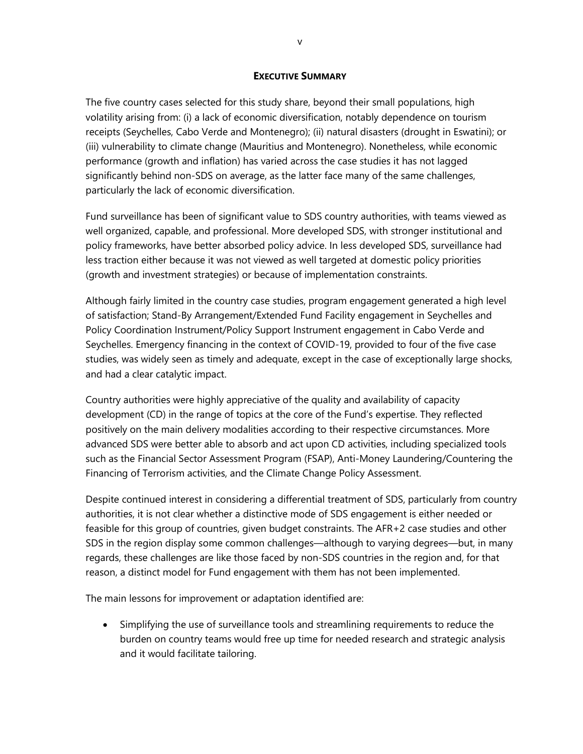#### **EXECUTIVE SUMMARY**

The five country cases selected for this study share, beyond their small populations, high volatility arising from: (i) a lack of economic diversification, notably dependence on tourism receipts (Seychelles, Cabo Verde and Montenegro); (ii) natural disasters (drought in Eswatini); or (iii) vulnerability to climate change (Mauritius and Montenegro). Nonetheless, while economic performance (growth and inflation) has varied across the case studies it has not lagged significantly behind non-SDS on average, as the latter face many of the same challenges, particularly the lack of economic diversification.

Fund surveillance has been of significant value to SDS country authorities, with teams viewed as well organized, capable, and professional. More developed SDS, with stronger institutional and policy frameworks, have better absorbed policy advice. In less developed SDS, surveillance had less traction either because it was not viewed as well targeted at domestic policy priorities (growth and investment strategies) or because of implementation constraints.

Although fairly limited in the country case studies, program engagement generated a high level of satisfaction; Stand-By Arrangement/Extended Fund Facility engagement in Seychelles and Policy Coordination Instrument/Policy Support Instrument engagement in Cabo Verde and Seychelles. Emergency financing in the context of COVID-19, provided to four of the five case studies, was widely seen as timely and adequate, except in the case of exceptionally large shocks, and had a clear catalytic impact.

Country authorities were highly appreciative of the quality and availability of capacity development (CD) in the range of topics at the core of the Fund's expertise. They reflected positively on the main delivery modalities according to their respective circumstances. More advanced SDS were better able to absorb and act upon CD activities, including specialized tools such as the Financial Sector Assessment Program (FSAP), Anti-Money Laundering/Countering the Financing of Terrorism activities, and the Climate Change Policy Assessment.

Despite continued interest in considering a differential treatment of SDS, particularly from country authorities, it is not clear whether a distinctive mode of SDS engagement is either needed or feasible for this group of countries, given budget constraints. The AFR+2 case studies and other SDS in the region display some common challenges—although to varying degrees—but, in many regards, these challenges are like those faced by non-SDS countries in the region and, for that reason, a distinct model for Fund engagement with them has not been implemented.

The main lessons for improvement or adaptation identified are:

• Simplifying the use of surveillance tools and streamlining requirements to reduce the burden on country teams would free up time for needed research and strategic analysis and it would facilitate tailoring.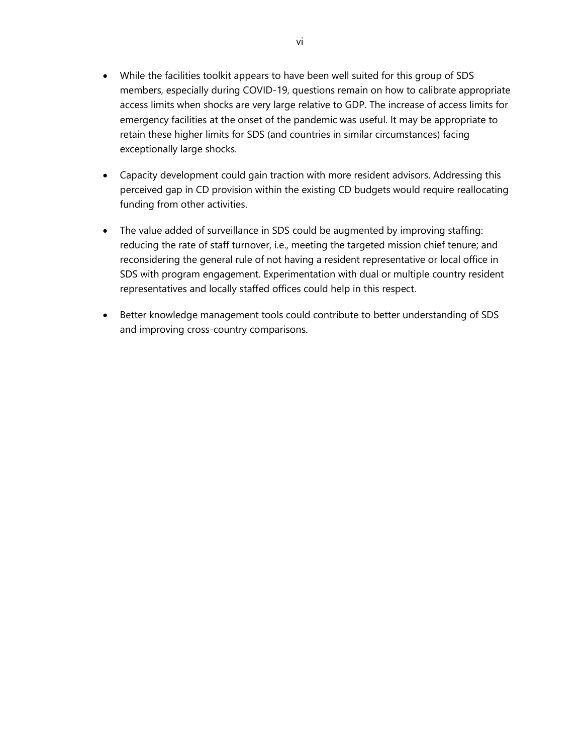- While the facilities toolkit appears to have been well suited for this group of SDS members, especially during COVID-19, questions remain on how to calibrate appropriate access limits when shocks are very large relative to GDP. The increase of access limits for emergency facilities at the onset of the pandemic was useful. It may be appropriate to retain these higher limits for SDS (and countries in similar circumstances) facing exceptionally large shocks.
- Capacity development could gain traction with more resident advisors. Addressing this perceived gap in CD provision within the existing CD budgets would require reallocating funding from other activities.
- The value added of surveillance in SDS could be augmented by improving staffing: reducing the rate of staff turnover, i.e., meeting the targeted mission chief tenure; and reconsidering the general rule of not having a resident representative or local office in SDS with program engagement. Experimentation with dual or multiple country resident representatives and locally staffed offices could help in this respect.
- Better knowledge management tools could contribute to better understanding of SDS and improving cross-country comparisons.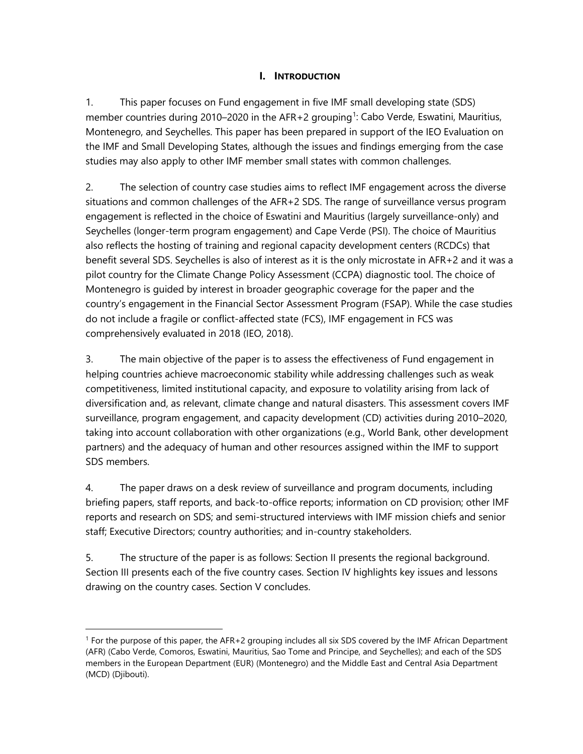## **I. INTRODUCTION**

1. This paper focuses on Fund engagement in five IMF small developing state (SDS) member countries during 20[1](#page-6-0)0–2020 in the AFR+2 grouping<sup>1</sup>: Cabo Verde, Eswatini, Mauritius, Montenegro, and Seychelles. This paper has been prepared in support of the IEO Evaluation on the IMF and Small Developing States, although the issues and findings emerging from the case studies may also apply to other IMF member small states with common challenges.

2. The selection of country case studies aims to reflect IMF engagement across the diverse situations and common challenges of the AFR+2 SDS. The range of surveillance versus program engagement is reflected in the choice of Eswatini and Mauritius (largely surveillance-only) and Seychelles (longer-term program engagement) and Cape Verde (PSI). The choice of Mauritius also reflects the hosting of training and regional capacity development centers (RCDCs) that benefit several SDS. Seychelles is also of interest as it is the only microstate in AFR+2 and it was a pilot country for the Climate Change Policy Assessment (CCPA) diagnostic tool. The choice of Montenegro is guided by interest in broader geographic coverage for the paper and the country's engagement in the Financial Sector Assessment Program (FSAP). While the case studies do not include a fragile or conflict-affected state (FCS), IMF engagement in FCS was comprehensively evaluated in 2018 (IEO, 2018).

3. The main objective of the paper is to assess the effectiveness of Fund engagement in helping countries achieve macroeconomic stability while addressing challenges such as weak competitiveness, limited institutional capacity, and exposure to volatility arising from lack of diversification and, as relevant, climate change and natural disasters. This assessment covers IMF surveillance, program engagement, and capacity development (CD) activities during 2010–2020, taking into account collaboration with other organizations (e.g., World Bank, other development partners) and the adequacy of human and other resources assigned within the IMF to support SDS members.

4. The paper draws on a desk review of surveillance and program documents, including briefing papers, staff reports, and back-to-office reports; information on CD provision; other IMF reports and research on SDS; and semi-structured interviews with IMF mission chiefs and senior staff; Executive Directors; country authorities; and in-country stakeholders.

5. The structure of the paper is as follows: Section II presents the regional background. Section III presents each of the five country cases. Section IV highlights key issues and lessons drawing on the country cases. Section V concludes.

<span id="page-6-0"></span><sup>1</sup> For the purpose of this paper, the AFR+2 grouping includes all six SDS covered by the IMF African Department (AFR) (Cabo Verde, Comoros, Eswatini, Mauritius, Sao Tome and Principe, and Seychelles); and each of the SDS members in the European Department (EUR) (Montenegro) and the Middle East and Central Asia Department (MCD) (Djibouti).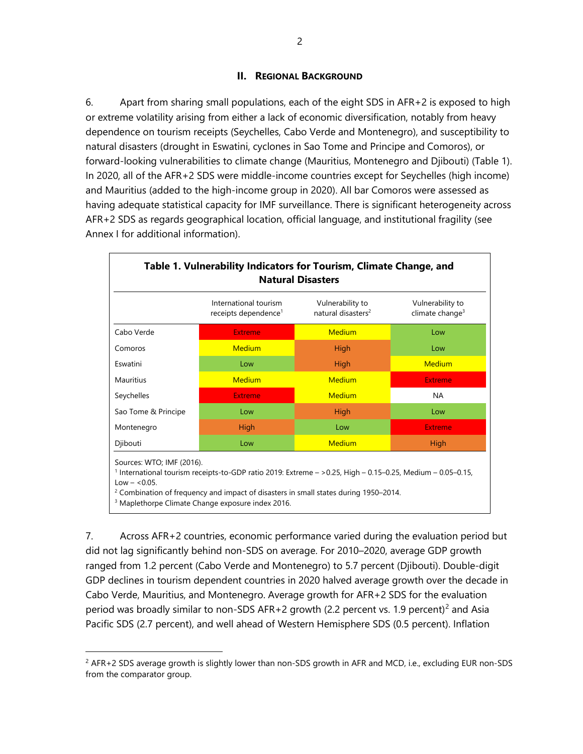#### **II. REGIONAL BACKGROUND**

6. Apart from sharing small populations, each of the eight SDS in AFR+2 is exposed to high or extreme volatility arising from either a lack of economic diversification, notably from heavy dependence on tourism receipts (Seychelles, Cabo Verde and Montenegro), and susceptibility to natural disasters (drought in Eswatini, cyclones in Sao Tome and Principe and Comoros), or forward-looking vulnerabilities to climate change (Mauritius, Montenegro and Djibouti) (Table 1). In 2020, all of the AFR+2 SDS were middle-income countries except for Seychelles (high income) and Mauritius (added to the high-income group in 2020). All bar Comoros were assessed as having adequate statistical capacity for IMF surveillance. There is significant heterogeneity across AFR+2 SDS as regards geographical location, official language, and institutional fragility (see Annex I for additional information).

|                     | International tourism<br>receipts dependence <sup>1</sup> | Vulnerability to<br>natural disasters <sup>2</sup> | Vulnerability to<br>climate change <sup>3</sup> |
|---------------------|-----------------------------------------------------------|----------------------------------------------------|-------------------------------------------------|
| Cabo Verde          | <b>Extreme</b>                                            | <b>Medium</b>                                      | Low                                             |
| Comoros             | <b>Medium</b>                                             | High                                               | Low                                             |
| Eswatini            | Low                                                       | High                                               | <b>Medium</b>                                   |
| Mauritius           | <b>Medium</b>                                             | <b>Medium</b>                                      | <b>Extreme</b>                                  |
| Seychelles          | <b>Extreme</b>                                            | <b>Medium</b>                                      | NA                                              |
| Sao Tome & Principe | Low                                                       | <b>High</b>                                        | Low                                             |
| Montenegro          | <b>High</b>                                               | Low                                                | <b>Extreme</b>                                  |
| Djibouti            | Low                                                       | <b>Medium</b>                                      | <b>High</b>                                     |

<sup>3</sup> Maplethorpe Climate Change exposure index 2016.

7. Across AFR+2 countries, economic performance varied during the evaluation period but did not lag significantly behind non-SDS on average. For 2010–2020, average GDP growth ranged from 1.2 percent (Cabo Verde and Montenegro) to 5.7 percent (Djibouti). Double-digit GDP declines in tourism dependent countries in 2020 halved average growth over the decade in Cabo Verde, Mauritius, and Montenegro. Average growth for AFR+2 SDS for the evaluation period was broadly similar to non-SDS AFR+[2](#page-7-0) growth (2.2 percent vs. 1.9 percent)<sup>2</sup> and Asia Pacific SDS (2.7 percent), and well ahead of Western Hemisphere SDS (0.5 percent). Inflation

<span id="page-7-0"></span> $2$  AFR+2 SDS average growth is slightly lower than non-SDS growth in AFR and MCD, i.e., excluding EUR non-SDS from the comparator group.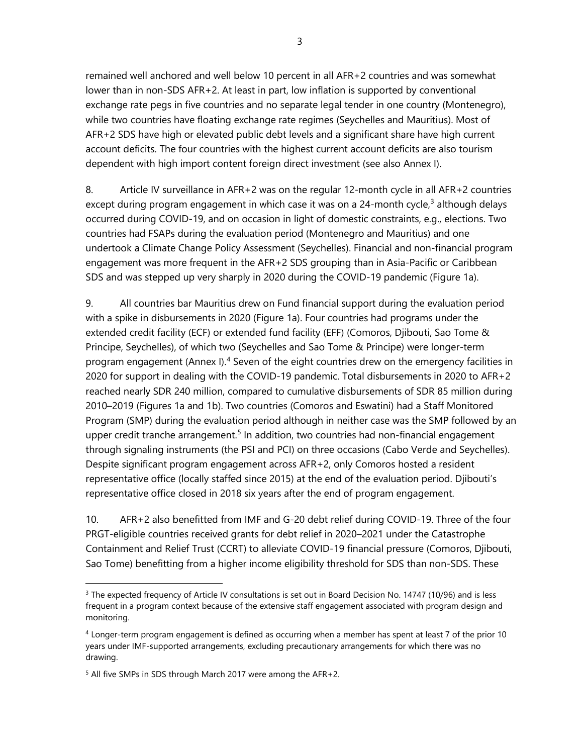remained well anchored and well below 10 percent in all AFR+2 countries and was somewhat lower than in non-SDS AFR+2. At least in part, low inflation is supported by conventional exchange rate pegs in five countries and no separate legal tender in one country (Montenegro), while two countries have floating exchange rate regimes (Seychelles and Mauritius). Most of AFR+2 SDS have high or elevated public debt levels and a significant share have high current account deficits. The four countries with the highest current account deficits are also tourism dependent with high import content foreign direct investment (see also Annex I).

8. Article IV surveillance in AFR+2 was on the regular 12-month cycle in all AFR+2 countries except during program engagement in which case it was on a 24-month cycle, $3$  although delays occurred during COVID-19, and on occasion in light of domestic constraints, e.g., elections. Two countries had FSAPs during the evaluation period (Montenegro and Mauritius) and one undertook a Climate Change Policy Assessment (Seychelles). Financial and non-financial program engagement was more frequent in the AFR+2 SDS grouping than in Asia-Pacific or Caribbean SDS and was stepped up very sharply in 2020 during the COVID-19 pandemic (Figure 1a).

9. All countries bar Mauritius drew on Fund financial support during the evaluation period with a spike in disbursements in 2020 (Figure 1a). Four countries had programs under the extended credit facility (ECF) or extended fund facility (EFF) (Comoros, Djibouti, Sao Tome & Principe, Seychelles), of which two (Seychelles and Sao Tome & Principe) were longer-term program engagement (Annex I).<sup>[4](#page-8-1)</sup> Seven of the eight countries drew on the emergency facilities in 2020 for support in dealing with the COVID-19 pandemic. Total disbursements in 2020 to AFR+2 reached nearly SDR 240 million, compared to cumulative disbursements of SDR 85 million during 2010–2019 (Figures 1a and 1b). Two countries (Comoros and Eswatini) had a Staff Monitored Program (SMP) during the evaluation period although in neither case was the SMP followed by an upper credit tranche arrangement.<sup>[5](#page-8-2)</sup> In addition, two countries had non-financial engagement through signaling instruments (the PSI and PCI) on three occasions (Cabo Verde and Seychelles). Despite significant program engagement across AFR+2, only Comoros hosted a resident representative office (locally staffed since 2015) at the end of the evaluation period. Djibouti's representative office closed in 2018 six years after the end of program engagement.

10. AFR+2 also benefitted from IMF and G-20 debt relief during COVID-19. Three of the four PRGT-eligible countries received grants for debt relief in 2020–2021 under the Catastrophe Containment and Relief Trust (CCRT) to alleviate COVID-19 financial pressure (Comoros, Djibouti, Sao Tome) benefitting from a higher income eligibility threshold for SDS than non-SDS. These

<span id="page-8-0"></span> $3$  The expected frequency of Article IV consultations is set out in Board Decision No. 14747 (10/96) and is less frequent in a program context because of the extensive staff engagement associated with program design and monitoring.

<span id="page-8-1"></span> $4$  Longer-term program engagement is defined as occurring when a member has spent at least 7 of the prior 10 years under IMF-supported arrangements, excluding precautionary arrangements for which there was no drawing.

<span id="page-8-2"></span><sup>&</sup>lt;sup>5</sup> All five SMPs in SDS through March 2017 were among the AFR+2.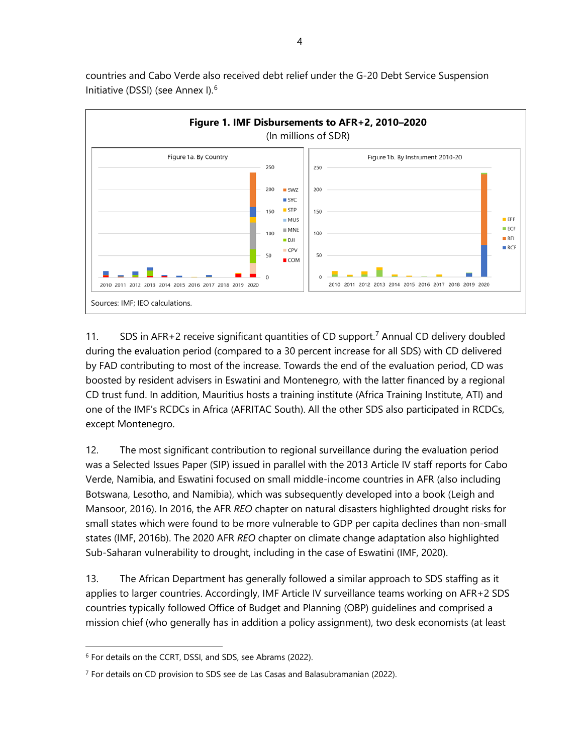

countries and Cabo Verde also received debt relief under the G-20 Debt Service Suspension Initiative (DSSI) (see Annex I).[6](#page-9-0)

11. SDS in AFR+2 receive significant quantities of CD support.<sup>[7](#page-9-1)</sup> Annual CD delivery doubled during the evaluation period (compared to a 30 percent increase for all SDS) with CD delivered by FAD contributing to most of the increase. Towards the end of the evaluation period, CD was boosted by resident advisers in Eswatini and Montenegro, with the latter financed by a regional CD trust fund. In addition, Mauritius hosts a training institute (Africa Training Institute, ATI) and one of the IMF's RCDCs in Africa (AFRITAC South). All the other SDS also participated in RCDCs, except Montenegro.

12. The most significant contribution to regional surveillance during the evaluation period was a Selected Issues Paper (SIP) issued in parallel with the 2013 Article IV staff reports for Cabo Verde, Namibia, and Eswatini focused on small middle-income countries in AFR (also including Botswana, Lesotho, and Namibia), which was subsequently developed into a book (Leigh and Mansoor, 2016). In 2016, the AFR *REO* chapter on natural disasters highlighted drought risks for small states which were found to be more vulnerable to GDP per capita declines than non-small states (IMF, 2016b). The 2020 AFR *REO* chapter on climate change adaptation also highlighted Sub-Saharan vulnerability to drought, including in the case of Eswatini (IMF, 2020).

13. The African Department has generally followed a similar approach to SDS staffing as it applies to larger countries. Accordingly, IMF Article IV surveillance teams working on AFR+2 SDS countries typically followed Office of Budget and Planning (OBP) guidelines and comprised a mission chief (who generally has in addition a policy assignment), two desk economists (at least

<span id="page-9-0"></span><sup>6</sup> For details on the CCRT, DSSI, and SDS, see Abrams (2022).

<span id="page-9-1"></span><sup>&</sup>lt;sup>7</sup> For details on CD provision to SDS see de Las Casas and Balasubramanian (2022).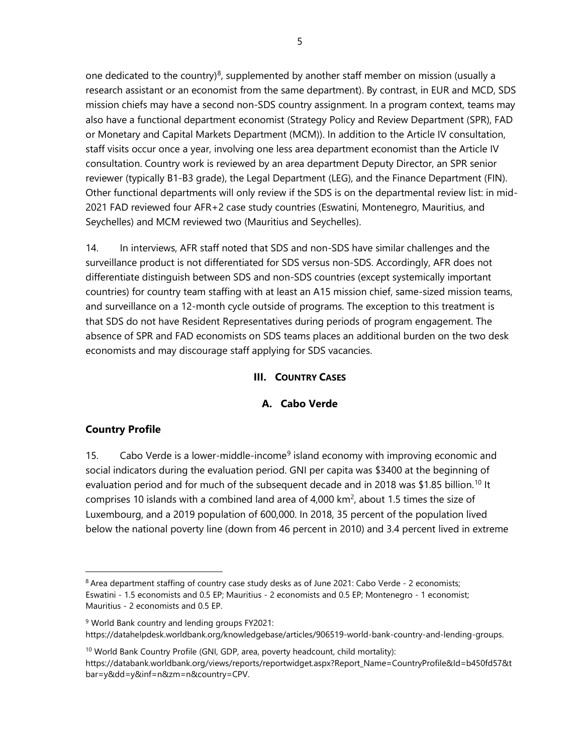one dedicated to the country)<sup>[8](#page-10-0)</sup>, supplemented by another staff member on mission (usually a research assistant or an economist from the same department). By contrast, in EUR and MCD, SDS mission chiefs may have a second non-SDS country assignment. In a program context, teams may also have a functional department economist (Strategy Policy and Review Department (SPR), FAD or Monetary and Capital Markets Department (MCM)). In addition to the Article IV consultation, staff visits occur once a year, involving one less area department economist than the Article IV consultation. Country work is reviewed by an area department Deputy Director, an SPR senior reviewer (typically B1-B3 grade), the Legal Department (LEG), and the Finance Department (FIN). Other functional departments will only review if the SDS is on the departmental review list: in mid-2021 FAD reviewed four AFR+2 case study countries (Eswatini, Montenegro, Mauritius, and Seychelles) and MCM reviewed two (Mauritius and Seychelles).

14. In interviews, AFR staff noted that SDS and non-SDS have similar challenges and the surveillance product is not differentiated for SDS versus non-SDS. Accordingly, AFR does not differentiate distinguish between SDS and non-SDS countries (except systemically important countries) for country team staffing with at least an A15 mission chief, same-sized mission teams, and surveillance on a 12-month cycle outside of programs. The exception to this treatment is that SDS do not have Resident Representatives during periods of program engagement. The absence of SPR and FAD economists on SDS teams places an additional burden on the two desk economists and may discourage staff applying for SDS vacancies.

#### **III. COUNTRY CASES**

#### **A. Cabo Verde**

# **Country Profile**

15. Cabo Verde is a lower-middle-income<sup>[9](#page-10-1)</sup> island economy with improving economic and social indicators during the evaluation period. GNI per capita was \$3400 at the beginning of evaluation period and for much of the subsequent decade and in 2018 was \$1.85 billion.<sup>[10](#page-10-2)</sup> It comprises 10 islands with a combined land area of 4,000  $km^2$ , about 1.5 times the size of Luxembourg, and a 2019 population of 600,000. In 2018, 35 percent of the population lived below the national poverty line (down from 46 percent in 2010) and 3.4 percent lived in extreme

<span id="page-10-0"></span><sup>&</sup>lt;sup>8</sup> Area department staffing of country case study desks as of June 2021: Cabo Verde - 2 economists; Eswatini - 1.5 economists and 0.5 EP; Mauritius - 2 economists and 0.5 EP; Montenegro - 1 economist; Mauritius - 2 economists and 0.5 EP.

<span id="page-10-1"></span><sup>9</sup> World Bank country and lending groups FY2021: [https://datahelpdesk.worldbank.org/knowledgebase/articles/906519-world-bank-country-and-lending-groups.](https://datahelpdesk.worldbank.org/knowledgebase/articles/906519-world-bank-country-and-lending-groups)

<span id="page-10-2"></span><sup>&</sup>lt;sup>10</sup> World Bank Country Profile (GNI, GDP, area, poverty headcount, child mortality): [https://databank.worldbank.org/views/reports/reportwidget.aspx?Report\\_Name=CountryProfile&Id=b450fd57&t](https://databank.worldbank.org/views/reports/reportwidget.aspx?Report_Name=CountryProfile&Id=b450fd57&tbar=y&dd=y&inf=n&zm=n&country=CPV) [bar=y&dd=y&inf=n&zm=n&country=CPV.](https://databank.worldbank.org/views/reports/reportwidget.aspx?Report_Name=CountryProfile&Id=b450fd57&tbar=y&dd=y&inf=n&zm=n&country=CPV)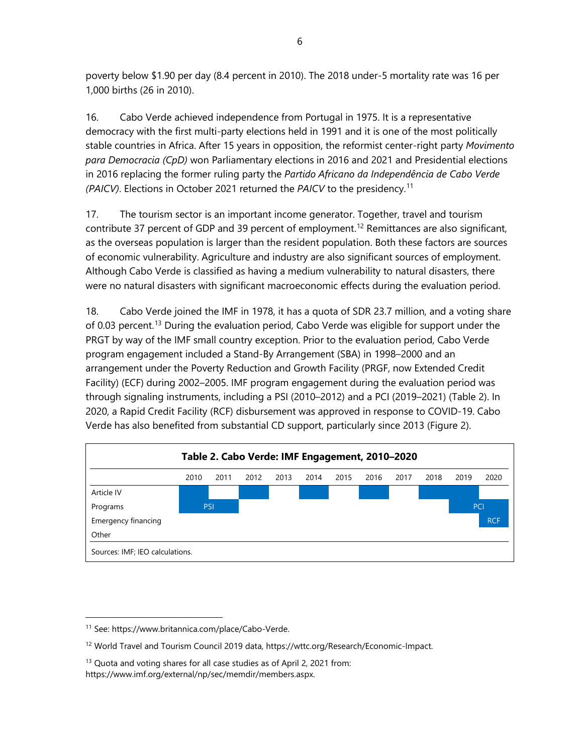poverty below \$1.90 per day (8.4 percent in 2010). The 2018 under-5 mortality rate was 16 per 1,000 births (26 in 2010).

16. Cabo Verde achieved independence from Portugal in 1975. It is a representative democracy with the first multi-party elections held in 1991 and it is one of the most politically stable countries in Africa. After 15 years in opposition, the reformist center-right party *Movimento para Democracia (CpD)* won Parliamentary elections in 2016 and 2021 and Presidential elections in 2016 replacing the former ruling party the *Partido Africano da Independência de Cabo Verde (PAICV)*. Elections in October 2021 returned the *PAICV* to the presidency. [11](#page-11-0)

17. The tourism sector is an important income generator. Together, travel and tourism contribute 37 percent of GDP and 39 percent of employment. [12](#page-11-1) Remittances are also significant, as the overseas population is larger than the resident population. Both these factors are sources of economic vulnerability. Agriculture and industry are also significant sources of employment. Although Cabo Verde is classified as having a medium vulnerability to natural disasters, there were no natural disasters with significant macroeconomic effects during the evaluation period.

18. Cabo Verde joined the IMF in 1978, it has a quota of SDR 23.7 million, and a voting share of 0.03 percent.<sup>[13](#page-11-2)</sup> During the evaluation period, Cabo Verde was eligible for support under the PRGT by way of the IMF small country exception. Prior to the evaluation period, Cabo Verde program engagement included a Stand-By Arrangement (SBA) in 1998–2000 and an arrangement under the Poverty Reduction and Growth Facility (PRGF, now Extended Credit Facility) (ECF) during 2002–2005. IMF program engagement during the evaluation period was through signaling instruments, including a PSI (2010–2012) and a PCI (2019–2021) (Table 2). In 2020, a Rapid Credit Facility (RCF) disbursement was approved in response to COVID-19. Cabo Verde has also benefited from substantial CD support, particularly since 2013 (Figure 2).



<span id="page-11-0"></span><sup>11</sup> See[: https://www.britannica.com/place/Cabo-Verde.](https://www.britannica.com/place/Cabo-Verde) 

<span id="page-11-1"></span><sup>12</sup> World Travel and Tourism Council 2019 data[, https://wttc.org/Research/Economic-Impact.](https://wttc.org/Research/Economic-Impact)

<span id="page-11-2"></span><sup>&</sup>lt;sup>13</sup> Quota and voting shares for all case studies as of April 2, 2021 from: [https://www.imf.org/external/np/sec/memdir/members.aspx.](https://www.imf.org/external/np/sec/memdir/members.aspx)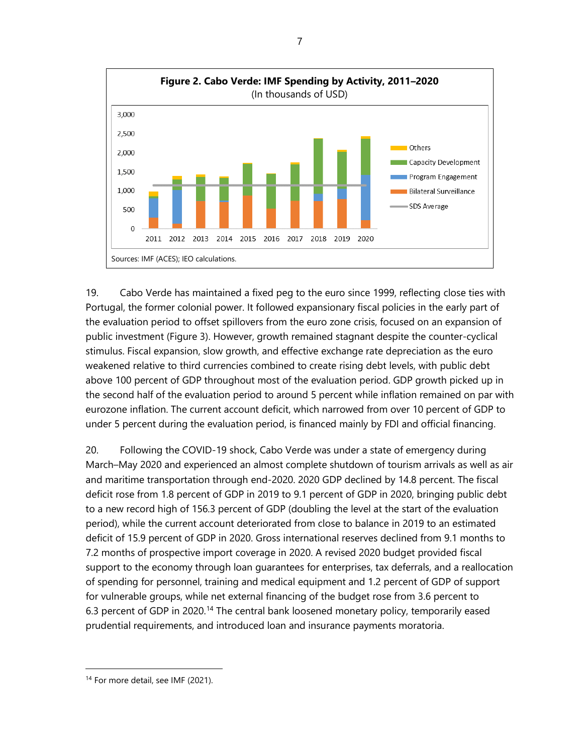

19. Cabo Verde has maintained a fixed peg to the euro since 1999, reflecting close ties with Portugal, the former colonial power. It followed expansionary fiscal policies in the early part of the evaluation period to offset spillovers from the euro zone crisis, focused on an expansion of public investment (Figure 3). However, growth remained stagnant despite the counter-cyclical stimulus. Fiscal expansion, slow growth, and effective exchange rate depreciation as the euro weakened relative to third currencies combined to create rising debt levels, with public debt above 100 percent of GDP throughout most of the evaluation period. GDP growth picked up in the second half of the evaluation period to around 5 percent while inflation remained on par with eurozone inflation. The current account deficit, which narrowed from over 10 percent of GDP to under 5 percent during the evaluation period, is financed mainly by FDI and official financing.

20. Following the COVID-19 shock, Cabo Verde was under a state of emergency during March–May 2020 and experienced an almost complete shutdown of tourism arrivals as well as air and maritime transportation through end-2020. 2020 GDP declined by 14.8 percent. The fiscal deficit rose from 1.8 percent of GDP in 2019 to 9.1 percent of GDP in 2020, bringing public debt to a new record high of 156.3 percent of GDP (doubling the level at the start of the evaluation period), while the current account deteriorated from close to balance in 2019 to an estimated deficit of 15.9 percent of GDP in 2020. Gross international reserves declined from 9.1 months to 7.2 months of prospective import coverage in 2020. A revised 2020 budget provided fiscal support to the economy through loan guarantees for enterprises, tax deferrals, and a reallocation of spending for personnel, training and medical equipment and 1.2 percent of GDP of support for vulnerable groups, while net external financing of the budget rose from 3.6 percent to 6.3 percent of GDP in 2020.<sup>[14](#page-12-0)</sup> The central bank loosened monetary policy, temporarily eased prudential requirements, and introduced loan and insurance payments moratoria.

<span id="page-12-0"></span><sup>&</sup>lt;sup>14</sup> For more detail, see IMF (2021).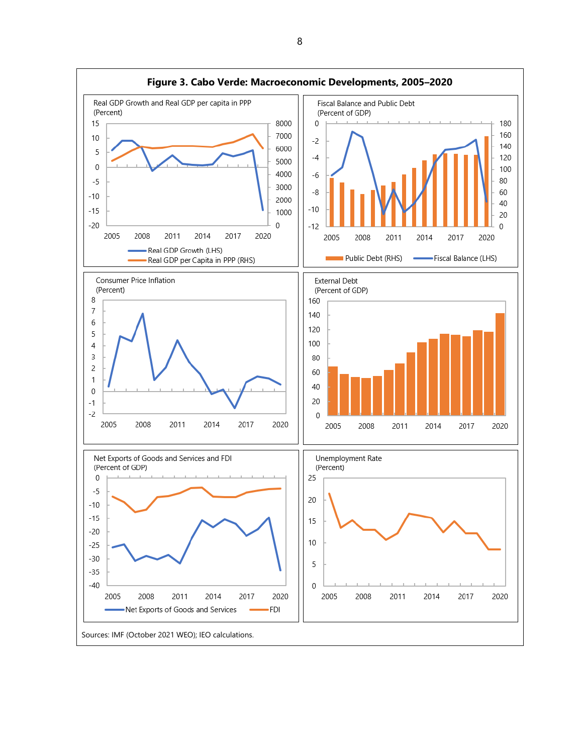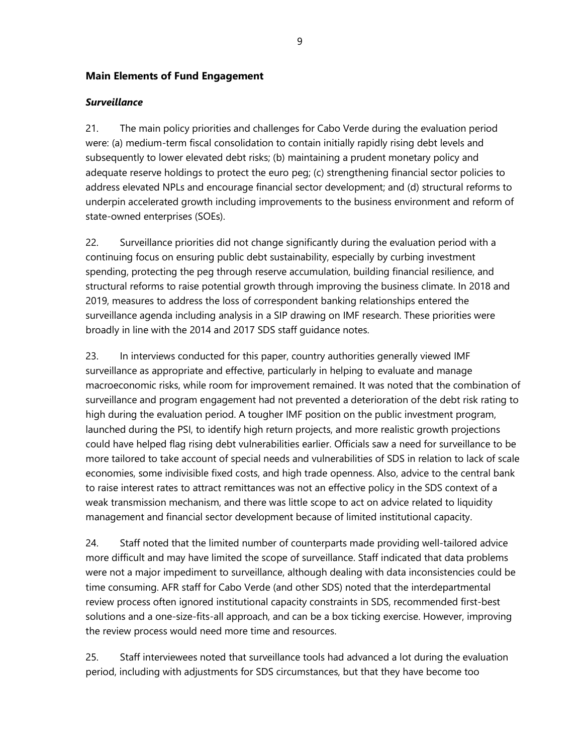#### **Main Elements of Fund Engagement**

#### *Surveillance*

21. The main policy priorities and challenges for Cabo Verde during the evaluation period were: (a) medium-term fiscal consolidation to contain initially rapidly rising debt levels and subsequently to lower elevated debt risks; (b) maintaining a prudent monetary policy and adequate reserve holdings to protect the euro peg; (c) strengthening financial sector policies to address elevated NPLs and encourage financial sector development; and (d) structural reforms to underpin accelerated growth including improvements to the business environment and reform of state-owned enterprises (SOEs).

22. Surveillance priorities did not change significantly during the evaluation period with a continuing focus on ensuring public debt sustainability, especially by curbing investment spending, protecting the peg through reserve accumulation, building financial resilience, and structural reforms to raise potential growth through improving the business climate. In 2018 and 2019, measures to address the loss of correspondent banking relationships entered the surveillance agenda including analysis in a SIP drawing on IMF research. These priorities were broadly in line with the 2014 and 2017 SDS staff guidance notes.

23. In interviews conducted for this paper, country authorities generally viewed IMF surveillance as appropriate and effective, particularly in helping to evaluate and manage macroeconomic risks, while room for improvement remained. It was noted that the combination of surveillance and program engagement had not prevented a deterioration of the debt risk rating to high during the evaluation period. A tougher IMF position on the public investment program, launched during the PSI, to identify high return projects, and more realistic growth projections could have helped flag rising debt vulnerabilities earlier. Officials saw a need for surveillance to be more tailored to take account of special needs and vulnerabilities of SDS in relation to lack of scale economies, some indivisible fixed costs, and high trade openness. Also, advice to the central bank to raise interest rates to attract remittances was not an effective policy in the SDS context of a weak transmission mechanism, and there was little scope to act on advice related to liquidity management and financial sector development because of limited institutional capacity.

24. Staff noted that the limited number of counterparts made providing well-tailored advice more difficult and may have limited the scope of surveillance. Staff indicated that data problems were not a major impediment to surveillance, although dealing with data inconsistencies could be time consuming. AFR staff for Cabo Verde (and other SDS) noted that the interdepartmental review process often ignored institutional capacity constraints in SDS, recommended first-best solutions and a one-size-fits-all approach, and can be a box ticking exercise. However, improving the review process would need more time and resources.

25. Staff interviewees noted that surveillance tools had advanced a lot during the evaluation period, including with adjustments for SDS circumstances, but that they have become too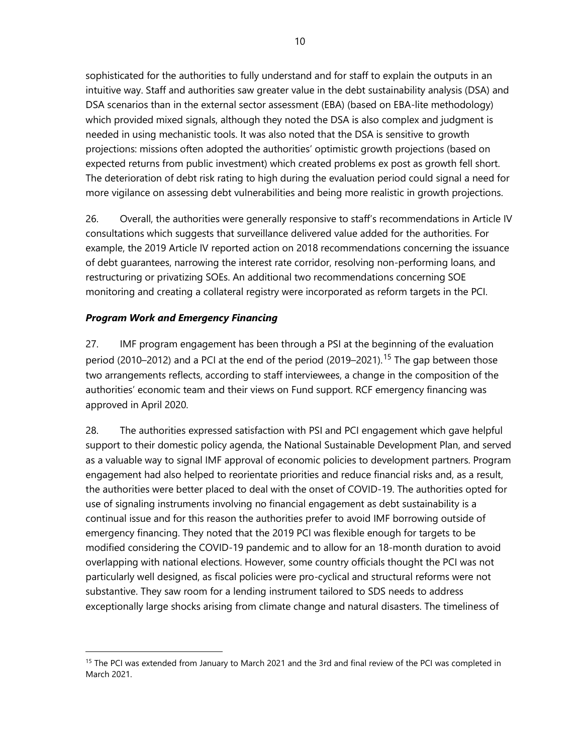sophisticated for the authorities to fully understand and for staff to explain the outputs in an intuitive way. Staff and authorities saw greater value in the debt sustainability analysis (DSA) and DSA scenarios than in the external sector assessment (EBA) (based on EBA-lite methodology) which provided mixed signals, although they noted the DSA is also complex and judgment is needed in using mechanistic tools. It was also noted that the DSA is sensitive to growth projections: missions often adopted the authorities' optimistic growth projections (based on expected returns from public investment) which created problems ex post as growth fell short. The deterioration of debt risk rating to high during the evaluation period could signal a need for more vigilance on assessing debt vulnerabilities and being more realistic in growth projections.

26. Overall, the authorities were generally responsive to staff's recommendations in Article IV consultations which suggests that surveillance delivered value added for the authorities. For example, the 2019 Article IV reported action on 2018 recommendations concerning the issuance of debt guarantees, narrowing the interest rate corridor, resolving non-performing loans, and restructuring or privatizing SOEs. An additional two recommendations concerning SOE monitoring and creating a collateral registry were incorporated as reform targets in the PCI.

## *Program Work and Emergency Financing*

27. IMF program engagement has been through a PSI at the beginning of the evaluation period (2010–2012) and a PCI at the end of the period (2019–2021).<sup>[15](#page-15-0)</sup> The gap between those two arrangements reflects, according to staff interviewees, a change in the composition of the authorities' economic team and their views on Fund support. RCF emergency financing was approved in April 2020.

28. The authorities expressed satisfaction with PSI and PCI engagement which gave helpful support to their domestic policy agenda, the National Sustainable Development Plan, and served as a valuable way to signal IMF approval of economic policies to development partners. Program engagement had also helped to reorientate priorities and reduce financial risks and, as a result, the authorities were better placed to deal with the onset of COVID-19. The authorities opted for use of signaling instruments involving no financial engagement as debt sustainability is a continual issue and for this reason the authorities prefer to avoid IMF borrowing outside of emergency financing. They noted that the 2019 PCI was flexible enough for targets to be modified considering the COVID-19 pandemic and to allow for an 18-month duration to avoid overlapping with national elections. However, some country officials thought the PCI was not particularly well designed, as fiscal policies were pro-cyclical and structural reforms were not substantive. They saw room for a lending instrument tailored to SDS needs to address exceptionally large shocks arising from climate change and natural disasters. The timeliness of

<span id="page-15-0"></span><sup>&</sup>lt;sup>15</sup> The PCI was extended from January to March 2021 and the 3rd and final review of the PCI was completed in March 2021.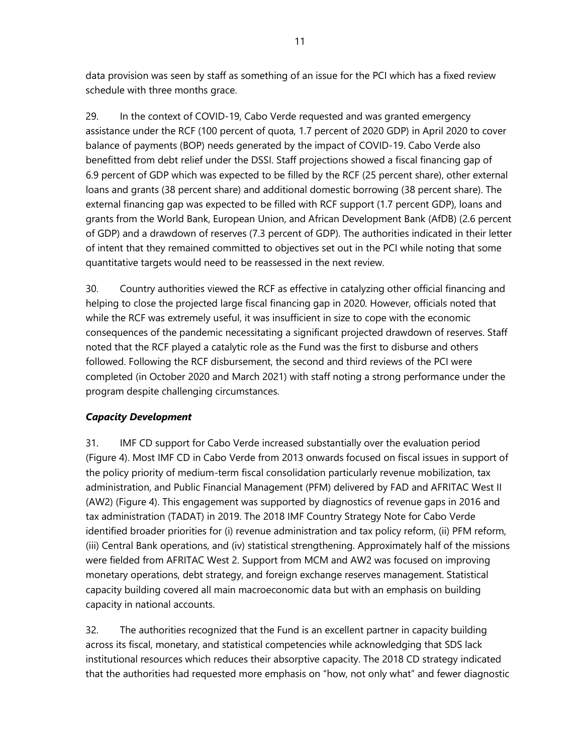data provision was seen by staff as something of an issue for the PCI which has a fixed review schedule with three months grace.

29. In the context of COVID-19, Cabo Verde requested and was granted emergency assistance under the RCF (100 percent of quota, 1.7 percent of 2020 GDP) in April 2020 to cover balance of payments (BOP) needs generated by the impact of COVID-19. Cabo Verde also benefitted from debt relief under the DSSI. Staff projections showed a fiscal financing gap of 6.9 percent of GDP which was expected to be filled by the RCF (25 percent share), other external loans and grants (38 percent share) and additional domestic borrowing (38 percent share). The external financing gap was expected to be filled with RCF support (1.7 percent GDP), loans and grants from the World Bank, European Union, and African Development Bank (AfDB) (2.6 percent of GDP) and a drawdown of reserves (7.3 percent of GDP). The authorities indicated in their letter of intent that they remained committed to objectives set out in the PCI while noting that some quantitative targets would need to be reassessed in the next review.

30. Country authorities viewed the RCF as effective in catalyzing other official financing and helping to close the projected large fiscal financing gap in 2020. However, officials noted that while the RCF was extremely useful, it was insufficient in size to cope with the economic consequences of the pandemic necessitating a significant projected drawdown of reserves. Staff noted that the RCF played a catalytic role as the Fund was the first to disburse and others followed. Following the RCF disbursement, the second and third reviews of the PCI were completed (in October 2020 and March 2021) with staff noting a strong performance under the program despite challenging circumstances.

# *Capacity Development*

31. IMF CD support for Cabo Verde increased substantially over the evaluation period (Figure 4). Most IMF CD in Cabo Verde from 2013 onwards focused on fiscal issues in support of the policy priority of medium-term fiscal consolidation particularly revenue mobilization, tax administration, and Public Financial Management (PFM) delivered by FAD and AFRITAC West II (AW2) (Figure 4). This engagement was supported by diagnostics of revenue gaps in 2016 and tax administration (TADAT) in 2019. The 2018 IMF Country Strategy Note for Cabo Verde identified broader priorities for (i) revenue administration and tax policy reform, (ii) PFM reform, (iii) Central Bank operations, and (iv) statistical strengthening. Approximately half of the missions were fielded from AFRITAC West 2. Support from MCM and AW2 was focused on improving monetary operations, debt strategy, and foreign exchange reserves management. Statistical capacity building covered all main macroeconomic data but with an emphasis on building capacity in national accounts.

32. The authorities recognized that the Fund is an excellent partner in capacity building across its fiscal, monetary, and statistical competencies while acknowledging that SDS lack institutional resources which reduces their absorptive capacity. The 2018 CD strategy indicated that the authorities had requested more emphasis on "how, not only what" and fewer diagnostic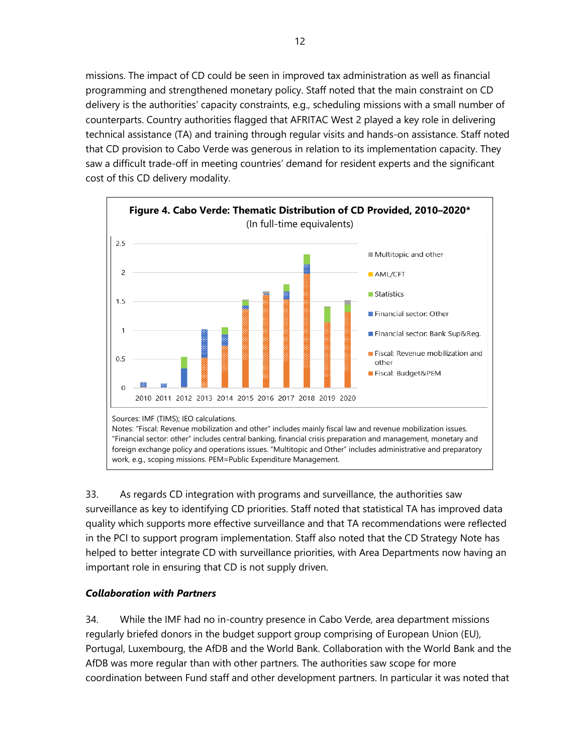missions. The impact of CD could be seen in improved tax administration as well as financial programming and strengthened monetary policy. Staff noted that the main constraint on CD delivery is the authorities' capacity constraints, e.g., scheduling missions with a small number of counterparts. Country authorities flagged that AFRITAC West 2 played a key role in delivering technical assistance (TA) and training through regular visits and hands-on assistance. Staff noted that CD provision to Cabo Verde was generous in relation to its implementation capacity. They saw a difficult trade-off in meeting countries' demand for resident experts and the significant cost of this CD delivery modality.



33. As regards CD integration with programs and surveillance, the authorities saw surveillance as key to identifying CD priorities. Staff noted that statistical TA has improved data quality which supports more effective surveillance and that TA recommendations were reflected in the PCI to support program implementation. Staff also noted that the CD Strategy Note has helped to better integrate CD with surveillance priorities, with Area Departments now having an important role in ensuring that CD is not supply driven.

#### *Collaboration with Partners*

34. While the IMF had no in-country presence in Cabo Verde, area department missions regularly briefed donors in the budget support group comprising of European Union (EU), Portugal, Luxembourg, the AfDB and the World Bank. Collaboration with the World Bank and the AfDB was more regular than with other partners. The authorities saw scope for more coordination between Fund staff and other development partners. In particular it was noted that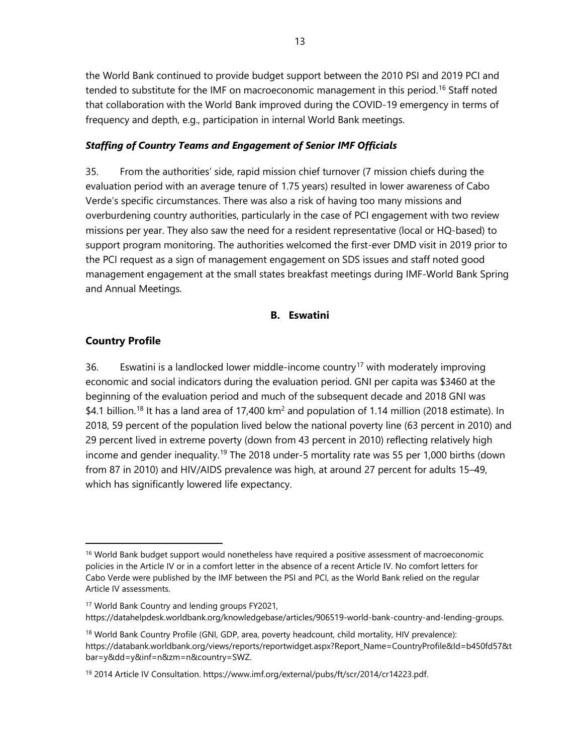the World Bank continued to provide budget support between the 2010 PSI and 2019 PCI and tended to substitute for the IMF on macroeconomic management in this period.<sup>[16](#page-18-0)</sup> Staff noted that collaboration with the World Bank improved during the COVID-19 emergency in terms of frequency and depth, e.g., participation in internal World Bank meetings.

#### *Staffing of Country Teams and Engagement of Senior IMF Officials*

35. From the authorities' side, rapid mission chief turnover (7 mission chiefs during the evaluation period with an average tenure of 1.75 years) resulted in lower awareness of Cabo Verde's specific circumstances. There was also a risk of having too many missions and overburdening country authorities, particularly in the case of PCI engagement with two review missions per year. They also saw the need for a resident representative (local or HQ-based) to support program monitoring. The authorities welcomed the first-ever DMD visit in 2019 prior to the PCI request as a sign of management engagement on SDS issues and staff noted good management engagement at the small states breakfast meetings during IMF-World Bank Spring and Annual Meetings.

#### **B. Eswatini**

#### **Country Profile**

36. Eswatini is a landlocked lower middle-income country<sup>[17](#page-18-1)</sup> with moderately improving economic and social indicators during the evaluation period. GNI per capita was \$3460 at the beginning of the evaluation period and much of the subsequent decade and 2018 GNI was \$4.1 billion.<sup>[18](#page-18-2)</sup> It has a land area of 17,400 km<sup>2</sup> and population of 1.14 million (2018 estimate). In 2018, 59 percent of the population lived below the national poverty line (63 percent in 2010) and 29 percent lived in extreme poverty (down from 43 percent in 2010) reflecting relatively high income and gender inequality.<sup>[19](#page-18-3)</sup> The 2018 under-5 mortality rate was 55 per 1,000 births (down from 87 in 2010) and HIV/AIDS prevalence was high, at around 27 percent for adults 15–49, which has significantly lowered life expectancy.

<span id="page-18-1"></span><sup>17</sup> World Bank Country and lending groups FY2021, [https://datahelpdesk.worldbank.org/knowledgebase/articles/906519-world-bank-country-and-lending-groups.](https://datahelpdesk.worldbank.org/knowledgebase/articles/906519-world-bank-country-and-lending-groups)

<span id="page-18-0"></span><sup>&</sup>lt;sup>16</sup> World Bank budget support would nonetheless have required a positive assessment of macroeconomic policies in the Article IV or in a comfort letter in the absence of a recent Article IV. No comfort letters for Cabo Verde were published by the IMF between the PSI and PCI, as the World Bank relied on the regular Article IV assessments.

<span id="page-18-2"></span><sup>&</sup>lt;sup>18</sup> World Bank Country Profile (GNI, GDP, area, poverty headcount, child mortality, HIV prevalence): [https://databank.worldbank.org/views/reports/reportwidget.aspx?Report\\_Name=CountryProfile&Id=b450fd57&t](https://databank.worldbank.org/views/reports/reportwidget.aspx?Report_Name=CountryProfile&Id=b450fd57&tbar=y&dd=y&inf=n&zm=n&country=SWZ) [bar=y&dd=y&inf=n&zm=n&country=SWZ.](https://databank.worldbank.org/views/reports/reportwidget.aspx?Report_Name=CountryProfile&Id=b450fd57&tbar=y&dd=y&inf=n&zm=n&country=SWZ)

<span id="page-18-3"></span><sup>&</sup>lt;sup>19</sup> 2014 Article IV Consultation[. https://www.imf.org/external/pubs/ft/scr/2014/cr14223.pdf.](https://www.imf.org/external/pubs/ft/scr/2014/cr14223.pdf)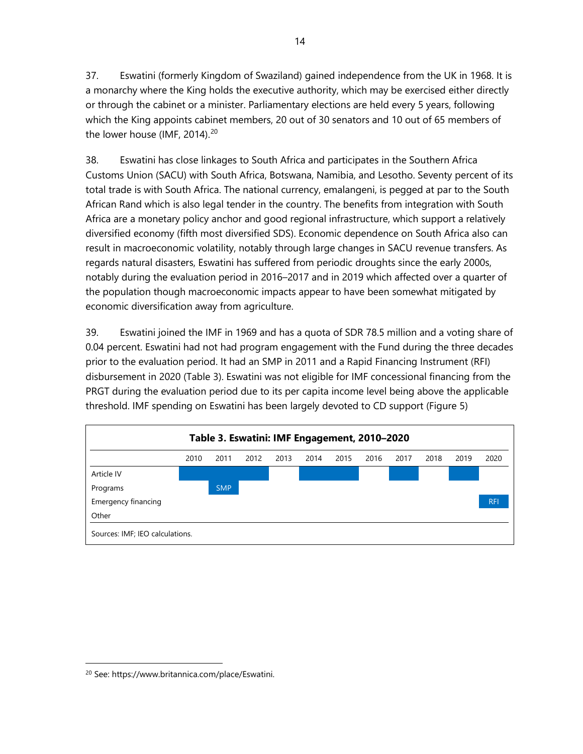37. Eswatini (formerly Kingdom of Swaziland) gained independence from the UK in 1968. It is a monarchy where the King holds the executive authority, which may be exercised either directly or through the cabinet or a minister. Parliamentary elections are held every 5 years, following which the King appoints cabinet members, 20 out of 30 senators and 10 out of 65 members of the lower house (IMF, [20](#page-19-0)14). $20$ 

38. Eswatini has close linkages to South Africa and participates in the Southern Africa Customs Union (SACU) with South Africa, Botswana, Namibia, and Lesotho. Seventy percent of its total trade is with South Africa. The national currency, emalangeni, is pegged at par to the South African Rand which is also legal tender in the country. The benefits from integration with South Africa are a monetary policy anchor and good regional infrastructure, which support a relatively diversified economy (fifth most diversified SDS). Economic dependence on South Africa also can result in macroeconomic volatility, notably through large changes in SACU revenue transfers. As regards natural disasters, Eswatini has suffered from periodic droughts since the early 2000s, notably during the evaluation period in 2016–2017 and in 2019 which affected over a quarter of the population though macroeconomic impacts appear to have been somewhat mitigated by economic diversification away from agriculture.

39. Eswatini joined the IMF in 1969 and has a quota of SDR 78.5 million and a voting share of 0.04 percent. Eswatini had not had program engagement with the Fund during the three decades prior to the evaluation period. It had an SMP in 2011 and a Rapid Financing Instrument (RFI) disbursement in 2020 (Table 3). Eswatini was not eligible for IMF concessional financing from the PRGT during the evaluation period due to its per capita income level being above the applicable threshold. IMF spending on Eswatini has been largely devoted to CD support (Figure 5)



<span id="page-19-0"></span><sup>20</sup> See: https://www.britannica.com/place/Eswatini.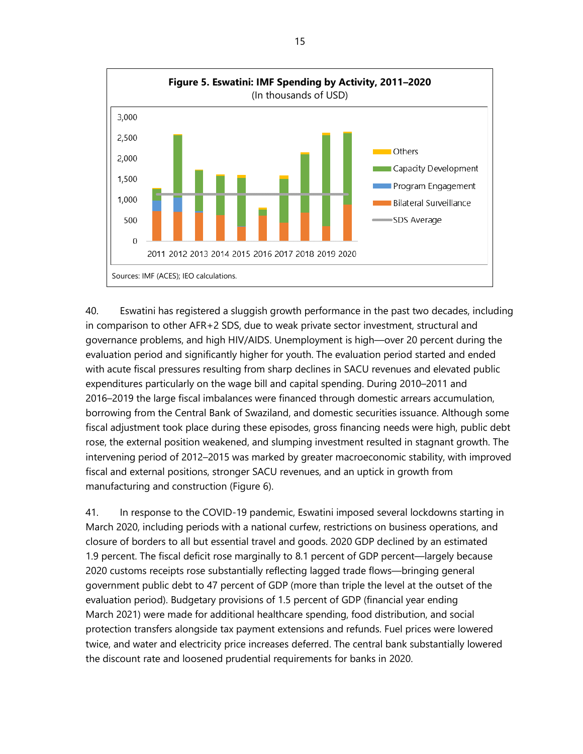

40. Eswatini has registered a sluggish growth performance in the past two decades, including in comparison to other AFR+2 SDS, due to weak private sector investment, structural and governance problems, and high HIV/AIDS. Unemployment is high—over 20 percent during the evaluation period and significantly higher for youth. The evaluation period started and ended with acute fiscal pressures resulting from sharp declines in SACU revenues and elevated public expenditures particularly on the wage bill and capital spending. During 2010–2011 and 2016–2019 the large fiscal imbalances were financed through domestic arrears accumulation, borrowing from the Central Bank of Swaziland, and domestic securities issuance. Although some fiscal adjustment took place during these episodes, gross financing needs were high, public debt rose, the external position weakened, and slumping investment resulted in stagnant growth. The intervening period of 2012–2015 was marked by greater macroeconomic stability, with improved fiscal and external positions, stronger SACU revenues, and an uptick in growth from manufacturing and construction (Figure 6).

41. In response to the COVID-19 pandemic, Eswatini imposed several lockdowns starting in March 2020, including periods with a national curfew, restrictions on business operations, and closure of borders to all but essential travel and goods. 2020 GDP declined by an estimated 1.9 percent. The fiscal deficit rose marginally to 8.1 percent of GDP percent—largely because 2020 customs receipts rose substantially reflecting lagged trade flows—bringing general government public debt to 47 percent of GDP (more than triple the level at the outset of the evaluation period). Budgetary provisions of 1.5 percent of GDP (financial year ending March 2021) were made for additional healthcare spending, food distribution, and social protection transfers alongside tax payment extensions and refunds. Fuel prices were lowered twice, and water and electricity price increases deferred. The central bank substantially lowered the discount rate and loosened prudential requirements for banks in 2020.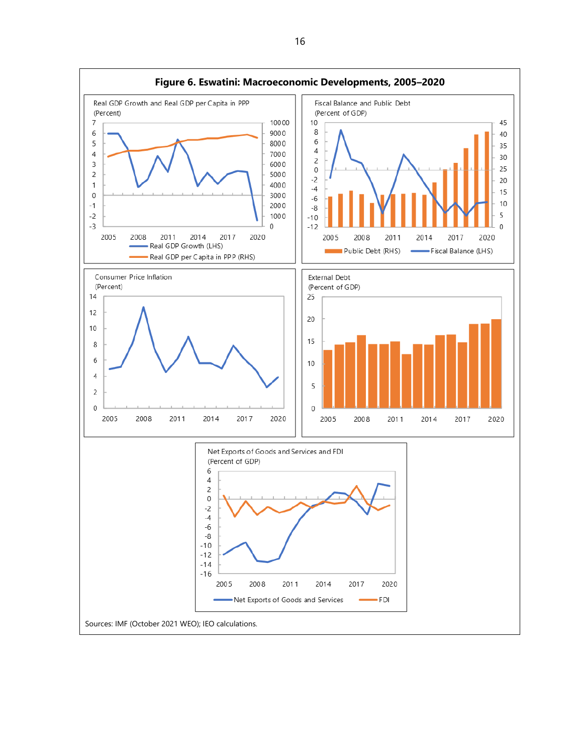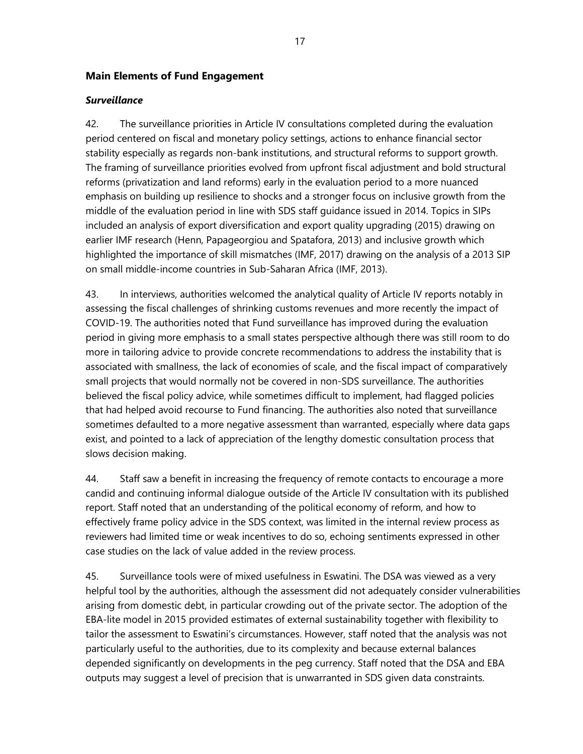#### **Main Elements of Fund Engagement**

#### *Surveillance*

42. The surveillance priorities in Article IV consultations completed during the evaluation period centered on fiscal and monetary policy settings, actions to enhance financial sector stability especially as regards non-bank institutions, and structural reforms to support growth. The framing of surveillance priorities evolved from upfront fiscal adjustment and bold structural reforms (privatization and land reforms) early in the evaluation period to a more nuanced emphasis on building up resilience to shocks and a stronger focus on inclusive growth from the middle of the evaluation period in line with SDS staff guidance issued in 2014. Topics in SIPs included an analysis of export diversification and export quality upgrading (2015) drawing on earlier IMF research (Henn, Papageorgiou and Spatafora, 2013) and inclusive growth which highlighted the importance of skill mismatches (IMF, 2017) drawing on the analysis of a 2013 SIP on small middle-income countries in Sub-Saharan Africa (IMF, 2013).

43. In interviews, authorities welcomed the analytical quality of Article IV reports notably in assessing the fiscal challenges of shrinking customs revenues and more recently the impact of COVID-19. The authorities noted that Fund surveillance has improved during the evaluation period in giving more emphasis to a small states perspective although there was still room to do more in tailoring advice to provide concrete recommendations to address the instability that is associated with smallness, the lack of economies of scale, and the fiscal impact of comparatively small projects that would normally not be covered in non-SDS surveillance. The authorities believed the fiscal policy advice, while sometimes difficult to implement, had flagged policies that had helped avoid recourse to Fund financing. The authorities also noted that surveillance sometimes defaulted to a more negative assessment than warranted, especially where data gaps exist, and pointed to a lack of appreciation of the lengthy domestic consultation process that slows decision making.

44. Staff saw a benefit in increasing the frequency of remote contacts to encourage a more candid and continuing informal dialogue outside of the Article IV consultation with its published report. Staff noted that an understanding of the political economy of reform, and how to effectively frame policy advice in the SDS context, was limited in the internal review process as reviewers had limited time or weak incentives to do so, echoing sentiments expressed in other case studies on the lack of value added in the review process.

45. Surveillance tools were of mixed usefulness in Eswatini. The DSA was viewed as a very helpful tool by the authorities, although the assessment did not adequately consider vulnerabilities arising from domestic debt, in particular crowding out of the private sector. The adoption of the EBA-lite model in 2015 provided estimates of external sustainability together with flexibility to tailor the assessment to Eswatini's circumstances. However, staff noted that the analysis was not particularly useful to the authorities, due to its complexity and because external balances depended significantly on developments in the peg currency. Staff noted that the DSA and EBA outputs may suggest a level of precision that is unwarranted in SDS given data constraints.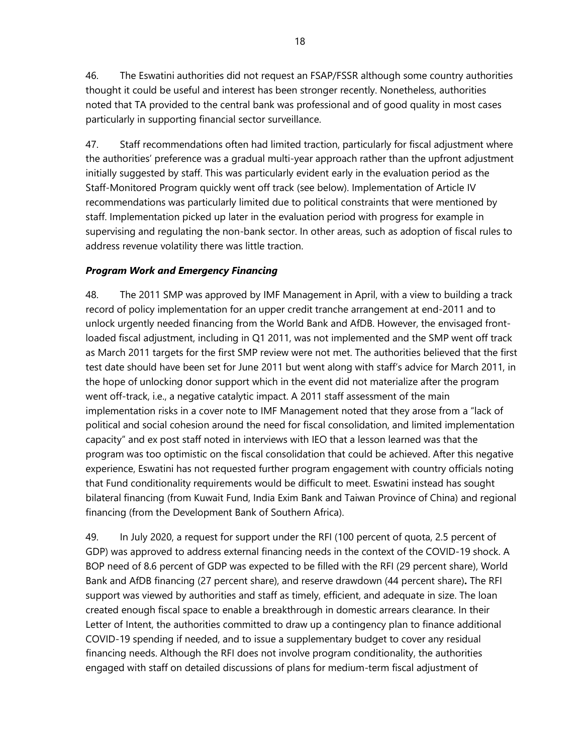46. The Eswatini authorities did not request an FSAP/FSSR although some country authorities thought it could be useful and interest has been stronger recently. Nonetheless, authorities noted that TA provided to the central bank was professional and of good quality in most cases particularly in supporting financial sector surveillance.

47. Staff recommendations often had limited traction, particularly for fiscal adjustment where the authorities' preference was a gradual multi-year approach rather than the upfront adjustment initially suggested by staff. This was particularly evident early in the evaluation period as the Staff-Monitored Program quickly went off track (see below). Implementation of Article IV recommendations was particularly limited due to political constraints that were mentioned by staff. Implementation picked up later in the evaluation period with progress for example in supervising and regulating the non-bank sector. In other areas, such as adoption of fiscal rules to address revenue volatility there was little traction.

# *Program Work and Emergency Financing*

48. The 2011 SMP was approved by IMF Management in April, with a view to building a track record of policy implementation for an upper credit tranche arrangement at end-2011 and to unlock urgently needed financing from the World Bank and AfDB. However, the envisaged frontloaded fiscal adjustment, including in Q1 2011, was not implemented and the SMP went off track as March 2011 targets for the first SMP review were not met. The authorities believed that the first test date should have been set for June 2011 but went along with staff's advice for March 2011, in the hope of unlocking donor support which in the event did not materialize after the program went off-track, i.e., a negative catalytic impact. A 2011 staff assessment of the main implementation risks in a cover note to IMF Management noted that they arose from a "lack of political and social cohesion around the need for fiscal consolidation, and limited implementation capacity" and ex post staff noted in interviews with IEO that a lesson learned was that the program was too optimistic on the fiscal consolidation that could be achieved. After this negative experience, Eswatini has not requested further program engagement with country officials noting that Fund conditionality requirements would be difficult to meet. Eswatini instead has sought bilateral financing (from Kuwait Fund, India Exim Bank and Taiwan Province of China) and regional financing (from the Development Bank of Southern Africa).

49. In July 2020, a request for support under the RFI (100 percent of quota, 2.5 percent of GDP) was approved to address external financing needs in the context of the COVID-19 shock. A BOP need of 8.6 percent of GDP was expected to be filled with the RFI (29 percent share), World Bank and AfDB financing (27 percent share), and reserve drawdown (44 percent share)**.** The RFI support was viewed by authorities and staff as timely, efficient, and adequate in size. The loan created enough fiscal space to enable a breakthrough in domestic arrears clearance. In their Letter of Intent, the authorities committed to draw up a contingency plan to finance additional COVID-19 spending if needed, and to issue a supplementary budget to cover any residual financing needs. Although the RFI does not involve program conditionality, the authorities engaged with staff on detailed discussions of plans for medium-term fiscal adjustment of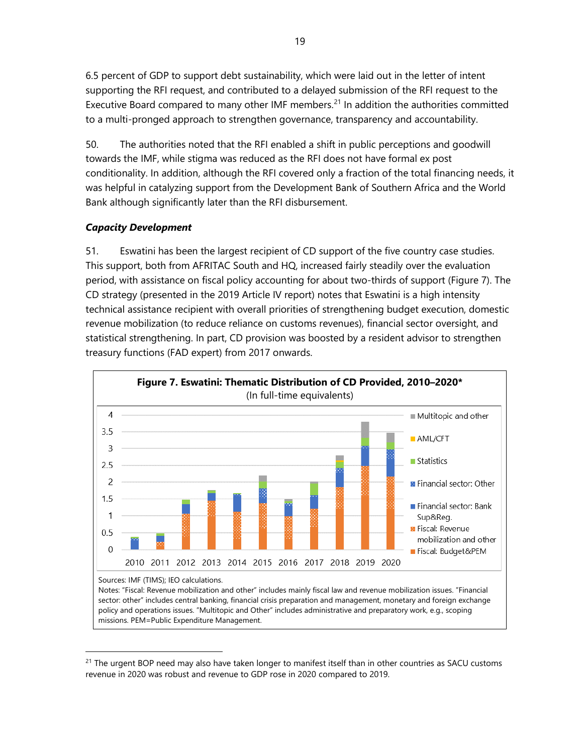6.5 percent of GDP to support debt sustainability, which were laid out in the letter of intent supporting the RFI request, and contributed to a delayed submission of the RFI request to the Executive Board compared to many other IMF members.<sup>[21](#page-24-0)</sup> In addition the authorities committed to a multi-pronged approach to strengthen governance, transparency and accountability.

50. The authorities noted that the RFI enabled a shift in public perceptions and goodwill towards the IMF, while stigma was reduced as the RFI does not have formal ex post conditionality. In addition, although the RFI covered only a fraction of the total financing needs, it was helpful in catalyzing support from the Development Bank of Southern Africa and the World Bank although significantly later than the RFI disbursement.

# *Capacity Development*

51. Eswatini has been the largest recipient of CD support of the five country case studies. This support, both from AFRITAC South and HQ, increased fairly steadily over the evaluation period, with assistance on fiscal policy accounting for about two-thirds of support (Figure 7). The CD strategy (presented in the 2019 Article IV report) notes that Eswatini is a high intensity technical assistance recipient with overall priorities of strengthening budget execution, domestic revenue mobilization (to reduce reliance on customs revenues), financial sector oversight, and statistical strengthening. In part, CD provision was boosted by a resident advisor to strengthen treasury functions (FAD expert) from 2017 onwards.



missions. PEM=Public Expenditure Management.

<span id="page-24-0"></span> $21$  The urgent BOP need may also have taken longer to manifest itself than in other countries as SACU customs revenue in 2020 was robust and revenue to GDP rose in 2020 compared to 2019.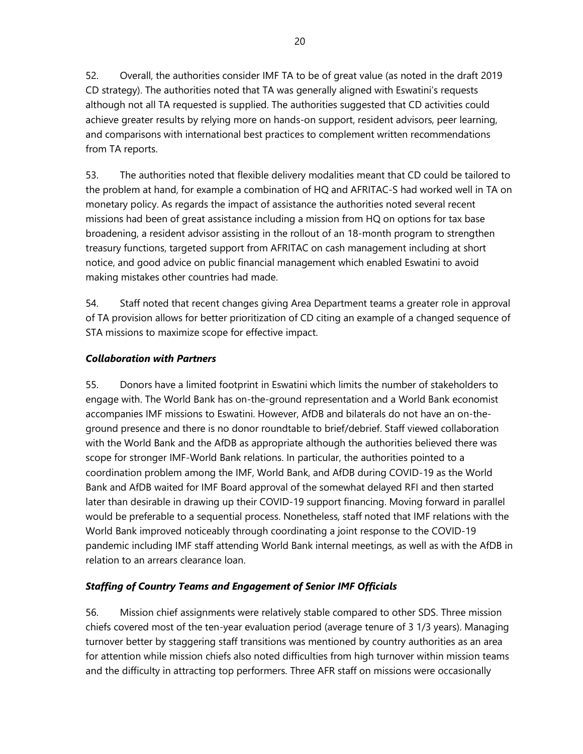52. Overall, the authorities consider IMF TA to be of great value (as noted in the draft 2019 CD strategy). The authorities noted that TA was generally aligned with Eswatini's requests although not all TA requested is supplied. The authorities suggested that CD activities could achieve greater results by relying more on hands-on support, resident advisors, peer learning, and comparisons with international best practices to complement written recommendations from TA reports.

53. The authorities noted that flexible delivery modalities meant that CD could be tailored to the problem at hand, for example a combination of HQ and AFRITAC-S had worked well in TA on monetary policy. As regards the impact of assistance the authorities noted several recent missions had been of great assistance including a mission from HQ on options for tax base broadening, a resident advisor assisting in the rollout of an 18-month program to strengthen treasury functions, targeted support from AFRITAC on cash management including at short notice, and good advice on public financial management which enabled Eswatini to avoid making mistakes other countries had made.

54. Staff noted that recent changes giving Area Department teams a greater role in approval of TA provision allows for better prioritization of CD citing an example of a changed sequence of STA missions to maximize scope for effective impact.

# *Collaboration with Partners*

55. Donors have a limited footprint in Eswatini which limits the number of stakeholders to engage with. The World Bank has on-the-ground representation and a World Bank economist accompanies IMF missions to Eswatini. However, AfDB and bilaterals do not have an on-theground presence and there is no donor roundtable to brief/debrief. Staff viewed collaboration with the World Bank and the AfDB as appropriate although the authorities believed there was scope for stronger IMF-World Bank relations. In particular, the authorities pointed to a coordination problem among the IMF, World Bank, and AfDB during COVID-19 as the World Bank and AfDB waited for IMF Board approval of the somewhat delayed RFI and then started later than desirable in drawing up their COVID-19 support financing. Moving forward in parallel would be preferable to a sequential process. Nonetheless, staff noted that IMF relations with the World Bank improved noticeably through coordinating a joint response to the COVID-19 pandemic including IMF staff attending World Bank internal meetings, as well as with the AfDB in relation to an arrears clearance loan.

# *Staffing of Country Teams and Engagement of Senior IMF Officials*

56. Mission chief assignments were relatively stable compared to other SDS. Three mission chiefs covered most of the ten-year evaluation period (average tenure of 3 1/3 years). Managing turnover better by staggering staff transitions was mentioned by country authorities as an area for attention while mission chiefs also noted difficulties from high turnover within mission teams and the difficulty in attracting top performers. Three AFR staff on missions were occasionally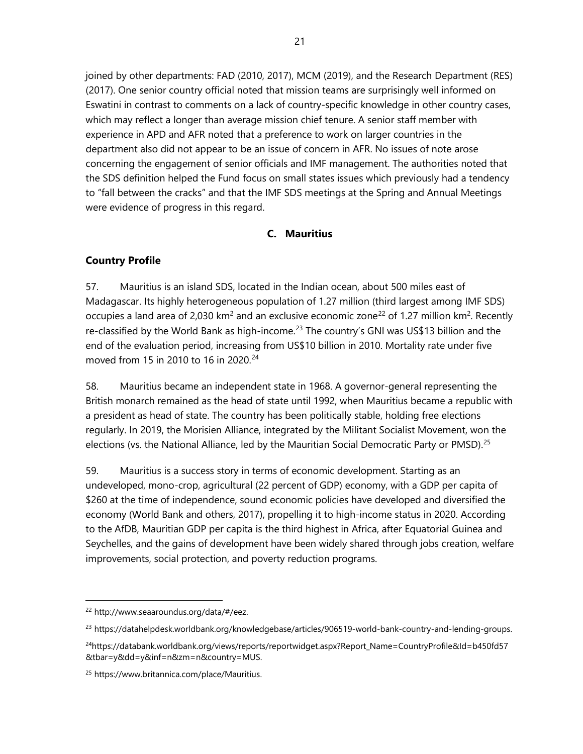joined by other departments: FAD (2010, 2017), MCM (2019), and the Research Department (RES) (2017). One senior country official noted that mission teams are surprisingly well informed on Eswatini in contrast to comments on a lack of country-specific knowledge in other country cases, which may reflect a longer than average mission chief tenure. A senior staff member with experience in APD and AFR noted that a preference to work on larger countries in the department also did not appear to be an issue of concern in AFR. No issues of note arose concerning the engagement of senior officials and IMF management. The authorities noted that the SDS definition helped the Fund focus on small states issues which previously had a tendency to "fall between the cracks" and that the IMF SDS meetings at the Spring and Annual Meetings were evidence of progress in this regard.

# **C. Mauritius**

# **Country Profile**

57. Mauritius is an island SDS, located in the Indian ocean, about 500 miles east of Madagascar. Its highly heterogeneous population of 1.27 million (third largest among IMF SDS) occupies a land area of 2,030 km<sup>2</sup> and an exclusive economic zone<sup>[22](#page-26-0)</sup> of 1.27 million km<sup>2</sup>. Recently re-classified by the World Bank as high-income.<sup>[23](#page-26-1)</sup> The country's GNI was US\$13 billion and the end of the evaluation period, increasing from US\$10 billion in 2010. Mortality rate under five moved from 15 in 2010 to 16 in 2020.<sup>[24](#page-26-2)</sup>

58. Mauritius became an independent state in 1968. A governor-general representing the British monarch remained as the head of state until 1992, when Mauritius became a republic with a president as head of state. The country has been politically stable, holding free elections regularly. In 2019, the Morisien Alliance, integrated by the Militant Socialist Movement, won the elections (vs. the National Alliance, led by the Mauritian Social Democratic Party or PMSD).<sup>[25](#page-26-3)</sup>

59. Mauritius is a success story in terms of economic development. Starting as an undeveloped, mono-crop, agricultural (22 percent of GDP) economy, with a GDP per capita of \$260 at the time of independence, sound economic policies have developed and diversified the economy (World Bank and others, 2017), propelling it to high-income status in 2020. According to the AfDB, Mauritian GDP per capita is the third highest in Africa, after Equatorial Guinea and Seychelles, and the gains of development have been widely shared through jobs creation, welfare improvements, social protection, and poverty reduction programs.

<span id="page-26-0"></span><sup>22</sup> [http://www.seaaroundus.org/data/#/eez.](http://www.seaaroundus.org/data/#/eez) 

<span id="page-26-1"></span><sup>&</sup>lt;sup>23</sup> https://datahelpdesk.worldbank.org/knowledgebase/articles/906519-world-bank-country-and-lending-groups.

<span id="page-26-2"></span><sup>&</sup>lt;sup>24</sup>https://databank.worldbank.org/views/reports/reportwidget.aspx?Report\_Name=CountryProfile&Id=b450fd57 [&tbar=y&dd=y&inf=n&zm=n&country=MUS.](https://databank.worldbank.org/views/reports/reportwidget.aspx?Report_Name=CountryProfile&Id=b450fd57&tbar=y&dd=y&inf=n&zm=n&country=MUS) 

<span id="page-26-3"></span><sup>25</sup> [https://www.britannica.com/place/Mauritius.](https://www.britannica.com/place/Mauritius)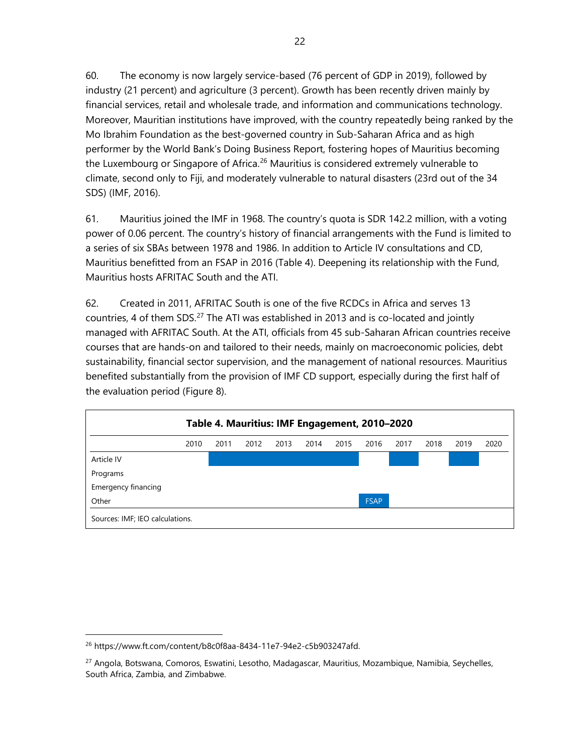60. The economy is now largely service-based (76 percent of GDP in 2019), followed by industry (21 percent) and agriculture (3 percent). Growth has been recently driven mainly by financial services, retail and wholesale trade, and information and communications technology. Moreover, Mauritian institutions have improved, with the country repeatedly being ranked by the Mo Ibrahim Foundation as the best-governed country in Sub-Saharan Africa and as high performer by the World Bank's Doing Business Report, fostering hopes of Mauritius becoming the Luxembourg or Singapore of Africa.<sup>[26](#page-27-0)</sup> Mauritius is considered extremely vulnerable to climate, second only to Fiji, and moderately vulnerable to natural disasters (23rd out of the 34 SDS) (IMF, 2016).

61. Mauritius joined the IMF in 1968. The country's quota is SDR 142.2 million, with a voting power of 0.06 percent. The country's history of financial arrangements with the Fund is limited to a series of six SBAs between 1978 and 1986. In addition to Article IV consultations and CD, Mauritius benefitted from an FSAP in 2016 (Table 4). Deepening its relationship with the Fund, Mauritius hosts AFRITAC South and the ATI.

62. Created in 2011, AFRITAC South is one of the five RCDCs in Africa and serves 13 countries, 4 of them SDS.<sup>[27](#page-27-1)</sup> The ATI was established in 2013 and is co-located and jointly managed with AFRITAC South. At the ATI, officials from 45 sub-Saharan African countries receive courses that are hands-on and tailored to their needs, mainly on macroeconomic policies, debt sustainability, financial sector supervision, and the management of national resources. Mauritius benefited substantially from the provision of IMF CD support, especially during the first half of the evaluation period (Figure 8).



<span id="page-27-0"></span><sup>26</sup> [https://www.ft.com/content/b8c0f8aa-8434-11e7-94e2-c5b903247afd.](https://www.ft.com/content/b8c0f8aa-8434-11e7-94e2-c5b903247afd) 

<span id="page-27-1"></span><sup>27</sup> Angola, Botswana, Comoros, Eswatini, Lesotho, Madagascar, Mauritius, Mozambique, Namibia, Seychelles, South Africa, Zambia, and Zimbabwe.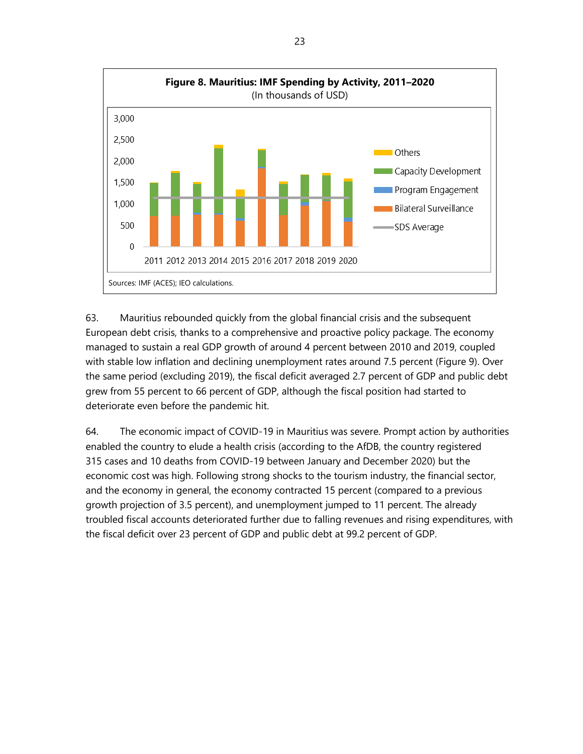

63. Mauritius rebounded quickly from the global financial crisis and the subsequent European debt crisis, thanks to a comprehensive and proactive policy package. The economy managed to sustain a real GDP growth of around 4 percent between 2010 and 2019, coupled with stable low inflation and declining unemployment rates around 7.5 percent (Figure 9). Over the same period (excluding 2019), the fiscal deficit averaged 2.7 percent of GDP and public debt grew from 55 percent to 66 percent of GDP, although the fiscal position had started to deteriorate even before the pandemic hit.

64. The economic impact of COVID-19 in Mauritius was severe. Prompt action by authorities enabled the country to elude a health crisis (according to the AfDB, the country registered 315 cases and 10 deaths from COVID-19 between January and December 2020) but the economic cost was high. Following strong shocks to the tourism industry, the financial sector, and the economy in general, the economy contracted 15 percent (compared to a previous growth projection of 3.5 percent), and unemployment jumped to 11 percent. The already troubled fiscal accounts deteriorated further due to falling revenues and rising expenditures, with the fiscal deficit over 23 percent of GDP and public debt at 99.2 percent of GDP.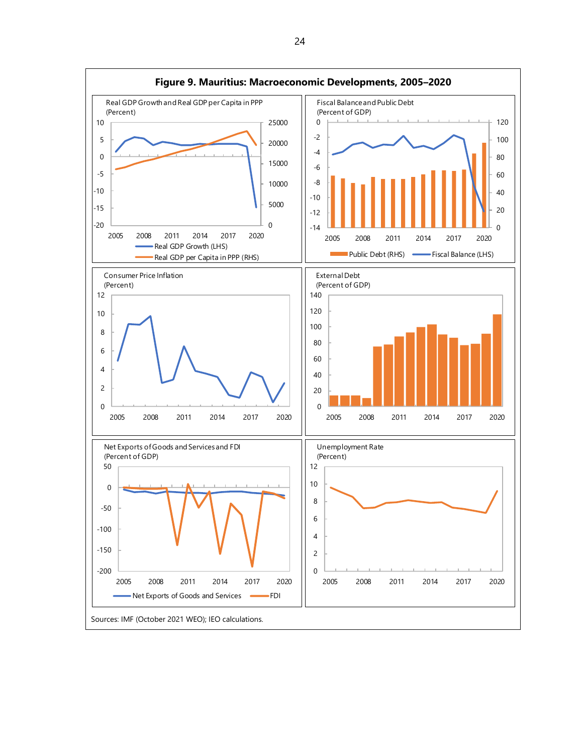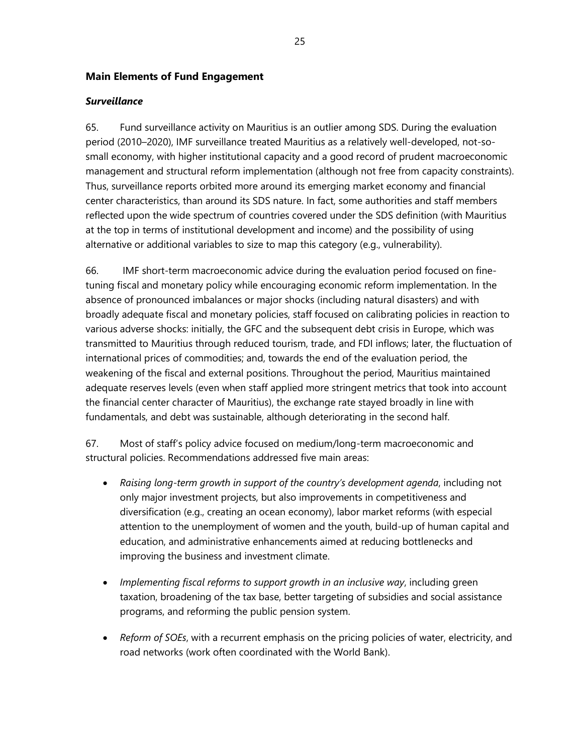#### **Main Elements of Fund Engagement**

#### *Surveillance*

65. Fund surveillance activity on Mauritius is an outlier among SDS. During the evaluation period (2010–2020), IMF surveillance treated Mauritius as a relatively well-developed, not-sosmall economy, with higher institutional capacity and a good record of prudent macroeconomic management and structural reform implementation (although not free from capacity constraints). Thus, surveillance reports orbited more around its emerging market economy and financial center characteristics, than around its SDS nature. In fact, some authorities and staff members reflected upon the wide spectrum of countries covered under the SDS definition (with Mauritius at the top in terms of institutional development and income) and the possibility of using alternative or additional variables to size to map this category (e.g., vulnerability).

66. IMF short-term macroeconomic advice during the evaluation period focused on finetuning fiscal and monetary policy while encouraging economic reform implementation. In the absence of pronounced imbalances or major shocks (including natural disasters) and with broadly adequate fiscal and monetary policies, staff focused on calibrating policies in reaction to various adverse shocks: initially, the GFC and the subsequent debt crisis in Europe, which was transmitted to Mauritius through reduced tourism, trade, and FDI inflows; later, the fluctuation of international prices of commodities; and, towards the end of the evaluation period, the weakening of the fiscal and external positions. Throughout the period, Mauritius maintained adequate reserves levels (even when staff applied more stringent metrics that took into account the financial center character of Mauritius), the exchange rate stayed broadly in line with fundamentals, and debt was sustainable, although deteriorating in the second half.

67. Most of staff's policy advice focused on medium/long-term macroeconomic and structural policies. Recommendations addressed five main areas:

- *Raising long-term growth in support of the country's development agenda*, including not only major investment projects, but also improvements in competitiveness and diversification (e.g., creating an ocean economy), labor market reforms (with especial attention to the unemployment of women and the youth, build-up of human capital and education, and administrative enhancements aimed at reducing bottlenecks and improving the business and investment climate.
- *Implementing fiscal reforms to support growth in an inclusive way*, including green taxation, broadening of the tax base, better targeting of subsidies and social assistance programs, and reforming the public pension system.
- *Reform of SOEs*, with a recurrent emphasis on the pricing policies of water, electricity, and road networks (work often coordinated with the World Bank).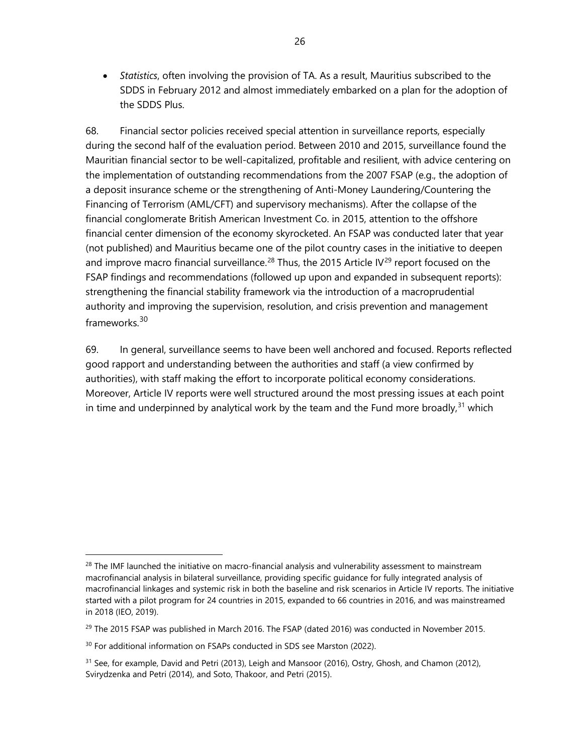• *Statistics*, often involving the provision of TA. As a result, Mauritius subscribed to the SDDS in February 2012 and almost immediately embarked on a plan for the adoption of the SDDS Plus.

68. Financial sector policies received special attention in surveillance reports, especially during the second half of the evaluation period. Between 2010 and 2015, surveillance found the Mauritian financial sector to be well-capitalized, profitable and resilient, with advice centering on the implementation of outstanding recommendations from the 2007 FSAP (e.g., the adoption of a deposit insurance scheme or the strengthening of Anti-Money Laundering/Countering the Financing of Terrorism (AML/CFT) and supervisory mechanisms). After the collapse of the financial conglomerate British American Investment Co. in 2015, attention to the offshore financial center dimension of the economy skyrocketed. An FSAP was conducted later that year (not published) and Mauritius became one of the pilot country cases in the initiative to deepen and improve macro financial surveillance.<sup>[28](#page-31-0)</sup> Thus, the 2015 Article IV<sup>[29](#page-31-1)</sup> report focused on the FSAP findings and recommendations (followed up upon and expanded in subsequent reports): strengthening the financial stability framework via the introduction of a macroprudential authority and improving the supervision, resolution, and crisis prevention and management frameworks. [30](#page-31-2)

69. In general, surveillance seems to have been well anchored and focused. Reports reflected good rapport and understanding between the authorities and staff (a view confirmed by authorities), with staff making the effort to incorporate political economy considerations. Moreover, Article IV reports were well structured around the most pressing issues at each point in time and underpinned by analytical work by the team and the Fund more broadly,<sup>[31](#page-31-3)</sup> which

<span id="page-31-0"></span> $28$  The IMF launched the initiative on macro-financial analysis and vulnerability assessment to mainstream macrofinancial analysis in bilateral surveillance, providing specific guidance for fully integrated analysis of macrofinancial linkages and systemic risk in both the baseline and risk scenarios in Article IV reports. The initiative started with a pilot program for 24 countries in 2015, expanded to 66 countries in 2016, and was mainstreamed in 2018 (IEO, 2019).

<span id="page-31-1"></span> $^{29}$  The 2015 FSAP was published in March 2016. The FSAP (dated 2016) was conducted in November 2015.

<span id="page-31-2"></span><sup>&</sup>lt;sup>30</sup> For additional information on FSAPs conducted in SDS see Marston (2022).

<span id="page-31-3"></span><sup>&</sup>lt;sup>31</sup> See, for example, David and Petri (2013), Leigh and Mansoor (2016), Ostry, Ghosh, and Chamon (2012), Svirydzenka and Petri (2014), and Soto, Thakoor, and Petri (2015).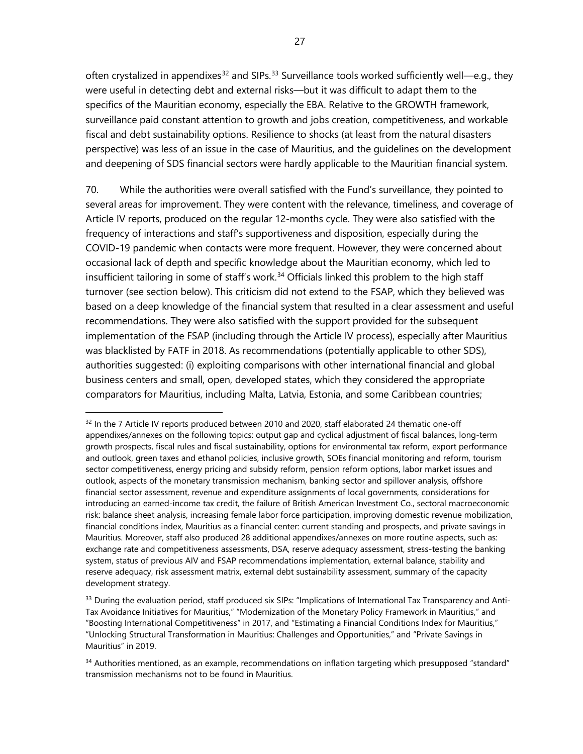often crystalized in appendixes<sup>[32](#page-32-0)</sup> and SIPs.<sup>[33](#page-32-1)</sup> Surveillance tools worked sufficiently well—e.g., they were useful in detecting debt and external risks—but it was difficult to adapt them to the specifics of the Mauritian economy, especially the EBA. Relative to the GROWTH framework, surveillance paid constant attention to growth and jobs creation, competitiveness, and workable fiscal and debt sustainability options. Resilience to shocks (at least from the natural disasters perspective) was less of an issue in the case of Mauritius, and the guidelines on the development and deepening of SDS financial sectors were hardly applicable to the Mauritian financial system.

70. While the authorities were overall satisfied with the Fund's surveillance, they pointed to several areas for improvement. They were content with the relevance, timeliness, and coverage of Article IV reports, produced on the regular 12-months cycle. They were also satisfied with the frequency of interactions and staff's supportiveness and disposition, especially during the COVID-19 pandemic when contacts were more frequent. However, they were concerned about occasional lack of depth and specific knowledge about the Mauritian economy, which led to insufficient tailoring in some of staff's work.<sup>[34](#page-32-2)</sup> Officials linked this problem to the high staff turnover (see section below). This criticism did not extend to the FSAP, which they believed was based on a deep knowledge of the financial system that resulted in a clear assessment and useful recommendations. They were also satisfied with the support provided for the subsequent implementation of the FSAP (including through the Article IV process), especially after Mauritius was blacklisted by FATF in 2018. As recommendations (potentially applicable to other SDS), authorities suggested: (i) exploiting comparisons with other international financial and global business centers and small, open, developed states, which they considered the appropriate comparators for Mauritius, including Malta, Latvia, Estonia, and some Caribbean countries;

<span id="page-32-0"></span> $32$  In the 7 Article IV reports produced between 2010 and 2020, staff elaborated 24 thematic one-off appendixes/annexes on the following topics: output gap and cyclical adjustment of fiscal balances, long-term growth prospects, fiscal rules and fiscal sustainability, options for environmental tax reform, export performance and outlook, green taxes and ethanol policies, inclusive growth, SOEs financial monitoring and reform, tourism sector competitiveness, energy pricing and subsidy reform, pension reform options, labor market issues and outlook, aspects of the monetary transmission mechanism, banking sector and spillover analysis, offshore financial sector assessment, revenue and expenditure assignments of local governments, considerations for introducing an earned-income tax credit, the failure of British American Investment Co., sectoral macroeconomic risk: balance sheet analysis, increasing female labor force participation, improving domestic revenue mobilization, financial conditions index, Mauritius as a financial center: current standing and prospects, and private savings in Mauritius. Moreover, staff also produced 28 additional appendixes/annexes on more routine aspects, such as: exchange rate and competitiveness assessments, DSA, reserve adequacy assessment, stress-testing the banking system, status of previous AIV and FSAP recommendations implementation, external balance, stability and reserve adequacy, risk assessment matrix, external debt sustainability assessment, summary of the capacity development strategy.

<span id="page-32-1"></span> $33$  During the evaluation period, staff produced six SIPs: "Implications of International Tax Transparency and Anti-Tax Avoidance Initiatives for Mauritius," "Modernization of the Monetary Policy Framework in Mauritius," and "Boosting International Competitiveness" in 2017, and "Estimating a Financial Conditions Index for Mauritius," "Unlocking Structural Transformation in Mauritius: Challenges and Opportunities," and "Private Savings in Mauritius" in 2019.

<span id="page-32-2"></span> $34$  Authorities mentioned, as an example, recommendations on inflation targeting which presupposed "standard" transmission mechanisms not to be found in Mauritius.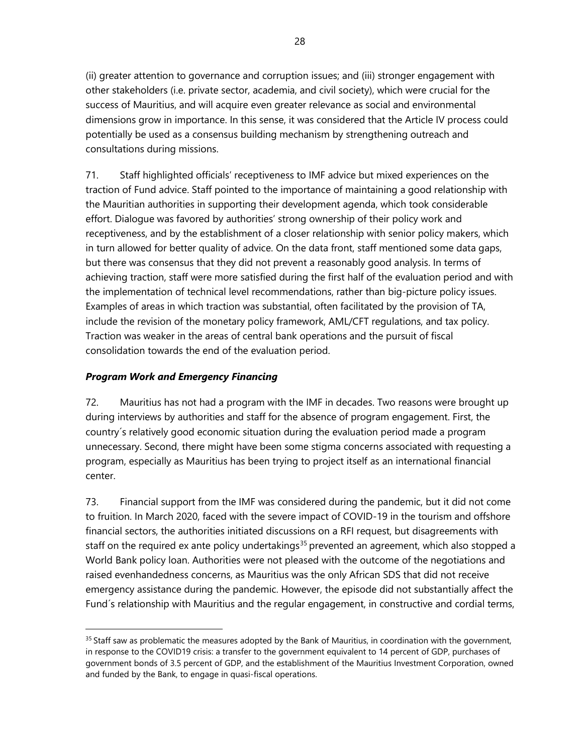(ii) greater attention to governance and corruption issues; and (iii) stronger engagement with other stakeholders (i.e. private sector, academia, and civil society), which were crucial for the success of Mauritius, and will acquire even greater relevance as social and environmental dimensions grow in importance. In this sense, it was considered that the Article IV process could potentially be used as a consensus building mechanism by strengthening outreach and consultations during missions.

71. Staff highlighted officials' receptiveness to IMF advice but mixed experiences on the traction of Fund advice. Staff pointed to the importance of maintaining a good relationship with the Mauritian authorities in supporting their development agenda, which took considerable effort. Dialogue was favored by authorities' strong ownership of their policy work and receptiveness, and by the establishment of a closer relationship with senior policy makers, which in turn allowed for better quality of advice. On the data front, staff mentioned some data gaps, but there was consensus that they did not prevent a reasonably good analysis. In terms of achieving traction, staff were more satisfied during the first half of the evaluation period and with the implementation of technical level recommendations, rather than big-picture policy issues. Examples of areas in which traction was substantial, often facilitated by the provision of TA, include the revision of the monetary policy framework, AML/CFT regulations, and tax policy. Traction was weaker in the areas of central bank operations and the pursuit of fiscal consolidation towards the end of the evaluation period.

# *Program Work and Emergency Financing*

72. Mauritius has not had a program with the IMF in decades. Two reasons were brought up during interviews by authorities and staff for the absence of program engagement. First, the country´s relatively good economic situation during the evaluation period made a program unnecessary. Second, there might have been some stigma concerns associated with requesting a program, especially as Mauritius has been trying to project itself as an international financial center.

73. Financial support from the IMF was considered during the pandemic, but it did not come to fruition. In March 2020, faced with the severe impact of COVID-19 in the tourism and offshore financial sectors, the authorities initiated discussions on a RFI request, but disagreements with staff on the required ex ante policy undertakings<sup>[35](#page-33-0)</sup> prevented an agreement, which also stopped a World Bank policy loan. Authorities were not pleased with the outcome of the negotiations and raised evenhandedness concerns, as Mauritius was the only African SDS that did not receive emergency assistance during the pandemic. However, the episode did not substantially affect the Fund´s relationship with Mauritius and the regular engagement, in constructive and cordial terms,

<span id="page-33-0"></span><sup>&</sup>lt;sup>35</sup> Staff saw as problematic the measures adopted by the Bank of Mauritius, in coordination with the government, in response to the COVID19 crisis: a transfer to the government equivalent to 14 percent of GDP, purchases of government bonds of 3.5 percent of GDP, and the establishment of the Mauritius Investment Corporation, owned and funded by the Bank, to engage in quasi-fiscal operations.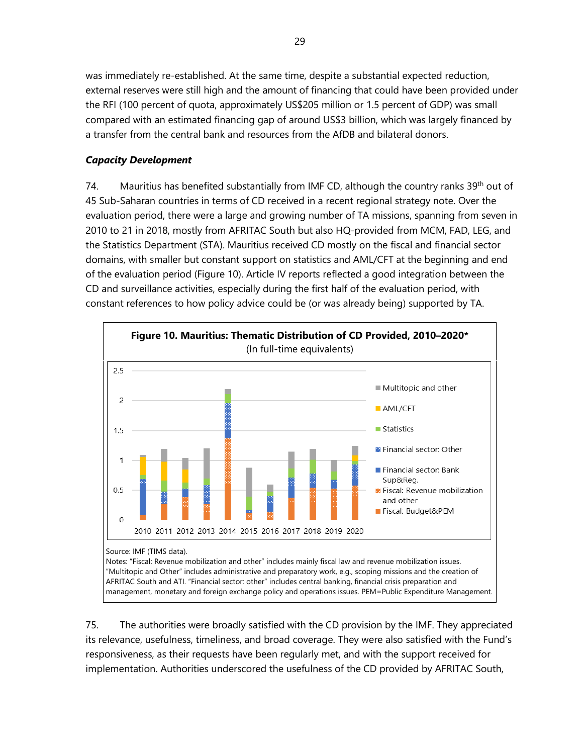was immediately re-established. At the same time, despite a substantial expected reduction, external reserves were still high and the amount of financing that could have been provided under the RFI (100 percent of quota, approximately US\$205 million or 1.5 percent of GDP) was small compared with an estimated financing gap of around US\$3 billion, which was largely financed by a transfer from the central bank and resources from the AfDB and bilateral donors.

# *Capacity Development*

74. Mauritius has benefited substantially from IMF CD, although the country ranks 39<sup>th</sup> out of 45 Sub-Saharan countries in terms of CD received in a recent regional strategy note. Over the evaluation period, there were a large and growing number of TA missions, spanning from seven in 2010 to 21 in 2018, mostly from AFRITAC South but also HQ-provided from MCM, FAD, LEG, and the Statistics Department (STA). Mauritius received CD mostly on the fiscal and financial sector domains, with smaller but constant support on statistics and AML/CFT at the beginning and end of the evaluation period (Figure 10). Article IV reports reflected a good integration between the CD and surveillance activities, especially during the first half of the evaluation period, with constant references to how policy advice could be (or was already being) supported by TA.



75. The authorities were broadly satisfied with the CD provision by the IMF. They appreciated its relevance, usefulness, timeliness, and broad coverage. They were also satisfied with the Fund's responsiveness, as their requests have been regularly met, and with the support received for implementation. Authorities underscored the usefulness of the CD provided by AFRITAC South,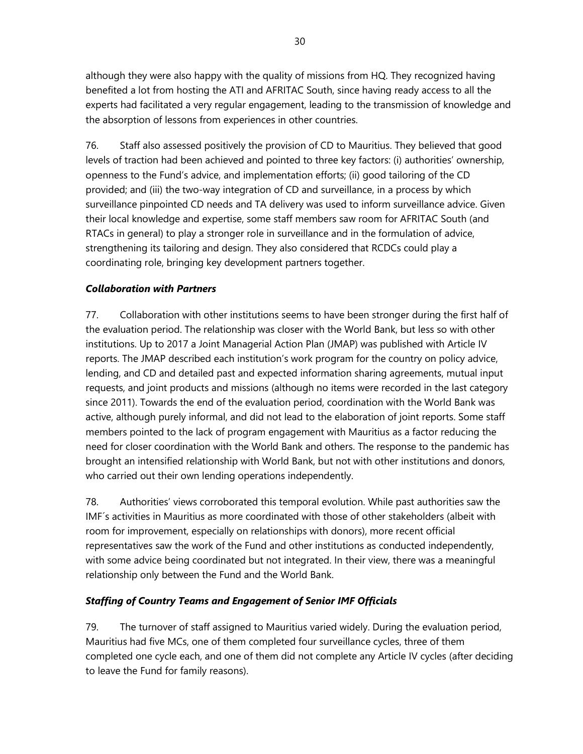although they were also happy with the quality of missions from HQ. They recognized having benefited a lot from hosting the ATI and AFRITAC South, since having ready access to all the experts had facilitated a very regular engagement, leading to the transmission of knowledge and the absorption of lessons from experiences in other countries.

76. Staff also assessed positively the provision of CD to Mauritius. They believed that good levels of traction had been achieved and pointed to three key factors: (i) authorities' ownership, openness to the Fund's advice, and implementation efforts; (ii) good tailoring of the CD provided; and (iii) the two-way integration of CD and surveillance, in a process by which surveillance pinpointed CD needs and TA delivery was used to inform surveillance advice. Given their local knowledge and expertise, some staff members saw room for AFRITAC South (and RTACs in general) to play a stronger role in surveillance and in the formulation of advice, strengthening its tailoring and design. They also considered that RCDCs could play a coordinating role, bringing key development partners together.

# *Collaboration with Partners*

77. Collaboration with other institutions seems to have been stronger during the first half of the evaluation period. The relationship was closer with the World Bank, but less so with other institutions. Up to 2017 a Joint Managerial Action Plan (JMAP) was published with Article IV reports. The JMAP described each institution's work program for the country on policy advice, lending, and CD and detailed past and expected information sharing agreements, mutual input requests, and joint products and missions (although no items were recorded in the last category since 2011). Towards the end of the evaluation period, coordination with the World Bank was active, although purely informal, and did not lead to the elaboration of joint reports. Some staff members pointed to the lack of program engagement with Mauritius as a factor reducing the need for closer coordination with the World Bank and others. The response to the pandemic has brought an intensified relationship with World Bank, but not with other institutions and donors, who carried out their own lending operations independently.

78. Authorities' views corroborated this temporal evolution. While past authorities saw the IMF´s activities in Mauritius as more coordinated with those of other stakeholders (albeit with room for improvement, especially on relationships with donors), more recent official representatives saw the work of the Fund and other institutions as conducted independently, with some advice being coordinated but not integrated. In their view, there was a meaningful relationship only between the Fund and the World Bank.

# *Staffing of Country Teams and Engagement of Senior IMF Officials*

79. The turnover of staff assigned to Mauritius varied widely. During the evaluation period, Mauritius had five MCs, one of them completed four surveillance cycles, three of them completed one cycle each, and one of them did not complete any Article IV cycles (after deciding to leave the Fund for family reasons).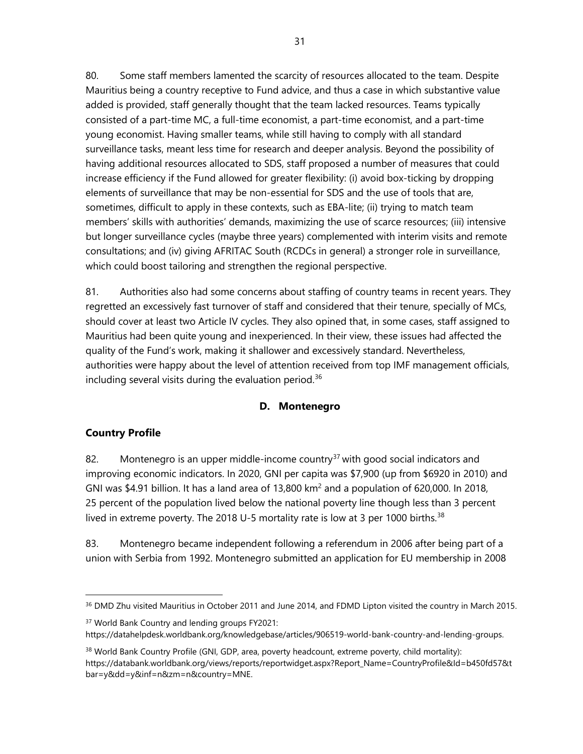80. Some staff members lamented the scarcity of resources allocated to the team. Despite Mauritius being a country receptive to Fund advice, and thus a case in which substantive value added is provided, staff generally thought that the team lacked resources. Teams typically consisted of a part-time MC, a full-time economist, a part-time economist, and a part-time young economist. Having smaller teams, while still having to comply with all standard surveillance tasks, meant less time for research and deeper analysis. Beyond the possibility of having additional resources allocated to SDS, staff proposed a number of measures that could increase efficiency if the Fund allowed for greater flexibility: (i) avoid box-ticking by dropping elements of surveillance that may be non-essential for SDS and the use of tools that are, sometimes, difficult to apply in these contexts, such as EBA-lite; (ii) trying to match team members' skills with authorities' demands, maximizing the use of scarce resources; (iii) intensive but longer surveillance cycles (maybe three years) complemented with interim visits and remote consultations; and (iv) giving AFRITAC South (RCDCs in general) a stronger role in surveillance, which could boost tailoring and strengthen the regional perspective.

81. Authorities also had some concerns about staffing of country teams in recent years. They regretted an excessively fast turnover of staff and considered that their tenure, specially of MCs, should cover at least two Article IV cycles. They also opined that, in some cases, staff assigned to Mauritius had been quite young and inexperienced. In their view, these issues had affected the quality of the Fund's work, making it shallower and excessively standard. Nevertheless, authorities were happy about the level of attention received from top IMF management officials, including several visits during the evaluation period. $36$ 

## **D. Montenegro**

#### **Country Profile**

82. Montenegro is an upper middle-income country<sup>[37](#page-36-1)</sup> with good social indicators and improving economic indicators. In 2020, GNI per capita was \$7,900 (up from \$6920 in 2010) and GNI was \$4.91 billion. It has a land area of 13,800 km<sup>2</sup> and a population of 620,000. In 2018, 25 percent of the population lived below the national poverty line though less than 3 percent lived in extreme poverty. The 2018 U-5 mortality rate is low at 3 per 1000 births.<sup>[38](#page-36-2)</sup>

83. Montenegro became independent following a referendum in 2006 after being part of a union with Serbia from 1992. Montenegro submitted an application for EU membership in 2008

<span id="page-36-0"></span><sup>&</sup>lt;sup>36</sup> DMD Zhu visited Mauritius in October 2011 and June 2014, and FDMD Lipton visited the country in March 2015.

<span id="page-36-1"></span><sup>&</sup>lt;sup>37</sup> World Bank Country and lending groups FY2021: [https://datahelpdesk.worldbank.org/knowledgebase/articles/906519-world-bank-country-and-lending-groups.](https://datahelpdesk.worldbank.org/knowledgebase/articles/906519-world-bank-country-and-lending-groups)

<span id="page-36-2"></span><sup>&</sup>lt;sup>38</sup> World Bank Country Profile (GNI, GDP, area, poverty headcount, extreme poverty, child mortality): [https://databank.worldbank.org/views/reports/reportwidget.aspx?Report\\_Name=CountryProfile&Id=b450fd57&t](https://databank.worldbank.org/views/reports/reportwidget.aspx?Report_Name=CountryProfile&Id=b450fd57&tbar=y&dd=y&inf=n&zm=n&country=MNE) [bar=y&dd=y&inf=n&zm=n&country=MNE.](https://databank.worldbank.org/views/reports/reportwidget.aspx?Report_Name=CountryProfile&Id=b450fd57&tbar=y&dd=y&inf=n&zm=n&country=MNE)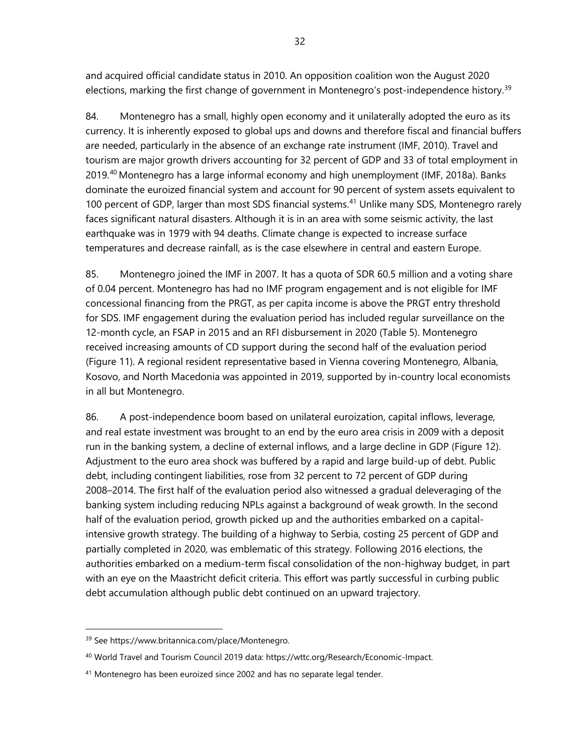and acquired official candidate status in 2010. An opposition coalition won the August 2020 elections, marking the first change of government in Montenegro's post-independence history.<sup>[39](#page-37-0)</sup>

84. Montenegro has a small, highly open economy and it unilaterally adopted the euro as its currency. It is inherently exposed to global ups and downs and therefore fiscal and financial buffers are needed, particularly in the absence of an exchange rate instrument (IMF, 2010). Travel and tourism are major growth drivers accounting for 32 percent of GDP and 33 of total employment in 2019.[40](#page-37-1) Montenegro has a large informal economy and high unemployment (IMF, 2018a). Banks dominate the euroized financial system and account for 90 percent of system assets equivalent to 100 percent of GDP, larger than most SDS financial systems.<sup>[41](#page-37-2)</sup> Unlike many SDS, Montenegro rarely faces significant natural disasters. Although it is in an area with some seismic activity, the last earthquake was in 1979 with 94 deaths. Climate change is expected to increase surface temperatures and decrease rainfall, as is the case elsewhere in central and eastern Europe.

85. Montenegro joined the IMF in 2007. It has a quota of SDR 60.5 million and a voting share of 0.04 percent. Montenegro has had no IMF program engagement and is not eligible for IMF concessional financing from the PRGT, as per capita income is above the PRGT entry threshold for SDS. IMF engagement during the evaluation period has included regular surveillance on the 12-month cycle, an FSAP in 2015 and an RFI disbursement in 2020 (Table 5). Montenegro received increasing amounts of CD support during the second half of the evaluation period (Figure 11). A regional resident representative based in Vienna covering Montenegro, Albania, Kosovo, and North Macedonia was appointed in 2019, supported by in-country local economists in all but Montenegro.

86. A post-independence boom based on unilateral euroization, capital inflows, leverage, and real estate investment was brought to an end by the euro area crisis in 2009 with a deposit run in the banking system, a decline of external inflows, and a large decline in GDP (Figure 12). Adjustment to the euro area shock was buffered by a rapid and large build-up of debt. Public debt, including contingent liabilities, rose from 32 percent to 72 percent of GDP during 2008–2014. The first half of the evaluation period also witnessed a gradual deleveraging of the banking system including reducing NPLs against a background of weak growth. In the second half of the evaluation period, growth picked up and the authorities embarked on a capitalintensive growth strategy. The building of a highway to Serbia, costing 25 percent of GDP and partially completed in 2020, was emblematic of this strategy. Following 2016 elections, the authorities embarked on a medium-term fiscal consolidation of the non-highway budget, in part with an eye on the Maastricht deficit criteria. This effort was partly successful in curbing public debt accumulation although public debt continued on an upward trajectory.

<span id="page-37-0"></span><sup>39</sup> See https://www.britannica.com/place/Montenegro.

<span id="page-37-1"></span><sup>40</sup> World Travel and Tourism Council 2019 data: [https://wttc.org/Research/Economic-Impact.](https://wttc.org/Research/Economic-Impact)

<span id="page-37-2"></span><sup>&</sup>lt;sup>41</sup> Montenegro has been euroized since 2002 and has no separate legal tender.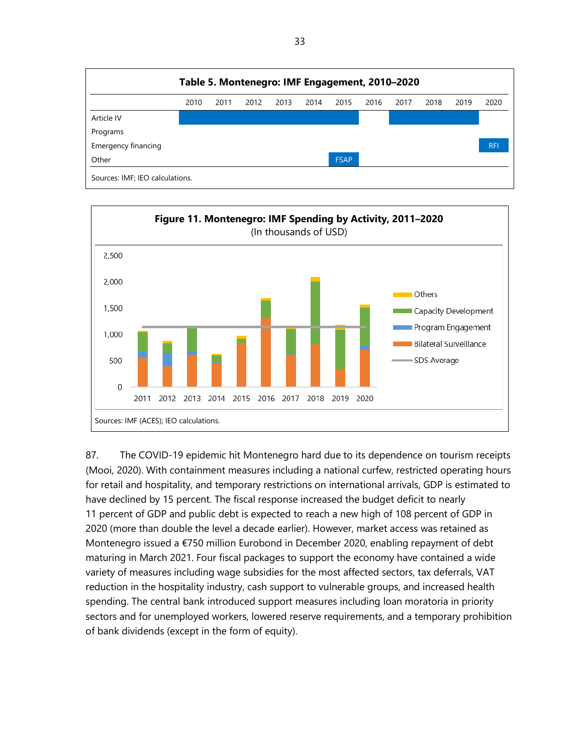



87. The COVID-19 epidemic hit Montenegro hard due to its dependence on tourism receipts (Mooi, 2020). With containment measures including a national curfew, restricted operating hours for retail and hospitality, and temporary restrictions on international arrivals, GDP is estimated to have declined by 15 percent. The fiscal response increased the budget deficit to nearly 11 percent of GDP and public debt is expected to reach a new high of 108 percent of GDP in 2020 (more than double the level a decade earlier). However, market access was retained as Montenegro issued a €750 million Eurobond in December 2020, enabling repayment of debt maturing in March 2021. Four fiscal packages to support the economy have contained a wide variety of measures including wage subsidies for the most affected sectors, tax deferrals, VAT reduction in the hospitality industry, cash support to vulnerable groups, and increased health spending. The central bank introduced support measures including loan moratoria in priority sectors and for unemployed workers, lowered reserve requirements, and a temporary prohibition of bank dividends (except in the form of equity).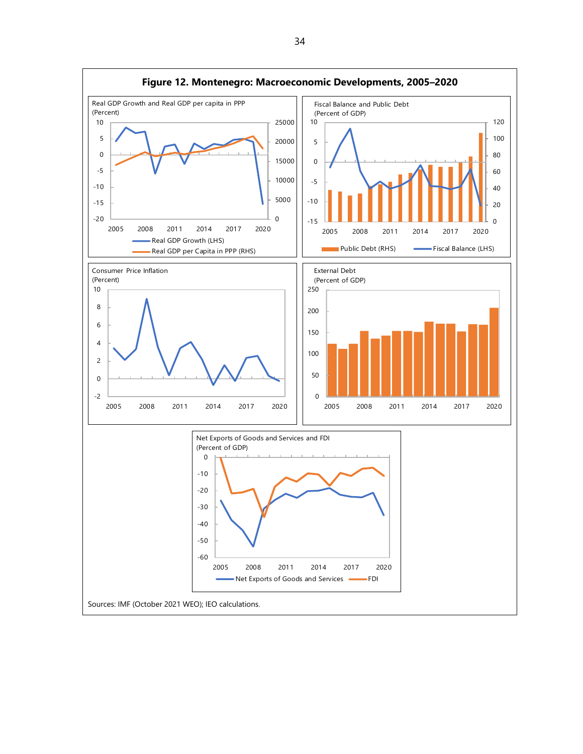

34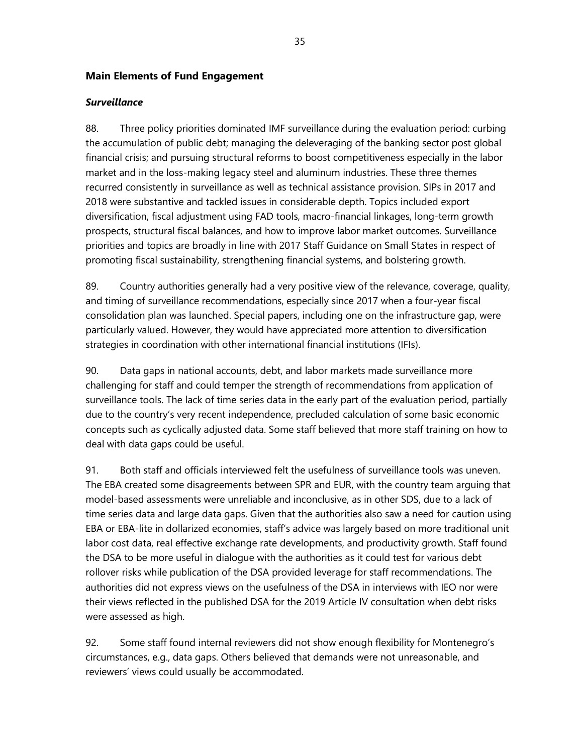#### **Main Elements of Fund Engagement**

#### *Surveillance*

88. Three policy priorities dominated IMF surveillance during the evaluation period: curbing the accumulation of public debt; managing the deleveraging of the banking sector post global financial crisis; and pursuing structural reforms to boost competitiveness especially in the labor market and in the loss-making legacy steel and aluminum industries. These three themes recurred consistently in surveillance as well as technical assistance provision. SIPs in 2017 and 2018 were substantive and tackled issues in considerable depth. Topics included export diversification, fiscal adjustment using FAD tools, macro-financial linkages, long-term growth prospects, structural fiscal balances, and how to improve labor market outcomes. Surveillance priorities and topics are broadly in line with 2017 Staff Guidance on Small States in respect of promoting fiscal sustainability, strengthening financial systems, and bolstering growth.

89. Country authorities generally had a very positive view of the relevance, coverage, quality, and timing of surveillance recommendations, especially since 2017 when a four-year fiscal consolidation plan was launched. Special papers, including one on the infrastructure gap, were particularly valued. However, they would have appreciated more attention to diversification strategies in coordination with other international financial institutions (IFIs).

90. Data gaps in national accounts, debt, and labor markets made surveillance more challenging for staff and could temper the strength of recommendations from application of surveillance tools. The lack of time series data in the early part of the evaluation period, partially due to the country's very recent independence, precluded calculation of some basic economic concepts such as cyclically adjusted data. Some staff believed that more staff training on how to deal with data gaps could be useful.

91. Both staff and officials interviewed felt the usefulness of surveillance tools was uneven. The EBA created some disagreements between SPR and EUR, with the country team arguing that model-based assessments were unreliable and inconclusive, as in other SDS, due to a lack of time series data and large data gaps. Given that the authorities also saw a need for caution using EBA or EBA-lite in dollarized economies, staff's advice was largely based on more traditional unit labor cost data, real effective exchange rate developments, and productivity growth. Staff found the DSA to be more useful in dialogue with the authorities as it could test for various debt rollover risks while publication of the DSA provided leverage for staff recommendations. The authorities did not express views on the usefulness of the DSA in interviews with IEO nor were their views reflected in the published DSA for the 2019 Article IV consultation when debt risks were assessed as high.

92. Some staff found internal reviewers did not show enough flexibility for Montenegro's circumstances, e.g., data gaps. Others believed that demands were not unreasonable, and reviewers' views could usually be accommodated.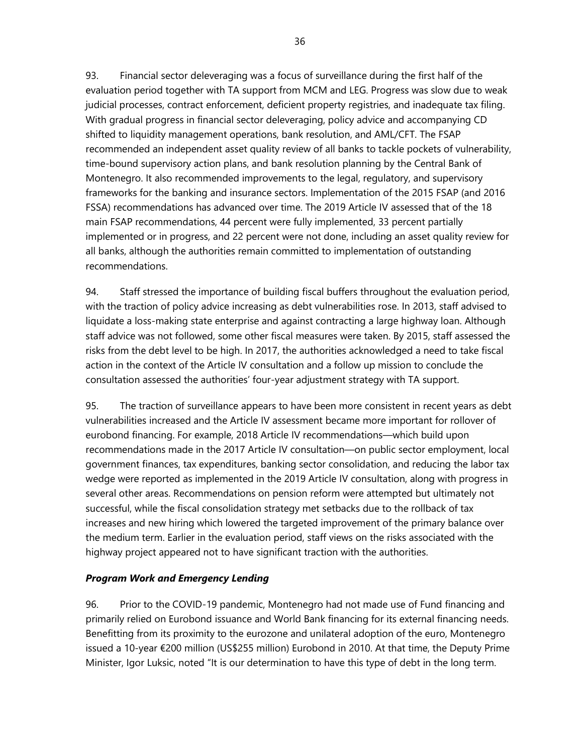93. Financial sector deleveraging was a focus of surveillance during the first half of the evaluation period together with TA support from MCM and LEG. Progress was slow due to weak judicial processes, contract enforcement, deficient property registries, and inadequate tax filing. With gradual progress in financial sector deleveraging, policy advice and accompanying CD shifted to liquidity management operations, bank resolution, and AML/CFT. The FSAP recommended an independent asset quality review of all banks to tackle pockets of vulnerability, time-bound supervisory action plans, and bank resolution planning by the Central Bank of Montenegro. It also recommended improvements to the legal, regulatory, and supervisory frameworks for the banking and insurance sectors. Implementation of the 2015 FSAP (and 2016 FSSA) recommendations has advanced over time. The 2019 Article IV assessed that of the 18 main FSAP recommendations, 44 percent were fully implemented, 33 percent partially implemented or in progress, and 22 percent were not done, including an asset quality review for all banks, although the authorities remain committed to implementation of outstanding recommendations.

94. Staff stressed the importance of building fiscal buffers throughout the evaluation period, with the traction of policy advice increasing as debt vulnerabilities rose. In 2013, staff advised to liquidate a loss-making state enterprise and against contracting a large highway loan. Although staff advice was not followed, some other fiscal measures were taken. By 2015, staff assessed the risks from the debt level to be high. In 2017, the authorities acknowledged a need to take fiscal action in the context of the Article IV consultation and a follow up mission to conclude the consultation assessed the authorities' four-year adjustment strategy with TA support.

95. The traction of surveillance appears to have been more consistent in recent years as debt vulnerabilities increased and the Article IV assessment became more important for rollover of eurobond financing. For example, 2018 Article IV recommendations—which build upon recommendations made in the 2017 Article IV consultation—on public sector employment, local government finances, tax expenditures, banking sector consolidation, and reducing the labor tax wedge were reported as implemented in the 2019 Article IV consultation, along with progress in several other areas. Recommendations on pension reform were attempted but ultimately not successful, while the fiscal consolidation strategy met setbacks due to the rollback of tax increases and new hiring which lowered the targeted improvement of the primary balance over the medium term. Earlier in the evaluation period, staff views on the risks associated with the highway project appeared not to have significant traction with the authorities.

## *Program Work and Emergency Lending*

96. Prior to the COVID-19 pandemic, Montenegro had not made use of Fund financing and primarily relied on Eurobond issuance and World Bank financing for its external financing needs. Benefitting from its proximity to the eurozone and unilateral adoption of the euro, Montenegro issued a 10-year €200 million (US\$255 million) Eurobond in 2010. At that time, the Deputy Prime Minister, Igor Luksic, noted "It is our determination to have this type of debt in the long term.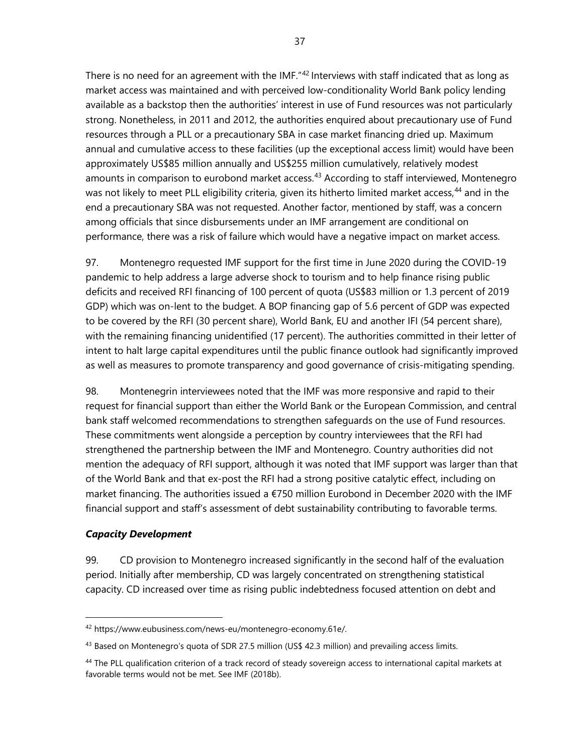There is no need for an agreement with the IMF."<sup>[42](#page-42-0)</sup> Interviews with staff indicated that as long as market access was maintained and with perceived low-conditionality World Bank policy lending available as a backstop then the authorities' interest in use of Fund resources was not particularly strong. Nonetheless, in 2011 and 2012, the authorities enquired about precautionary use of Fund resources through a PLL or a precautionary SBA in case market financing dried up. Maximum annual and cumulative access to these facilities (up the exceptional access limit) would have been approximately US\$85 million annually and US\$255 million cumulatively, relatively modest amounts in comparison to eurobond market access.<sup>[43](#page-42-1)</sup> According to staff interviewed, Montenegro was not likely to meet PLL eligibility criteria, given its hitherto limited market access,<sup>[44](#page-42-2)</sup> and in the end a precautionary SBA was not requested. Another factor, mentioned by staff, was a concern among officials that since disbursements under an IMF arrangement are conditional on performance, there was a risk of failure which would have a negative impact on market access.

97. Montenegro requested IMF support for the first time in June 2020 during the COVID-19 pandemic to help address a large adverse shock to tourism and to help finance rising public deficits and received RFI financing of 100 percent of quota (US\$83 million or 1.3 percent of 2019 GDP) which was on-lent to the budget. A BOP financing gap of 5.6 percent of GDP was expected to be covered by the RFI (30 percent share), World Bank, EU and another IFI (54 percent share), with the remaining financing unidentified (17 percent). The authorities committed in their letter of intent to halt large capital expenditures until the public finance outlook had significantly improved as well as measures to promote transparency and good governance of crisis-mitigating spending.

98. Montenegrin interviewees noted that the IMF was more responsive and rapid to their request for financial support than either the World Bank or the European Commission, and central bank staff welcomed recommendations to strengthen safeguards on the use of Fund resources. These commitments went alongside a perception by country interviewees that the RFI had strengthened the partnership between the IMF and Montenegro. Country authorities did not mention the adequacy of RFI support, although it was noted that IMF support was larger than that of the World Bank and that ex-post the RFI had a strong positive catalytic effect, including on market financing. The authorities issued a €750 million Eurobond in December 2020 with the IMF financial support and staff's assessment of debt sustainability contributing to favorable terms.

#### *Capacity Development*

99. CD provision to Montenegro increased significantly in the second half of the evaluation period. Initially after membership, CD was largely concentrated on strengthening statistical capacity. CD increased over time as rising public indebtedness focused attention on debt and

<span id="page-42-0"></span><sup>42</sup> [https://www.eubusiness.com/news-eu/montenegro-economy.61e/.](https://www.eubusiness.com/news-eu/montenegro-economy.61e/)

<span id="page-42-1"></span> $43$  Based on Montenegro's quota of SDR 27.5 million (US\$ 42.3 million) and prevailing access limits.

<span id="page-42-2"></span><sup>&</sup>lt;sup>44</sup> The PLL qualification criterion of a track record of steady sovereign access to international capital markets at favorable terms would not be met. See IMF (2018b).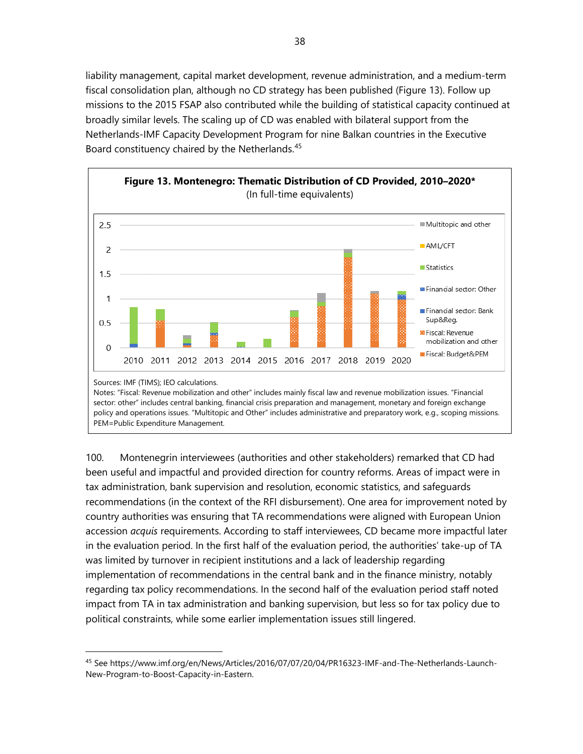liability management, capital market development, revenue administration, and a medium-term fiscal consolidation plan, although no CD strategy has been published (Figure 13). Follow up missions to the 2015 FSAP also contributed while the building of statistical capacity continued at broadly similar levels. The scaling up of CD was enabled with bilateral support from the Netherlands-IMF Capacity Development Program for nine Balkan countries in the Executive Board constituency chaired by the Netherlands.<sup>[45](#page-43-0)</sup>



100. Montenegrin interviewees (authorities and other stakeholders) remarked that CD had been useful and impactful and provided direction for country reforms. Areas of impact were in tax administration, bank supervision and resolution, economic statistics, and safeguards recommendations (in the context of the RFI disbursement). One area for improvement noted by country authorities was ensuring that TA recommendations were aligned with European Union accession *acquis* requirements. According to staff interviewees, CD became more impactful later in the evaluation period. In the first half of the evaluation period, the authorities' take-up of TA was limited by turnover in recipient institutions and a lack of leadership regarding implementation of recommendations in the central bank and in the finance ministry, notably regarding tax policy recommendations. In the second half of the evaluation period staff noted impact from TA in tax administration and banking supervision, but less so for tax policy due to political constraints, while some earlier implementation issues still lingered.

<span id="page-43-0"></span><sup>45</sup> Se[e https://www.imf.org/en/News/Articles/2016/07/07/20/04/PR16323-IMF-and-The-Netherlands-Launch-](https://www.imf.org/en/News/Articles/2016/07/07/20/04/PR16323-IMF-and-The-Netherlands-Launch-New-Program-to-Boost-Capacity-in-Eastern)[New-Program-to-Boost-Capacity-in-Eastern.](https://www.imf.org/en/News/Articles/2016/07/07/20/04/PR16323-IMF-and-The-Netherlands-Launch-New-Program-to-Boost-Capacity-in-Eastern)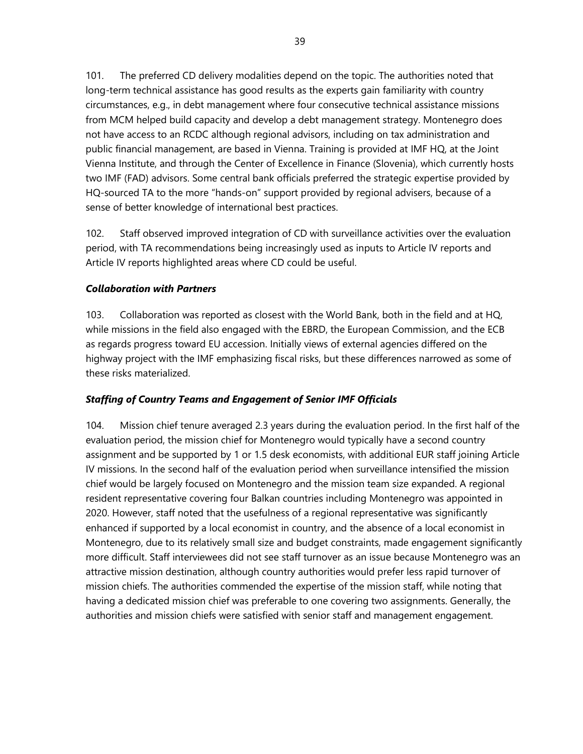101. The preferred CD delivery modalities depend on the topic. The authorities noted that long-term technical assistance has good results as the experts gain familiarity with country circumstances, e.g., in debt management where four consecutive technical assistance missions from MCM helped build capacity and develop a debt management strategy. Montenegro does not have access to an RCDC although regional advisors, including on tax administration and public financial management, are based in Vienna. Training is provided at IMF HQ, at the Joint Vienna Institute, and through the Center of Excellence in Finance (Slovenia), which currently hosts two IMF (FAD) advisors. Some central bank officials preferred the strategic expertise provided by HQ-sourced TA to the more "hands-on" support provided by regional advisers, because of a sense of better knowledge of international best practices.

102. Staff observed improved integration of CD with surveillance activities over the evaluation period, with TA recommendations being increasingly used as inputs to Article IV reports and Article IV reports highlighted areas where CD could be useful.

### *Collaboration with Partners*

103. Collaboration was reported as closest with the World Bank, both in the field and at HQ, while missions in the field also engaged with the EBRD, the European Commission, and the ECB as regards progress toward EU accession. Initially views of external agencies differed on the highway project with the IMF emphasizing fiscal risks, but these differences narrowed as some of these risks materialized.

#### *Staffing of Country Teams and Engagement of Senior IMF Officials*

104. Mission chief tenure averaged 2.3 years during the evaluation period. In the first half of the evaluation period, the mission chief for Montenegro would typically have a second country assignment and be supported by 1 or 1.5 desk economists, with additional EUR staff joining Article IV missions. In the second half of the evaluation period when surveillance intensified the mission chief would be largely focused on Montenegro and the mission team size expanded. A regional resident representative covering four Balkan countries including Montenegro was appointed in 2020. However, staff noted that the usefulness of a regional representative was significantly enhanced if supported by a local economist in country, and the absence of a local economist in Montenegro, due to its relatively small size and budget constraints, made engagement significantly more difficult. Staff interviewees did not see staff turnover as an issue because Montenegro was an attractive mission destination, although country authorities would prefer less rapid turnover of mission chiefs. The authorities commended the expertise of the mission staff, while noting that having a dedicated mission chief was preferable to one covering two assignments. Generally, the authorities and mission chiefs were satisfied with senior staff and management engagement.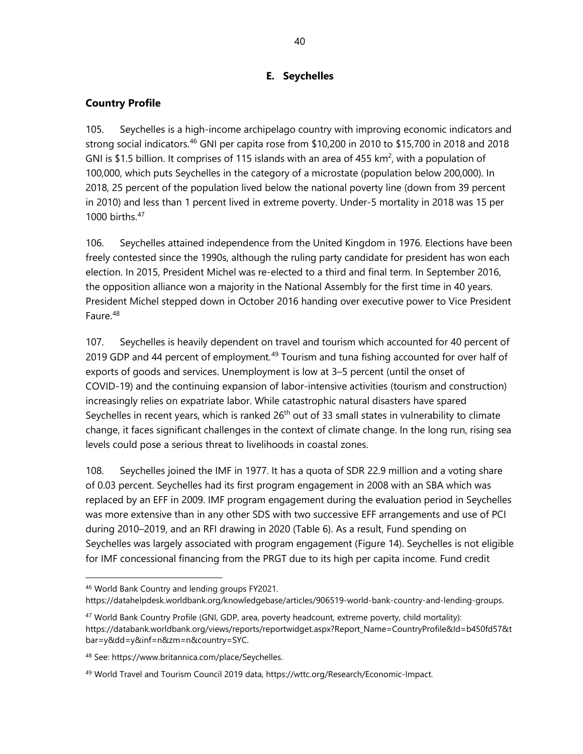## **E. Seychelles**

## **Country Profile**

105. Seychelles is a high-income archipelago country with improving economic indicators and strong social indicators. [46](#page-45-0) GNI per capita rose from \$10,200 in 2010 to \$15,700 in 2018 and 2018 GNI is \$1.5 billion. It comprises of 115 islands with an area of 455 km<sup>2</sup>, with a population of 100,000, which puts Seychelles in the category of a microstate (population below 200,000). In 2018, 25 percent of the population lived below the national poverty line (down from 39 percent in 2010) and less than 1 percent lived in extreme poverty. Under-5 mortality in 2018 was 15 per 1000 births.<sup>[47](#page-45-1)</sup>

106. Seychelles attained independence from the United Kingdom in 1976. Elections have been freely contested since the 1990s, although the ruling party candidate for president has won each election. In 2015, President Michel was re-elected to a third and final term. In September 2016, the opposition alliance won a majority in the National Assembly for the first time in 40 years. President Michel stepped down in October 2016 handing over executive power to Vice President Faure.<sup>[48](#page-45-2)</sup>

107. Seychelles is heavily dependent on travel and tourism which accounted for 40 percent of 2019 GDP and 44 percent of employment.<sup>[49](#page-45-3)</sup> Tourism and tuna fishing accounted for over half of exports of goods and services. Unemployment is low at 3–5 percent (until the onset of COVID-19) and the continuing expansion of labor-intensive activities (tourism and construction) increasingly relies on expatriate labor. While catastrophic natural disasters have spared Seychelles in recent years, which is ranked 26<sup>th</sup> out of 33 small states in vulnerability to climate change, it faces significant challenges in the context of climate change. In the long run, rising sea levels could pose a serious threat to livelihoods in coastal zones.

108. Seychelles joined the IMF in 1977. It has a quota of SDR 22.9 million and a voting share of 0.03 percent. Seychelles had its first program engagement in 2008 with an SBA which was replaced by an EFF in 2009. IMF program engagement during the evaluation period in Seychelles was more extensive than in any other SDS with two successive EFF arrangements and use of PCI during 2010–2019, and an RFI drawing in 2020 (Table 6). As a result, Fund spending on Seychelles was largely associated with program engagement (Figure 14). Seychelles is not eligible for IMF concessional financing from the PRGT due to its high per capita income. Fund credit

<span id="page-45-0"></span><sup>46</sup> World Bank Country and lending groups FY2021.

[https://datahelpdesk.worldbank.org/knowledgebase/articles/906519-world-bank-country-and-lending-groups.](https://datahelpdesk.worldbank.org/knowledgebase/articles/906519-world-bank-country-and-lending-groups)

<span id="page-45-1"></span><sup>47</sup> World Bank Country Profile (GNI, GDP, area, poverty headcount, extreme poverty, child mortality): [https://databank.worldbank.org/views/reports/reportwidget.aspx?Report\\_Name=CountryProfile&Id=b450fd57&t](https://databank.worldbank.org/views/reports/reportwidget.aspx?Report_Name=CountryProfile&Id=b450fd57&tbar=y&dd=y&inf=n&zm=n&country=SYC) [bar=y&dd=y&inf=n&zm=n&country=SYC.](https://databank.worldbank.org/views/reports/reportwidget.aspx?Report_Name=CountryProfile&Id=b450fd57&tbar=y&dd=y&inf=n&zm=n&country=SYC)

<span id="page-45-2"></span><sup>48</sup> [See:](https://en.wikipedia.org/wiki/Seychelles) https://www.britannica.com/place/Seychelles.

<span id="page-45-3"></span><sup>&</sup>lt;sup>49</sup> World Travel and Tourism Council 2019 data[, https://wttc.org/Research/Economic-Impact.](https://wttc.org/Research/Economic-Impact)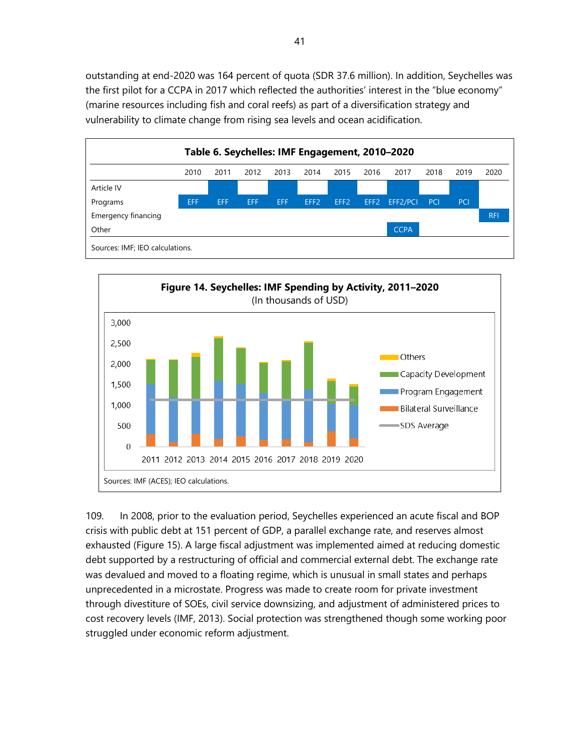outstanding at end-2020 was 164 percent of quota (SDR 37.6 million). In addition, Seychelles was the first pilot for a CCPA in 2017 which reflected the authorities' interest in the "blue economy" (marine resources including fish and coral reefs) as part of a diversification strategy and vulnerability to climate change from rising sea levels and ocean acidification.





109. In 2008, prior to the evaluation period, Seychelles experienced an acute fiscal and BOP crisis with public debt at 151 percent of GDP, a parallel exchange rate, and reserves almost exhausted (Figure 15). A large fiscal adjustment was implemented aimed at reducing domestic debt supported by a restructuring of official and commercial external debt. The exchange rate was devalued and moved to a floating regime, which is unusual in small states and perhaps unprecedented in a microstate. Progress was made to create room for private investment through divestiture of SOEs, civil service downsizing, and adjustment of administered prices to cost recovery levels (IMF, 2013). Social protection was strengthened though some working poor struggled under economic reform adjustment.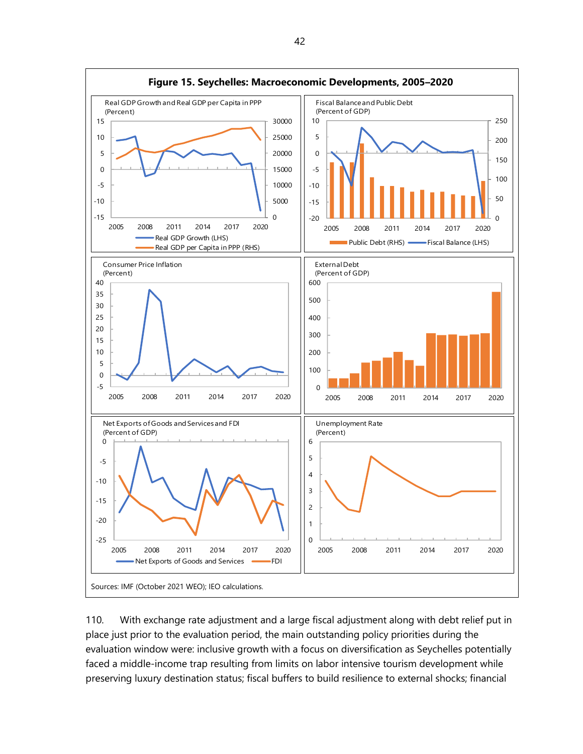

110. With exchange rate adjustment and a large fiscal adjustment along with debt relief put in place just prior to the evaluation period, the main outstanding policy priorities during the evaluation window were: inclusive growth with a focus on diversification as Seychelles potentially faced a middle-income trap resulting from limits on labor intensive tourism development while preserving luxury destination status; fiscal buffers to build resilience to external shocks; financial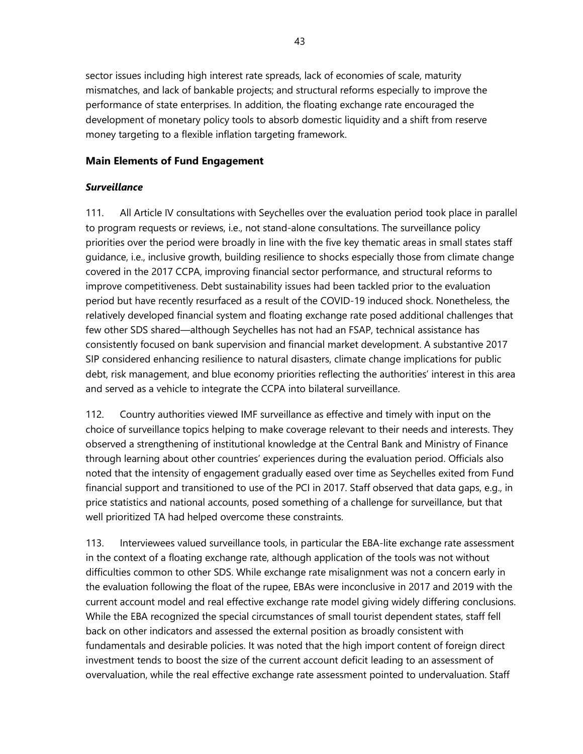sector issues including high interest rate spreads, lack of economies of scale, maturity mismatches, and lack of bankable projects; and structural reforms especially to improve the performance of state enterprises. In addition, the floating exchange rate encouraged the development of monetary policy tools to absorb domestic liquidity and a shift from reserve money targeting to a flexible inflation targeting framework.

#### **Main Elements of Fund Engagement**

#### *Surveillance*

111. All Article IV consultations with Seychelles over the evaluation period took place in parallel to program requests or reviews, i.e., not stand-alone consultations. The surveillance policy priorities over the period were broadly in line with the five key thematic areas in small states staff guidance, i.e., inclusive growth, building resilience to shocks especially those from climate change covered in the 2017 CCPA, improving financial sector performance, and structural reforms to improve competitiveness. Debt sustainability issues had been tackled prior to the evaluation period but have recently resurfaced as a result of the COVID-19 induced shock. Nonetheless, the relatively developed financial system and floating exchange rate posed additional challenges that few other SDS shared—although Seychelles has not had an FSAP, technical assistance has consistently focused on bank supervision and financial market development. A substantive 2017 SIP considered enhancing resilience to natural disasters, climate change implications for public debt, risk management, and blue economy priorities reflecting the authorities' interest in this area and served as a vehicle to integrate the CCPA into bilateral surveillance.

112. Country authorities viewed IMF surveillance as effective and timely with input on the choice of surveillance topics helping to make coverage relevant to their needs and interests. They observed a strengthening of institutional knowledge at the Central Bank and Ministry of Finance through learning about other countries' experiences during the evaluation period. Officials also noted that the intensity of engagement gradually eased over time as Seychelles exited from Fund financial support and transitioned to use of the PCI in 2017. Staff observed that data gaps, e.g., in price statistics and national accounts, posed something of a challenge for surveillance, but that well prioritized TA had helped overcome these constraints.

113. Interviewees valued surveillance tools, in particular the EBA-lite exchange rate assessment in the context of a floating exchange rate, although application of the tools was not without difficulties common to other SDS. While exchange rate misalignment was not a concern early in the evaluation following the float of the rupee, EBAs were inconclusive in 2017 and 2019 with the current account model and real effective exchange rate model giving widely differing conclusions. While the EBA recognized the special circumstances of small tourist dependent states, staff fell back on other indicators and assessed the external position as broadly consistent with fundamentals and desirable policies. It was noted that the high import content of foreign direct investment tends to boost the size of the current account deficit leading to an assessment of overvaluation, while the real effective exchange rate assessment pointed to undervaluation. Staff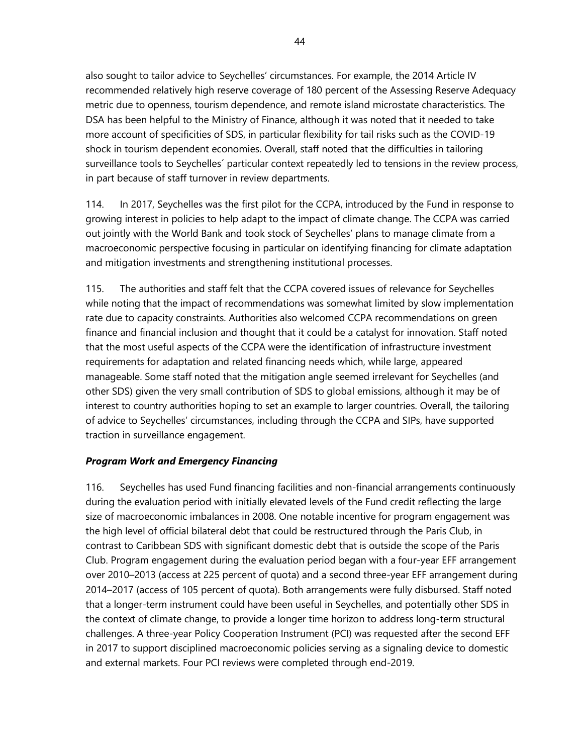also sought to tailor advice to Seychelles' circumstances. For example, the 2014 Article IV recommended relatively high reserve coverage of 180 percent of the Assessing Reserve Adequacy metric due to openness, tourism dependence, and remote island microstate characteristics. The DSA has been helpful to the Ministry of Finance, although it was noted that it needed to take more account of specificities of SDS, in particular flexibility for tail risks such as the COVID-19 shock in tourism dependent economies. Overall, staff noted that the difficulties in tailoring surveillance tools to Seychelles´ particular context repeatedly led to tensions in the review process, in part because of staff turnover in review departments.

114. In 2017, Seychelles was the first pilot for the CCPA, introduced by the Fund in response to growing interest in policies to help adapt to the impact of climate change. The CCPA was carried out jointly with the World Bank and took stock of Seychelles' plans to manage climate from a macroeconomic perspective focusing in particular on identifying financing for climate adaptation and mitigation investments and strengthening institutional processes.

115. The authorities and staff felt that the CCPA covered issues of relevance for Seychelles while noting that the impact of recommendations was somewhat limited by slow implementation rate due to capacity constraints. Authorities also welcomed CCPA recommendations on green finance and financial inclusion and thought that it could be a catalyst for innovation. Staff noted that the most useful aspects of the CCPA were the identification of infrastructure investment requirements for adaptation and related financing needs which, while large, appeared manageable. Some staff noted that the mitigation angle seemed irrelevant for Seychelles (and other SDS) given the very small contribution of SDS to global emissions, although it may be of interest to country authorities hoping to set an example to larger countries. Overall, the tailoring of advice to Seychelles' circumstances, including through the CCPA and SIPs, have supported traction in surveillance engagement.

#### *Program Work and Emergency Financing*

116. Seychelles has used Fund financing facilities and non-financial arrangements continuously during the evaluation period with initially elevated levels of the Fund credit reflecting the large size of macroeconomic imbalances in 2008. One notable incentive for program engagement was the high level of official bilateral debt that could be restructured through the Paris Club, in contrast to Caribbean SDS with significant domestic debt that is outside the scope of the Paris Club. Program engagement during the evaluation period began with a four-year EFF arrangement over 2010–2013 (access at 225 percent of quota) and a second three-year EFF arrangement during 2014–2017 (access of 105 percent of quota). Both arrangements were fully disbursed. Staff noted that a longer-term instrument could have been useful in Seychelles, and potentially other SDS in the context of climate change, to provide a longer time horizon to address long-term structural challenges. A three-year Policy Cooperation Instrument (PCI) was requested after the second EFF in 2017 to support disciplined macroeconomic policies serving as a signaling device to domestic and external markets. Four PCI reviews were completed through end-2019.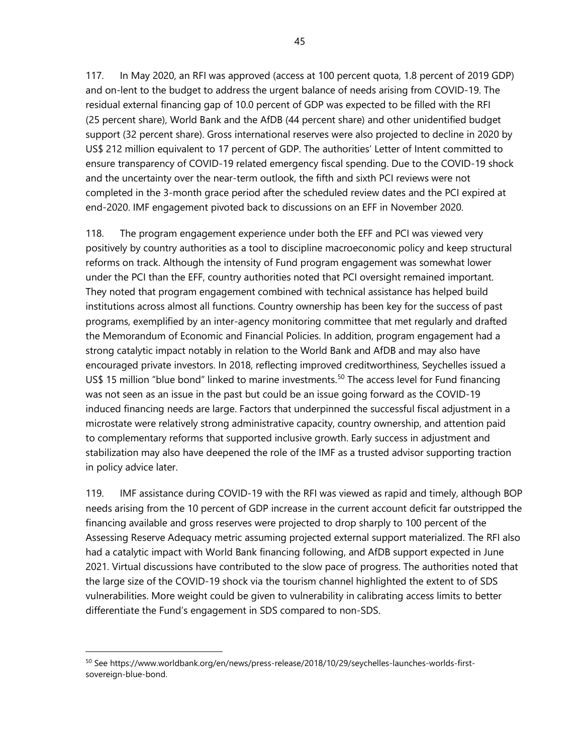117. In May 2020, an RFI was approved (access at 100 percent quota, 1.8 percent of 2019 GDP) and on-lent to the budget to address the urgent balance of needs arising from COVID-19. The residual external financing gap of 10.0 percent of GDP was expected to be filled with the RFI (25 percent share), World Bank and the AfDB (44 percent share) and other unidentified budget support (32 percent share). Gross international reserves were also projected to decline in 2020 by US\$ 212 million equivalent to 17 percent of GDP. The authorities' Letter of Intent committed to ensure transparency of COVID-19 related emergency fiscal spending. Due to the COVID-19 shock and the uncertainty over the near-term outlook, the fifth and sixth PCI reviews were not completed in the 3-month grace period after the scheduled review dates and the PCI expired at end-2020. IMF engagement pivoted back to discussions on an EFF in November 2020.

118. The program engagement experience under both the EFF and PCI was viewed very positively by country authorities as a tool to discipline macroeconomic policy and keep structural reforms on track. Although the intensity of Fund program engagement was somewhat lower under the PCI than the EFF, country authorities noted that PCI oversight remained important. They noted that program engagement combined with technical assistance has helped build institutions across almost all functions. Country ownership has been key for the success of past programs, exemplified by an inter-agency monitoring committee that met regularly and drafted the Memorandum of Economic and Financial Policies. In addition, program engagement had a strong catalytic impact notably in relation to the World Bank and AfDB and may also have encouraged private investors. In 2018, reflecting improved creditworthiness, Seychelles issued a US\$ 15 million "blue bond" linked to marine investments.<sup>[50](#page-50-0)</sup> The access level for Fund financing was not seen as an issue in the past but could be an issue going forward as the COVID-19 induced financing needs are large. Factors that underpinned the successful fiscal adjustment in a microstate were relatively strong administrative capacity, country ownership, and attention paid to complementary reforms that supported inclusive growth. Early success in adjustment and stabilization may also have deepened the role of the IMF as a trusted advisor supporting traction in policy advice later.

119. IMF assistance during COVID-19 with the RFI was viewed as rapid and timely, although BOP needs arising from the 10 percent of GDP increase in the current account deficit far outstripped the financing available and gross reserves were projected to drop sharply to 100 percent of the Assessing Reserve Adequacy metric assuming projected external support materialized. The RFI also had a catalytic impact with World Bank financing following, and AfDB support expected in June 2021. Virtual discussions have contributed to the slow pace of progress. The authorities noted that the large size of the COVID-19 shock via the tourism channel highlighted the extent to of SDS vulnerabilities. More weight could be given to vulnerability in calibrating access limits to better differentiate the Fund's engagement in SDS compared to non-SDS.

<span id="page-50-0"></span><sup>50</sup> Se[e https://www.worldbank.org/en/news/press-release/2018/10/29/seychelles-launches-worlds-first](https://www.worldbank.org/en/news/press-release/2018/10/29/seychelles-launches-worlds-first-sovereign-blue-bond)[sovereign-blue-bond.](https://www.worldbank.org/en/news/press-release/2018/10/29/seychelles-launches-worlds-first-sovereign-blue-bond)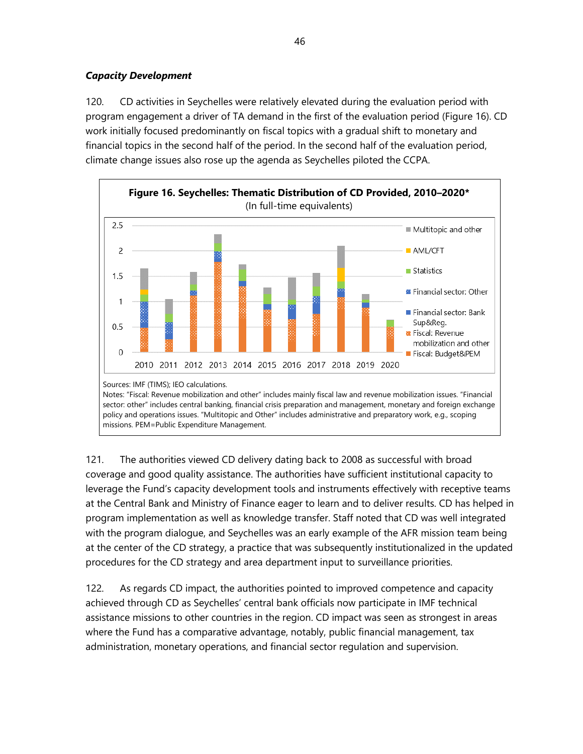## *Capacity Development*

120. CD activities in Seychelles were relatively elevated during the evaluation period with program engagement a driver of TA demand in the first of the evaluation period (Figure 16). CD work initially focused predominantly on fiscal topics with a gradual shift to monetary and financial topics in the second half of the period. In the second half of the evaluation period, climate change issues also rose up the agenda as Seychelles piloted the CCPA.



121. The authorities viewed CD delivery dating back to 2008 as successful with broad coverage and good quality assistance. The authorities have sufficient institutional capacity to leverage the Fund's capacity development tools and instruments effectively with receptive teams at the Central Bank and Ministry of Finance eager to learn and to deliver results. CD has helped in program implementation as well as knowledge transfer. Staff noted that CD was well integrated with the program dialogue, and Seychelles was an early example of the AFR mission team being at the center of the CD strategy, a practice that was subsequently institutionalized in the updated procedures for the CD strategy and area department input to surveillance priorities.

122. As regards CD impact, the authorities pointed to improved competence and capacity achieved through CD as Seychelles' central bank officials now participate in IMF technical assistance missions to other countries in the region. CD impact was seen as strongest in areas where the Fund has a comparative advantage, notably, public financial management, tax administration, monetary operations, and financial sector regulation and supervision.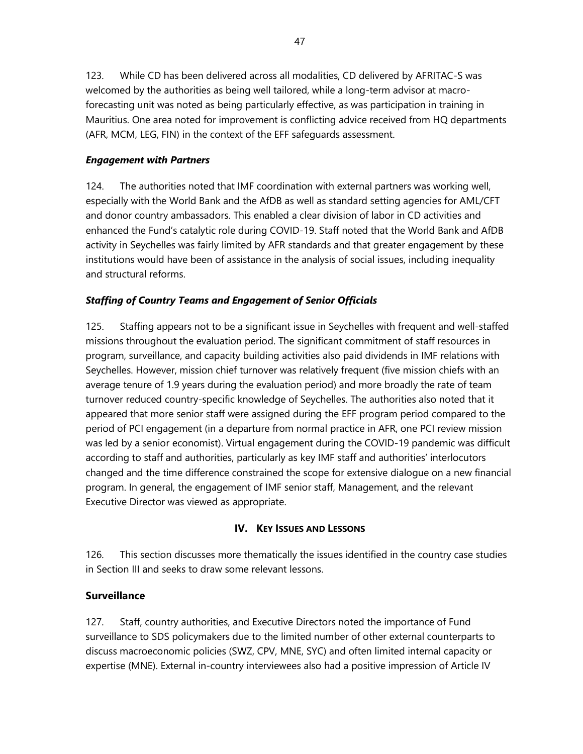123. While CD has been delivered across all modalities, CD delivered by AFRITAC-S was welcomed by the authorities as being well tailored, while a long-term advisor at macroforecasting unit was noted as being particularly effective, as was participation in training in Mauritius. One area noted for improvement is conflicting advice received from HQ departments (AFR, MCM, LEG, FIN) in the context of the EFF safeguards assessment.

### *Engagement with Partners*

124. The authorities noted that IMF coordination with external partners was working well, especially with the World Bank and the AfDB as well as standard setting agencies for AML/CFT and donor country ambassadors. This enabled a clear division of labor in CD activities and enhanced the Fund's catalytic role during COVID-19. Staff noted that the World Bank and AfDB activity in Seychelles was fairly limited by AFR standards and that greater engagement by these institutions would have been of assistance in the analysis of social issues, including inequality and structural reforms.

### *Staffing of Country Teams and Engagement of Senior Officials*

125. Staffing appears not to be a significant issue in Seychelles with frequent and well-staffed missions throughout the evaluation period. The significant commitment of staff resources in program, surveillance, and capacity building activities also paid dividends in IMF relations with Seychelles. However, mission chief turnover was relatively frequent (five mission chiefs with an average tenure of 1.9 years during the evaluation period) and more broadly the rate of team turnover reduced country-specific knowledge of Seychelles. The authorities also noted that it appeared that more senior staff were assigned during the EFF program period compared to the period of PCI engagement (in a departure from normal practice in AFR, one PCI review mission was led by a senior economist). Virtual engagement during the COVID-19 pandemic was difficult according to staff and authorities, particularly as key IMF staff and authorities' interlocutors changed and the time difference constrained the scope for extensive dialogue on a new financial program. In general, the engagement of IMF senior staff, Management, and the relevant Executive Director was viewed as appropriate.

#### **IV. KEY ISSUES AND LESSONS**

126. This section discusses more thematically the issues identified in the country case studies in Section III and seeks to draw some relevant lessons.

## **Surveillance**

127. Staff, country authorities, and Executive Directors noted the importance of Fund surveillance to SDS policymakers due to the limited number of other external counterparts to discuss macroeconomic policies (SWZ, CPV, MNE, SYC) and often limited internal capacity or expertise (MNE). External in-country interviewees also had a positive impression of Article IV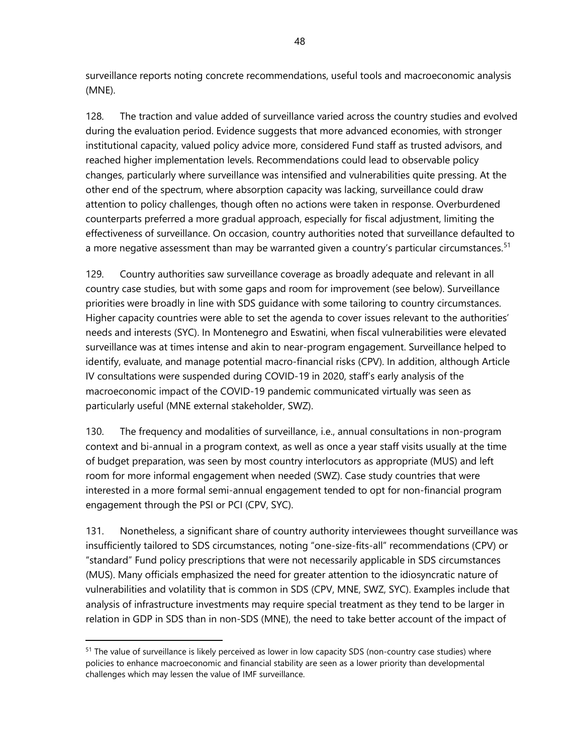surveillance reports noting concrete recommendations, useful tools and macroeconomic analysis (MNE).

128. The traction and value added of surveillance varied across the country studies and evolved during the evaluation period. Evidence suggests that more advanced economies, with stronger institutional capacity, valued policy advice more, considered Fund staff as trusted advisors, and reached higher implementation levels. Recommendations could lead to observable policy changes, particularly where surveillance was intensified and vulnerabilities quite pressing. At the other end of the spectrum, where absorption capacity was lacking, surveillance could draw attention to policy challenges, though often no actions were taken in response. Overburdened counterparts preferred a more gradual approach, especially for fiscal adjustment, limiting the effectiveness of surveillance. On occasion, country authorities noted that surveillance defaulted to a more negative assessment than may be warranted given a country's particular circumstances.<sup>[51](#page-53-0)</sup>

129. Country authorities saw surveillance coverage as broadly adequate and relevant in all country case studies, but with some gaps and room for improvement (see below). Surveillance priorities were broadly in line with SDS guidance with some tailoring to country circumstances. Higher capacity countries were able to set the agenda to cover issues relevant to the authorities' needs and interests (SYC). In Montenegro and Eswatini, when fiscal vulnerabilities were elevated surveillance was at times intense and akin to near-program engagement. Surveillance helped to identify, evaluate, and manage potential macro-financial risks (CPV). In addition, although Article IV consultations were suspended during COVID-19 in 2020, staff's early analysis of the macroeconomic impact of the COVID-19 pandemic communicated virtually was seen as particularly useful (MNE external stakeholder, SWZ).

130. The frequency and modalities of surveillance, i.e., annual consultations in non-program context and bi-annual in a program context, as well as once a year staff visits usually at the time of budget preparation, was seen by most country interlocutors as appropriate (MUS) and left room for more informal engagement when needed (SWZ). Case study countries that were interested in a more formal semi-annual engagement tended to opt for non-financial program engagement through the PSI or PCI (CPV, SYC).

131. Nonetheless, a significant share of country authority interviewees thought surveillance was insufficiently tailored to SDS circumstances, noting "one-size-fits-all" recommendations (CPV) or "standard" Fund policy prescriptions that were not necessarily applicable in SDS circumstances (MUS). Many officials emphasized the need for greater attention to the idiosyncratic nature of vulnerabilities and volatility that is common in SDS (CPV, MNE, SWZ, SYC). Examples include that analysis of infrastructure investments may require special treatment as they tend to be larger in relation in GDP in SDS than in non-SDS (MNE), the need to take better account of the impact of

<span id="page-53-0"></span><sup>&</sup>lt;sup>51</sup> The value of surveillance is likely perceived as lower in low capacity SDS (non-country case studies) where policies to enhance macroeconomic and financial stability are seen as a lower priority than developmental challenges which may lessen the value of IMF surveillance.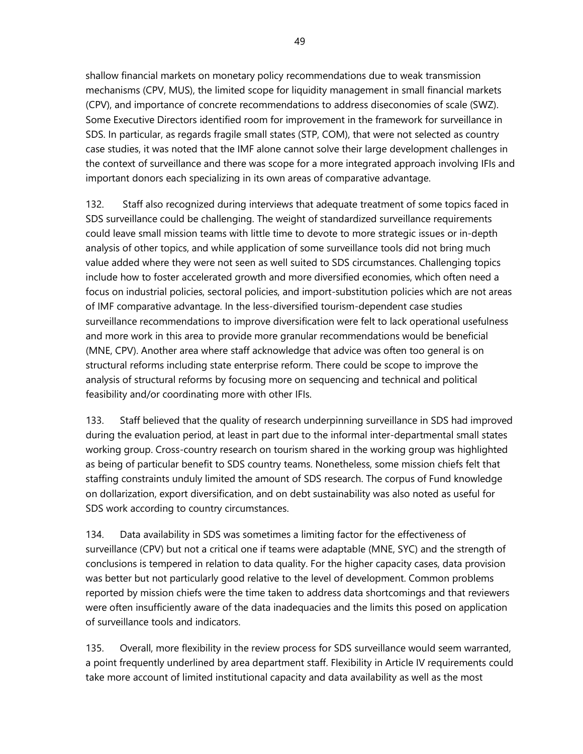shallow financial markets on monetary policy recommendations due to weak transmission mechanisms (CPV, MUS), the limited scope for liquidity management in small financial markets (CPV), and importance of concrete recommendations to address diseconomies of scale (SWZ). Some Executive Directors identified room for improvement in the framework for surveillance in SDS. In particular, as regards fragile small states (STP, COM), that were not selected as country case studies, it was noted that the IMF alone cannot solve their large development challenges in the context of surveillance and there was scope for a more integrated approach involving IFIs and important donors each specializing in its own areas of comparative advantage.

132. Staff also recognized during interviews that adequate treatment of some topics faced in SDS surveillance could be challenging. The weight of standardized surveillance requirements could leave small mission teams with little time to devote to more strategic issues or in-depth analysis of other topics, and while application of some surveillance tools did not bring much value added where they were not seen as well suited to SDS circumstances. Challenging topics include how to foster accelerated growth and more diversified economies, which often need a focus on industrial policies, sectoral policies, and import-substitution policies which are not areas of IMF comparative advantage. In the less-diversified tourism-dependent case studies surveillance recommendations to improve diversification were felt to lack operational usefulness and more work in this area to provide more granular recommendations would be beneficial (MNE, CPV). Another area where staff acknowledge that advice was often too general is on structural reforms including state enterprise reform. There could be scope to improve the analysis of structural reforms by focusing more on sequencing and technical and political feasibility and/or coordinating more with other IFIs.

133. Staff believed that the quality of research underpinning surveillance in SDS had improved during the evaluation period, at least in part due to the informal inter-departmental small states working group. Cross-country research on tourism shared in the working group was highlighted as being of particular benefit to SDS country teams. Nonetheless, some mission chiefs felt that staffing constraints unduly limited the amount of SDS research. The corpus of Fund knowledge on dollarization, export diversification, and on debt sustainability was also noted as useful for SDS work according to country circumstances.

134. Data availability in SDS was sometimes a limiting factor for the effectiveness of surveillance (CPV) but not a critical one if teams were adaptable (MNE, SYC) and the strength of conclusions is tempered in relation to data quality. For the higher capacity cases, data provision was better but not particularly good relative to the level of development. Common problems reported by mission chiefs were the time taken to address data shortcomings and that reviewers were often insufficiently aware of the data inadequacies and the limits this posed on application of surveillance tools and indicators.

135. Overall, more flexibility in the review process for SDS surveillance would seem warranted, a point frequently underlined by area department staff. Flexibility in Article IV requirements could take more account of limited institutional capacity and data availability as well as the most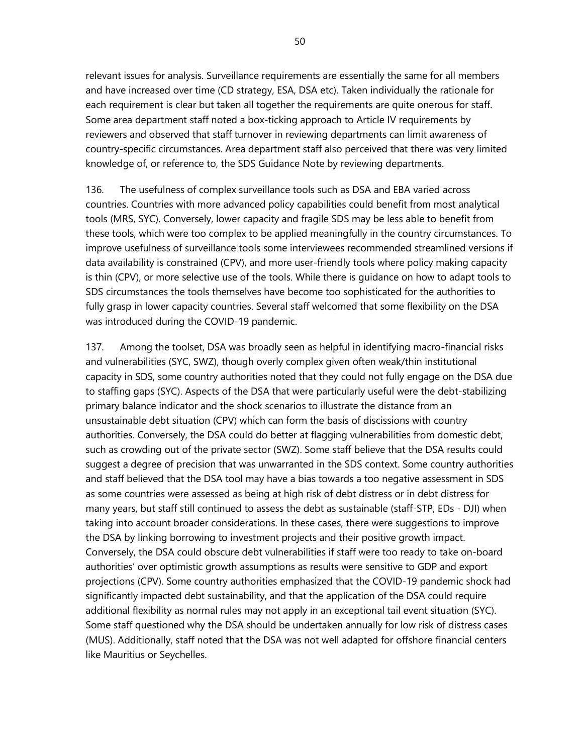relevant issues for analysis. Surveillance requirements are essentially the same for all members and have increased over time (CD strategy, ESA, DSA etc). Taken individually the rationale for each requirement is clear but taken all together the requirements are quite onerous for staff. Some area department staff noted a box-ticking approach to Article IV requirements by reviewers and observed that staff turnover in reviewing departments can limit awareness of country-specific circumstances. Area department staff also perceived that there was very limited knowledge of, or reference to, the SDS Guidance Note by reviewing departments.

136. The usefulness of complex surveillance tools such as DSA and EBA varied across countries. Countries with more advanced policy capabilities could benefit from most analytical tools (MRS, SYC). Conversely, lower capacity and fragile SDS may be less able to benefit from these tools, which were too complex to be applied meaningfully in the country circumstances. To improve usefulness of surveillance tools some interviewees recommended streamlined versions if data availability is constrained (CPV), and more user-friendly tools where policy making capacity is thin (CPV), or more selective use of the tools. While there is guidance on how to adapt tools to SDS circumstances the tools themselves have become too sophisticated for the authorities to fully grasp in lower capacity countries. Several staff welcomed that some flexibility on the DSA was introduced during the COVID-19 pandemic.

137. Among the toolset, DSA was broadly seen as helpful in identifying macro-financial risks and vulnerabilities (SYC, SWZ), though overly complex given often weak/thin institutional capacity in SDS, some country authorities noted that they could not fully engage on the DSA due to staffing gaps (SYC). Aspects of the DSA that were particularly useful were the debt-stabilizing primary balance indicator and the shock scenarios to illustrate the distance from an unsustainable debt situation (CPV) which can form the basis of discissions with country authorities. Conversely, the DSA could do better at flagging vulnerabilities from domestic debt, such as crowding out of the private sector (SWZ). Some staff believe that the DSA results could suggest a degree of precision that was unwarranted in the SDS context. Some country authorities and staff believed that the DSA tool may have a bias towards a too negative assessment in SDS as some countries were assessed as being at high risk of debt distress or in debt distress for many years, but staff still continued to assess the debt as sustainable (staff-STP, EDs - DJI) when taking into account broader considerations. In these cases, there were suggestions to improve the DSA by linking borrowing to investment projects and their positive growth impact. Conversely, the DSA could obscure debt vulnerabilities if staff were too ready to take on-board authorities' over optimistic growth assumptions as results were sensitive to GDP and export projections (CPV). Some country authorities emphasized that the COVID-19 pandemic shock had significantly impacted debt sustainability, and that the application of the DSA could require additional flexibility as normal rules may not apply in an exceptional tail event situation (SYC). Some staff questioned why the DSA should be undertaken annually for low risk of distress cases (MUS). Additionally, staff noted that the DSA was not well adapted for offshore financial centers like Mauritius or Seychelles.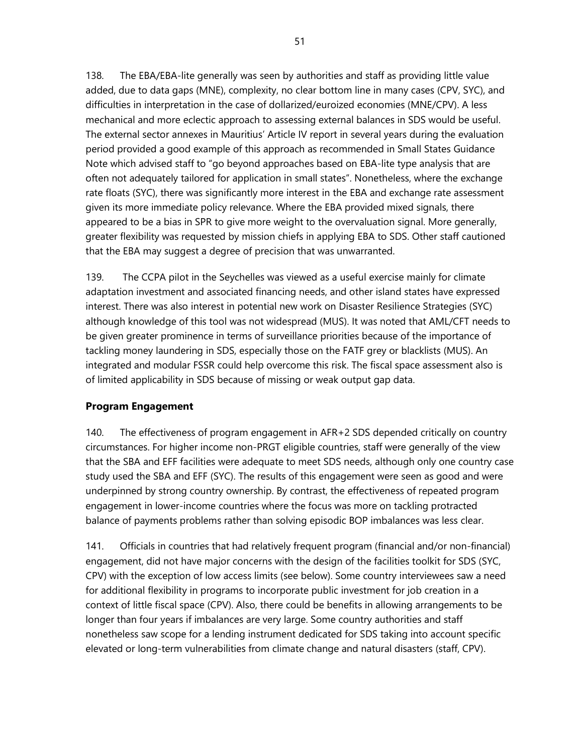138. The EBA/EBA-lite generally was seen by authorities and staff as providing little value added, due to data gaps (MNE), complexity, no clear bottom line in many cases (CPV, SYC), and difficulties in interpretation in the case of dollarized/euroized economies (MNE/CPV). A less mechanical and more eclectic approach to assessing external balances in SDS would be useful. The external sector annexes in Mauritius' Article IV report in several years during the evaluation period provided a good example of this approach as recommended in Small States Guidance Note which advised staff to "go beyond approaches based on EBA-lite type analysis that are often not adequately tailored for application in small states". Nonetheless, where the exchange rate floats (SYC), there was significantly more interest in the EBA and exchange rate assessment given its more immediate policy relevance. Where the EBA provided mixed signals, there appeared to be a bias in SPR to give more weight to the overvaluation signal. More generally, greater flexibility was requested by mission chiefs in applying EBA to SDS. Other staff cautioned that the EBA may suggest a degree of precision that was unwarranted.

139. The CCPA pilot in the Seychelles was viewed as a useful exercise mainly for climate adaptation investment and associated financing needs, and other island states have expressed interest. There was also interest in potential new work on Disaster Resilience Strategies (SYC) although knowledge of this tool was not widespread (MUS). It was noted that AML/CFT needs to be given greater prominence in terms of surveillance priorities because of the importance of tackling money laundering in SDS, especially those on the FATF grey or blacklists (MUS). An integrated and modular FSSR could help overcome this risk. The fiscal space assessment also is of limited applicability in SDS because of missing or weak output gap data.

# **Program Engagement**

140. The effectiveness of program engagement in AFR+2 SDS depended critically on country circumstances. For higher income non-PRGT eligible countries, staff were generally of the view that the SBA and EFF facilities were adequate to meet SDS needs, although only one country case study used the SBA and EFF (SYC). The results of this engagement were seen as good and were underpinned by strong country ownership. By contrast, the effectiveness of repeated program engagement in lower-income countries where the focus was more on tackling protracted balance of payments problems rather than solving episodic BOP imbalances was less clear.

141. Officials in countries that had relatively frequent program (financial and/or non-financial) engagement, did not have major concerns with the design of the facilities toolkit for SDS (SYC, CPV) with the exception of low access limits (see below). Some country interviewees saw a need for additional flexibility in programs to incorporate public investment for job creation in a context of little fiscal space (CPV). Also, there could be benefits in allowing arrangements to be longer than four years if imbalances are very large. Some country authorities and staff nonetheless saw scope for a lending instrument dedicated for SDS taking into account specific elevated or long-term vulnerabilities from climate change and natural disasters (staff, CPV).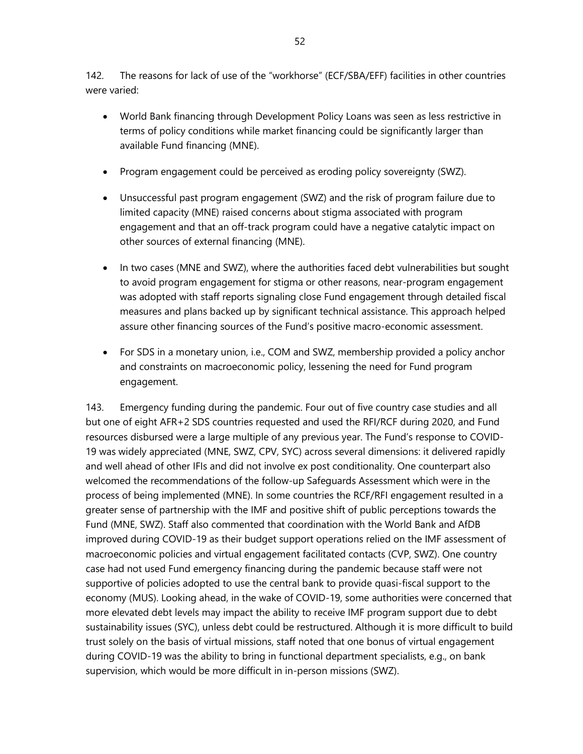142. The reasons for lack of use of the "workhorse" (ECF/SBA/EFF) facilities in other countries were varied:

- World Bank financing through Development Policy Loans was seen as less restrictive in terms of policy conditions while market financing could be significantly larger than available Fund financing (MNE).
- Program engagement could be perceived as eroding policy sovereignty (SWZ).
- Unsuccessful past program engagement (SWZ) and the risk of program failure due to limited capacity (MNE) raised concerns about stigma associated with program engagement and that an off-track program could have a negative catalytic impact on other sources of external financing (MNE).
- In two cases (MNE and SWZ), where the authorities faced debt vulnerabilities but sought to avoid program engagement for stigma or other reasons, near-program engagement was adopted with staff reports signaling close Fund engagement through detailed fiscal measures and plans backed up by significant technical assistance. This approach helped assure other financing sources of the Fund's positive macro-economic assessment.
- For SDS in a monetary union, i.e., COM and SWZ, membership provided a policy anchor and constraints on macroeconomic policy, lessening the need for Fund program engagement.

143. Emergency funding during the pandemic. Four out of five country case studies and all but one of eight AFR+2 SDS countries requested and used the RFI/RCF during 2020, and Fund resources disbursed were a large multiple of any previous year. The Fund's response to COVID-19 was widely appreciated (MNE, SWZ, CPV, SYC) across several dimensions: it delivered rapidly and well ahead of other IFIs and did not involve ex post conditionality. One counterpart also welcomed the recommendations of the follow-up Safeguards Assessment which were in the process of being implemented (MNE). In some countries the RCF/RFI engagement resulted in a greater sense of partnership with the IMF and positive shift of public perceptions towards the Fund (MNE, SWZ). Staff also commented that coordination with the World Bank and AfDB improved during COVID-19 as their budget support operations relied on the IMF assessment of macroeconomic policies and virtual engagement facilitated contacts (CVP, SWZ). One country case had not used Fund emergency financing during the pandemic because staff were not supportive of policies adopted to use the central bank to provide quasi-fiscal support to the economy (MUS). Looking ahead, in the wake of COVID-19, some authorities were concerned that more elevated debt levels may impact the ability to receive IMF program support due to debt sustainability issues (SYC), unless debt could be restructured. Although it is more difficult to build trust solely on the basis of virtual missions, staff noted that one bonus of virtual engagement during COVID-19 was the ability to bring in functional department specialists, e.g., on bank supervision, which would be more difficult in in-person missions (SWZ).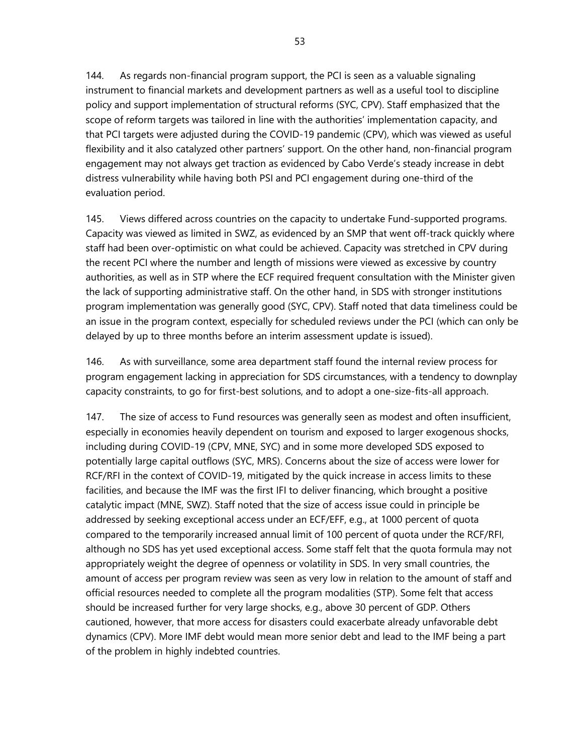144. As regards non-financial program support, the PCI is seen as a valuable signaling instrument to financial markets and development partners as well as a useful tool to discipline policy and support implementation of structural reforms (SYC, CPV). Staff emphasized that the scope of reform targets was tailored in line with the authorities' implementation capacity, and that PCI targets were adjusted during the COVID-19 pandemic (CPV), which was viewed as useful flexibility and it also catalyzed other partners' support. On the other hand, non-financial program engagement may not always get traction as evidenced by Cabo Verde's steady increase in debt distress vulnerability while having both PSI and PCI engagement during one-third of the evaluation period.

145. Views differed across countries on the capacity to undertake Fund-supported programs. Capacity was viewed as limited in SWZ, as evidenced by an SMP that went off-track quickly where staff had been over-optimistic on what could be achieved. Capacity was stretched in CPV during the recent PCI where the number and length of missions were viewed as excessive by country authorities, as well as in STP where the ECF required frequent consultation with the Minister given the lack of supporting administrative staff. On the other hand, in SDS with stronger institutions program implementation was generally good (SYC, CPV). Staff noted that data timeliness could be an issue in the program context, especially for scheduled reviews under the PCI (which can only be delayed by up to three months before an interim assessment update is issued).

146. As with surveillance, some area department staff found the internal review process for program engagement lacking in appreciation for SDS circumstances, with a tendency to downplay capacity constraints, to go for first-best solutions, and to adopt a one-size-fits-all approach.

147. The size of access to Fund resources was generally seen as modest and often insufficient, especially in economies heavily dependent on tourism and exposed to larger exogenous shocks, including during COVID-19 (CPV, MNE, SYC) and in some more developed SDS exposed to potentially large capital outflows (SYC, MRS). Concerns about the size of access were lower for RCF/RFI in the context of COVID-19, mitigated by the quick increase in access limits to these facilities, and because the IMF was the first IFI to deliver financing, which brought a positive catalytic impact (MNE, SWZ). Staff noted that the size of access issue could in principle be addressed by seeking exceptional access under an ECF/EFF, e.g., at 1000 percent of quota compared to the temporarily increased annual limit of 100 percent of quota under the RCF/RFI, although no SDS has yet used exceptional access. Some staff felt that the quota formula may not appropriately weight the degree of openness or volatility in SDS. In very small countries, the amount of access per program review was seen as very low in relation to the amount of staff and official resources needed to complete all the program modalities (STP). Some felt that access should be increased further for very large shocks, e.g., above 30 percent of GDP. Others cautioned, however, that more access for disasters could exacerbate already unfavorable debt dynamics (CPV). More IMF debt would mean more senior debt and lead to the IMF being a part of the problem in highly indebted countries.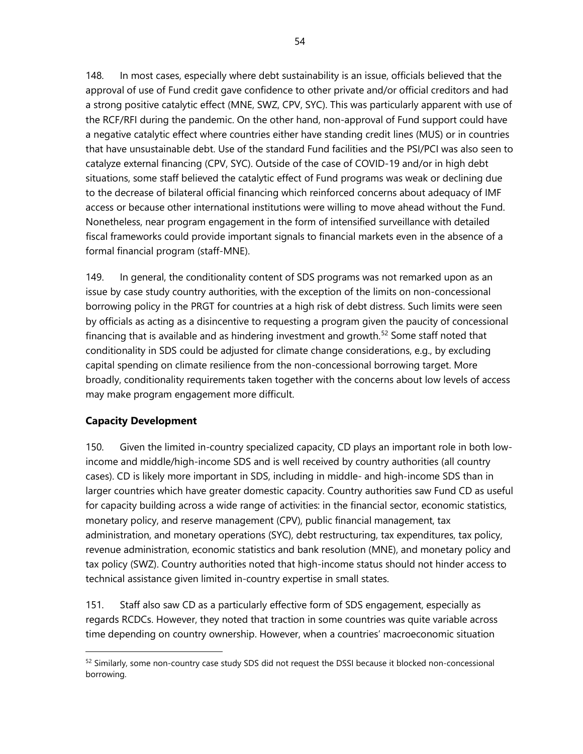148. In most cases, especially where debt sustainability is an issue, officials believed that the approval of use of Fund credit gave confidence to other private and/or official creditors and had a strong positive catalytic effect (MNE, SWZ, CPV, SYC). This was particularly apparent with use of the RCF/RFI during the pandemic. On the other hand, non-approval of Fund support could have a negative catalytic effect where countries either have standing credit lines (MUS) or in countries that have unsustainable debt. Use of the standard Fund facilities and the PSI/PCI was also seen to catalyze external financing (CPV, SYC). Outside of the case of COVID-19 and/or in high debt situations, some staff believed the catalytic effect of Fund programs was weak or declining due to the decrease of bilateral official financing which reinforced concerns about adequacy of IMF access or because other international institutions were willing to move ahead without the Fund. Nonetheless, near program engagement in the form of intensified surveillance with detailed fiscal frameworks could provide important signals to financial markets even in the absence of a formal financial program (staff-MNE).

149. In general, the conditionality content of SDS programs was not remarked upon as an issue by case study country authorities, with the exception of the limits on non-concessional borrowing policy in the PRGT for countries at a high risk of debt distress. Such limits were seen by officials as acting as a disincentive to requesting a program given the paucity of concessional financing that is available and as hindering investment and growth.<sup>[52](#page-59-0)</sup> Some staff noted that conditionality in SDS could be adjusted for climate change considerations, e.g., by excluding capital spending on climate resilience from the non-concessional borrowing target. More broadly, conditionality requirements taken together with the concerns about low levels of access may make program engagement more difficult.

## **Capacity Development**

150. Given the limited in-country specialized capacity, CD plays an important role in both lowincome and middle/high-income SDS and is well received by country authorities (all country cases). CD is likely more important in SDS, including in middle- and high-income SDS than in larger countries which have greater domestic capacity. Country authorities saw Fund CD as useful for capacity building across a wide range of activities: in the financial sector, economic statistics, monetary policy, and reserve management (CPV), public financial management, tax administration, and monetary operations (SYC), debt restructuring, tax expenditures, tax policy, revenue administration, economic statistics and bank resolution (MNE), and monetary policy and tax policy (SWZ). Country authorities noted that high-income status should not hinder access to technical assistance given limited in-country expertise in small states.

151. Staff also saw CD as a particularly effective form of SDS engagement, especially as regards RCDCs. However, they noted that traction in some countries was quite variable across time depending on country ownership. However, when a countries' macroeconomic situation

<span id="page-59-0"></span><sup>52</sup> Similarly, some non-country case study SDS did not request the DSSI because it blocked non-concessional borrowing.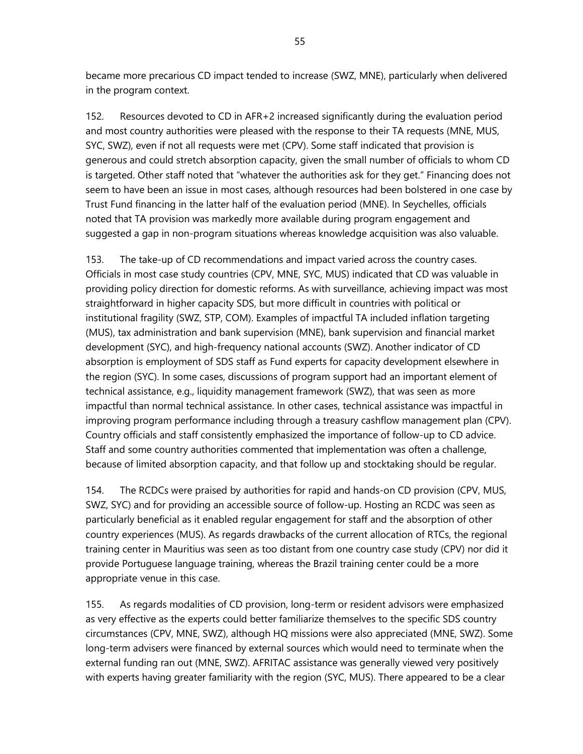became more precarious CD impact tended to increase (SWZ, MNE), particularly when delivered in the program context.

152. Resources devoted to CD in AFR+2 increased significantly during the evaluation period and most country authorities were pleased with the response to their TA requests (MNE, MUS, SYC, SWZ), even if not all requests were met (CPV). Some staff indicated that provision is generous and could stretch absorption capacity, given the small number of officials to whom CD is targeted. Other staff noted that "whatever the authorities ask for they get." Financing does not seem to have been an issue in most cases, although resources had been bolstered in one case by Trust Fund financing in the latter half of the evaluation period (MNE). In Seychelles, officials noted that TA provision was markedly more available during program engagement and suggested a gap in non-program situations whereas knowledge acquisition was also valuable.

153. The take-up of CD recommendations and impact varied across the country cases. Officials in most case study countries (CPV, MNE, SYC, MUS) indicated that CD was valuable in providing policy direction for domestic reforms. As with surveillance, achieving impact was most straightforward in higher capacity SDS, but more difficult in countries with political or institutional fragility (SWZ, STP, COM). Examples of impactful TA included inflation targeting (MUS), tax administration and bank supervision (MNE), bank supervision and financial market development (SYC), and high-frequency national accounts (SWZ). Another indicator of CD absorption is employment of SDS staff as Fund experts for capacity development elsewhere in the region (SYC). In some cases, discussions of program support had an important element of technical assistance, e.g., liquidity management framework (SWZ), that was seen as more impactful than normal technical assistance. In other cases, technical assistance was impactful in improving program performance including through a treasury cashflow management plan (CPV). Country officials and staff consistently emphasized the importance of follow-up to CD advice. Staff and some country authorities commented that implementation was often a challenge, because of limited absorption capacity, and that follow up and stocktaking should be regular.

154. The RCDCs were praised by authorities for rapid and hands-on CD provision (CPV, MUS, SWZ, SYC) and for providing an accessible source of follow-up. Hosting an RCDC was seen as particularly beneficial as it enabled regular engagement for staff and the absorption of other country experiences (MUS). As regards drawbacks of the current allocation of RTCs, the regional training center in Mauritius was seen as too distant from one country case study (CPV) nor did it provide Portuguese language training, whereas the Brazil training center could be a more appropriate venue in this case.

155. As regards modalities of CD provision, long-term or resident advisors were emphasized as very effective as the experts could better familiarize themselves to the specific SDS country circumstances (CPV, MNE, SWZ), although HQ missions were also appreciated (MNE, SWZ). Some long-term advisers were financed by external sources which would need to terminate when the external funding ran out (MNE, SWZ). AFRITAC assistance was generally viewed very positively with experts having greater familiarity with the region (SYC, MUS). There appeared to be a clear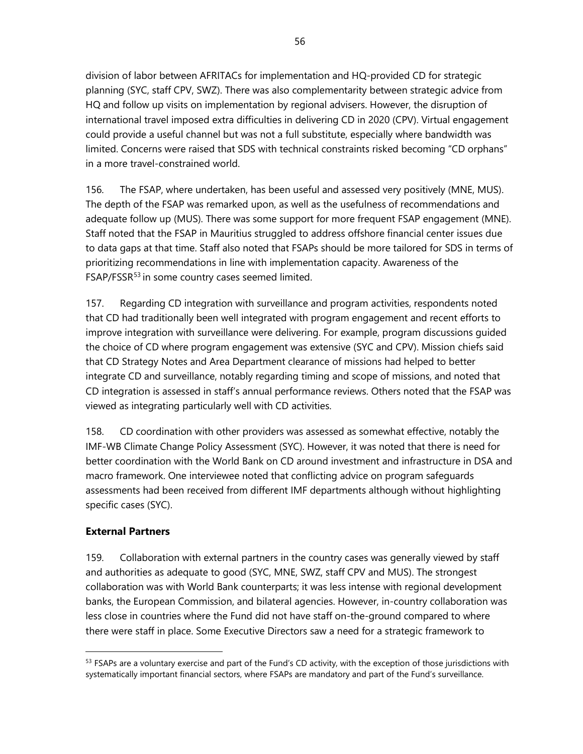division of labor between AFRITACs for implementation and HQ-provided CD for strategic planning (SYC, staff CPV, SWZ). There was also complementarity between strategic advice from HQ and follow up visits on implementation by regional advisers. However, the disruption of international travel imposed extra difficulties in delivering CD in 2020 (CPV). Virtual engagement could provide a useful channel but was not a full substitute, especially where bandwidth was limited. Concerns were raised that SDS with technical constraints risked becoming "CD orphans" in a more travel-constrained world.

156. The FSAP, where undertaken, has been useful and assessed very positively (MNE, MUS). The depth of the FSAP was remarked upon, as well as the usefulness of recommendations and adequate follow up (MUS). There was some support for more frequent FSAP engagement (MNE). Staff noted that the FSAP in Mauritius struggled to address offshore financial center issues due to data gaps at that time. Staff also noted that FSAPs should be more tailored for SDS in terms of prioritizing recommendations in line with implementation capacity. Awareness of the FSAP/FSSR<sup>[53](#page-61-0)</sup> in some country cases seemed limited.

157. Regarding CD integration with surveillance and program activities, respondents noted that CD had traditionally been well integrated with program engagement and recent efforts to improve integration with surveillance were delivering. For example, program discussions guided the choice of CD where program engagement was extensive (SYC and CPV). Mission chiefs said that CD Strategy Notes and Area Department clearance of missions had helped to better integrate CD and surveillance, notably regarding timing and scope of missions, and noted that CD integration is assessed in staff's annual performance reviews. Others noted that the FSAP was viewed as integrating particularly well with CD activities.

158. CD coordination with other providers was assessed as somewhat effective, notably the IMF-WB Climate Change Policy Assessment (SYC). However, it was noted that there is need for better coordination with the World Bank on CD around investment and infrastructure in DSA and macro framework. One interviewee noted that conflicting advice on program safeguards assessments had been received from different IMF departments although without highlighting specific cases (SYC).

## **External Partners**

159. Collaboration with external partners in the country cases was generally viewed by staff and authorities as adequate to good (SYC, MNE, SWZ, staff CPV and MUS). The strongest collaboration was with World Bank counterparts; it was less intense with regional development banks, the European Commission, and bilateral agencies. However, in-country collaboration was less close in countries where the Fund did not have staff on-the-ground compared to where there were staff in place. Some Executive Directors saw a need for a strategic framework to

<span id="page-61-0"></span> $53$  FSAPs are a voluntary exercise and part of the Fund's CD activity, with the exception of those jurisdictions with systematically important financial sectors, where FSAPs are mandatory and part of the Fund's surveillance.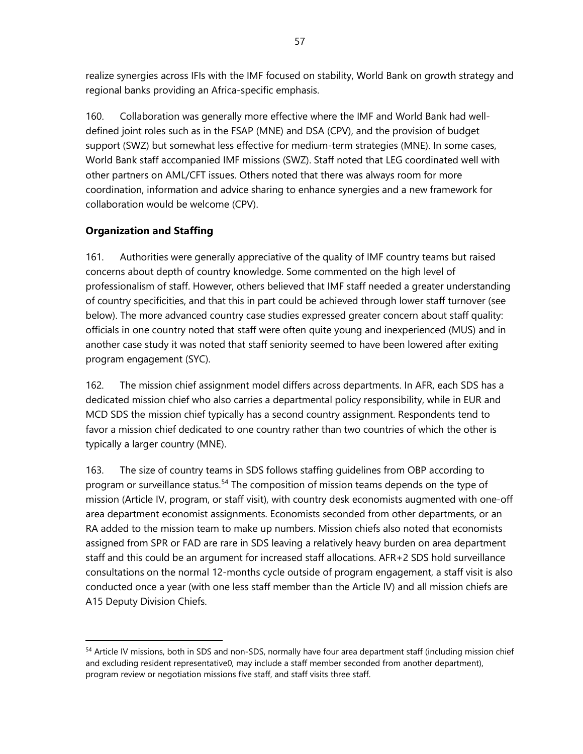realize synergies across IFIs with the IMF focused on stability, World Bank on growth strategy and regional banks providing an Africa-specific emphasis.

160. Collaboration was generally more effective where the IMF and World Bank had welldefined joint roles such as in the FSAP (MNE) and DSA (CPV), and the provision of budget support (SWZ) but somewhat less effective for medium-term strategies (MNE). In some cases, World Bank staff accompanied IMF missions (SWZ). Staff noted that LEG coordinated well with other partners on AML/CFT issues. Others noted that there was always room for more coordination, information and advice sharing to enhance synergies and a new framework for collaboration would be welcome (CPV).

## **Organization and Staffing**

161. Authorities were generally appreciative of the quality of IMF country teams but raised concerns about depth of country knowledge. Some commented on the high level of professionalism of staff. However, others believed that IMF staff needed a greater understanding of country specificities, and that this in part could be achieved through lower staff turnover (see below). The more advanced country case studies expressed greater concern about staff quality: officials in one country noted that staff were often quite young and inexperienced (MUS) and in another case study it was noted that staff seniority seemed to have been lowered after exiting program engagement (SYC).

162. The mission chief assignment model differs across departments. In AFR, each SDS has a dedicated mission chief who also carries a departmental policy responsibility, while in EUR and MCD SDS the mission chief typically has a second country assignment. Respondents tend to favor a mission chief dedicated to one country rather than two countries of which the other is typically a larger country (MNE).

163. The size of country teams in SDS follows staffing guidelines from OBP according to program or surveillance status.<sup>[54](#page-62-0)</sup> The composition of mission teams depends on the type of mission (Article IV, program, or staff visit), with country desk economists augmented with one-off area department economist assignments. Economists seconded from other departments, or an RA added to the mission team to make up numbers. Mission chiefs also noted that economists assigned from SPR or FAD are rare in SDS leaving a relatively heavy burden on area department staff and this could be an argument for increased staff allocations. AFR+2 SDS hold surveillance consultations on the normal 12-months cycle outside of program engagement, a staff visit is also conducted once a year (with one less staff member than the Article IV) and all mission chiefs are A15 Deputy Division Chiefs.

<span id="page-62-0"></span><sup>54</sup> Article IV missions, both in SDS and non-SDS, normally have four area department staff (including mission chief and excluding resident representative0, may include a staff member seconded from another department), program review or negotiation missions five staff, and staff visits three staff.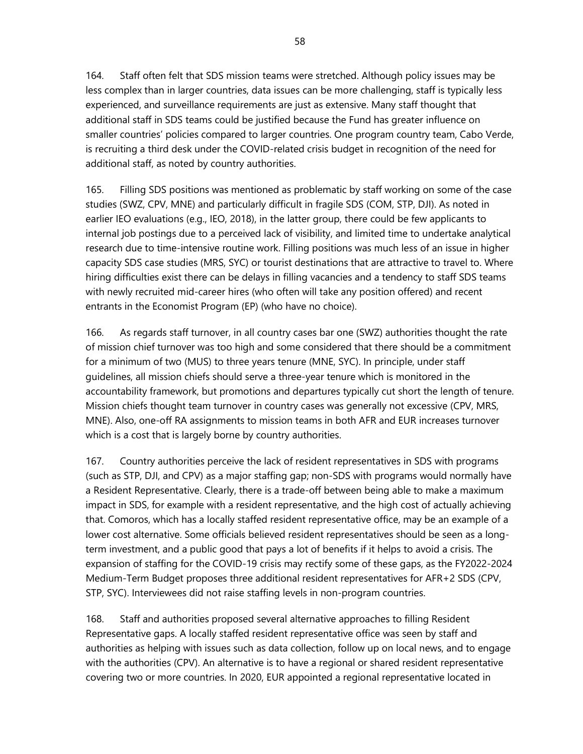164. Staff often felt that SDS mission teams were stretched. Although policy issues may be less complex than in larger countries, data issues can be more challenging, staff is typically less experienced, and surveillance requirements are just as extensive. Many staff thought that additional staff in SDS teams could be justified because the Fund has greater influence on smaller countries' policies compared to larger countries. One program country team, Cabo Verde, is recruiting a third desk under the COVID-related crisis budget in recognition of the need for additional staff, as noted by country authorities.

165. Filling SDS positions was mentioned as problematic by staff working on some of the case studies (SWZ, CPV, MNE) and particularly difficult in fragile SDS (COM, STP, DJI). As noted in earlier IEO evaluations (e.g., IEO, 2018), in the latter group, there could be few applicants to internal job postings due to a perceived lack of visibility, and limited time to undertake analytical research due to time-intensive routine work. Filling positions was much less of an issue in higher capacity SDS case studies (MRS, SYC) or tourist destinations that are attractive to travel to. Where hiring difficulties exist there can be delays in filling vacancies and a tendency to staff SDS teams with newly recruited mid-career hires (who often will take any position offered) and recent entrants in the Economist Program (EP) (who have no choice).

166. As regards staff turnover, in all country cases bar one (SWZ) authorities thought the rate of mission chief turnover was too high and some considered that there should be a commitment for a minimum of two (MUS) to three years tenure (MNE, SYC). In principle, under staff guidelines, all mission chiefs should serve a three-year tenure which is monitored in the accountability framework, but promotions and departures typically cut short the length of tenure. Mission chiefs thought team turnover in country cases was generally not excessive (CPV, MRS, MNE). Also, one-off RA assignments to mission teams in both AFR and EUR increases turnover which is a cost that is largely borne by country authorities.

167. Country authorities perceive the lack of resident representatives in SDS with programs (such as STP, DJI, and CPV) as a major staffing gap; non-SDS with programs would normally have a Resident Representative. Clearly, there is a trade-off between being able to make a maximum impact in SDS, for example with a resident representative, and the high cost of actually achieving that. Comoros, which has a locally staffed resident representative office, may be an example of a lower cost alternative. Some officials believed resident representatives should be seen as a longterm investment, and a public good that pays a lot of benefits if it helps to avoid a crisis. The expansion of staffing for the COVID-19 crisis may rectify some of these gaps, as the FY2022-2024 Medium-Term Budget proposes three additional resident representatives for AFR+2 SDS (CPV, STP, SYC). Interviewees did not raise staffing levels in non-program countries.

168. Staff and authorities proposed several alternative approaches to filling Resident Representative gaps. A locally staffed resident representative office was seen by staff and authorities as helping with issues such as data collection, follow up on local news, and to engage with the authorities (CPV). An alternative is to have a regional or shared resident representative covering two or more countries. In 2020, EUR appointed a regional representative located in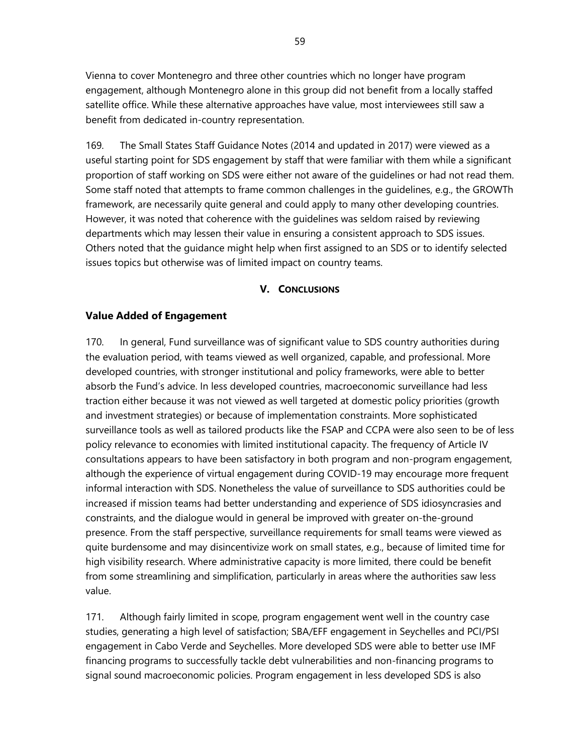Vienna to cover Montenegro and three other countries which no longer have program engagement, although Montenegro alone in this group did not benefit from a locally staffed satellite office. While these alternative approaches have value, most interviewees still saw a benefit from dedicated in-country representation.

169. The Small States Staff Guidance Notes (2014 and updated in 2017) were viewed as a useful starting point for SDS engagement by staff that were familiar with them while a significant proportion of staff working on SDS were either not aware of the guidelines or had not read them. Some staff noted that attempts to frame common challenges in the guidelines, e.g., the GROWTh framework, are necessarily quite general and could apply to many other developing countries. However, it was noted that coherence with the guidelines was seldom raised by reviewing departments which may lessen their value in ensuring a consistent approach to SDS issues. Others noted that the guidance might help when first assigned to an SDS or to identify selected issues topics but otherwise was of limited impact on country teams.

#### **V. CONCLUSIONS**

#### **Value Added of Engagement**

170. In general, Fund surveillance was of significant value to SDS country authorities during the evaluation period, with teams viewed as well organized, capable, and professional. More developed countries, with stronger institutional and policy frameworks, were able to better absorb the Fund's advice. In less developed countries, macroeconomic surveillance had less traction either because it was not viewed as well targeted at domestic policy priorities (growth and investment strategies) or because of implementation constraints. More sophisticated surveillance tools as well as tailored products like the FSAP and CCPA were also seen to be of less policy relevance to economies with limited institutional capacity. The frequency of Article IV consultations appears to have been satisfactory in both program and non-program engagement, although the experience of virtual engagement during COVID-19 may encourage more frequent informal interaction with SDS. Nonetheless the value of surveillance to SDS authorities could be increased if mission teams had better understanding and experience of SDS idiosyncrasies and constraints, and the dialogue would in general be improved with greater on-the-ground presence. From the staff perspective, surveillance requirements for small teams were viewed as quite burdensome and may disincentivize work on small states, e.g., because of limited time for high visibility research. Where administrative capacity is more limited, there could be benefit from some streamlining and simplification, particularly in areas where the authorities saw less value.

171. Although fairly limited in scope, program engagement went well in the country case studies, generating a high level of satisfaction; SBA/EFF engagement in Seychelles and PCI/PSI engagement in Cabo Verde and Seychelles. More developed SDS were able to better use IMF financing programs to successfully tackle debt vulnerabilities and non-financing programs to signal sound macroeconomic policies. Program engagement in less developed SDS is also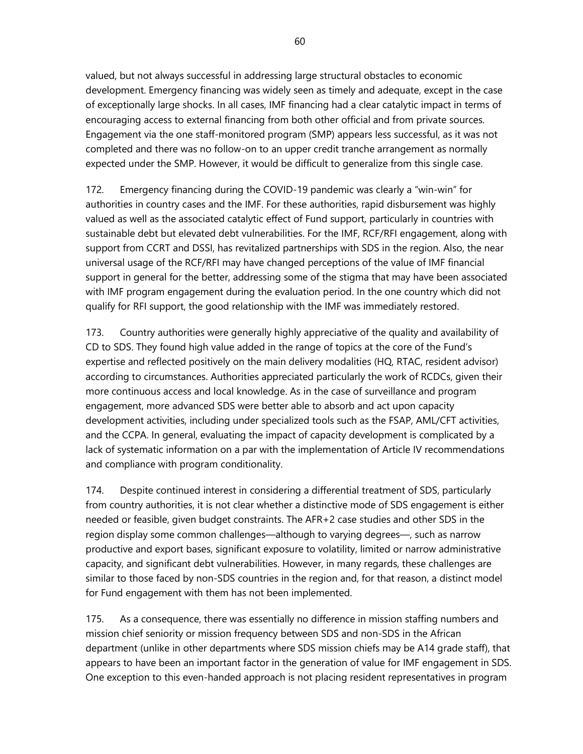valued, but not always successful in addressing large structural obstacles to economic development. Emergency financing was widely seen as timely and adequate, except in the case of exceptionally large shocks. In all cases, IMF financing had a clear catalytic impact in terms of encouraging access to external financing from both other official and from private sources. Engagement via the one staff-monitored program (SMP) appears less successful, as it was not completed and there was no follow-on to an upper credit tranche arrangement as normally expected under the SMP. However, it would be difficult to generalize from this single case.

172. Emergency financing during the COVID-19 pandemic was clearly a "win-win" for authorities in country cases and the IMF. For these authorities, rapid disbursement was highly valued as well as the associated catalytic effect of Fund support, particularly in countries with sustainable debt but elevated debt vulnerabilities. For the IMF, RCF/RFI engagement, along with support from CCRT and DSSI, has revitalized partnerships with SDS in the region. Also, the near universal usage of the RCF/RFI may have changed perceptions of the value of IMF financial support in general for the better, addressing some of the stigma that may have been associated with IMF program engagement during the evaluation period. In the one country which did not qualify for RFI support, the good relationship with the IMF was immediately restored.

173. Country authorities were generally highly appreciative of the quality and availability of CD to SDS. They found high value added in the range of topics at the core of the Fund's expertise and reflected positively on the main delivery modalities (HQ, RTAC, resident advisor) according to circumstances. Authorities appreciated particularly the work of RCDCs, given their more continuous access and local knowledge. As in the case of surveillance and program engagement, more advanced SDS were better able to absorb and act upon capacity development activities, including under specialized tools such as the FSAP, AML/CFT activities, and the CCPA. In general, evaluating the impact of capacity development is complicated by a lack of systematic information on a par with the implementation of Article IV recommendations and compliance with program conditionality.

174. Despite continued interest in considering a differential treatment of SDS, particularly from country authorities, it is not clear whether a distinctive mode of SDS engagement is either needed or feasible, given budget constraints. The AFR+2 case studies and other SDS in the region display some common challenges—although to varying degrees—, such as narrow productive and export bases, significant exposure to volatility, limited or narrow administrative capacity, and significant debt vulnerabilities. However, in many regards, these challenges are similar to those faced by non-SDS countries in the region and, for that reason, a distinct model for Fund engagement with them has not been implemented.

175. As a consequence, there was essentially no difference in mission staffing numbers and mission chief seniority or mission frequency between SDS and non-SDS in the African department (unlike in other departments where SDS mission chiefs may be A14 grade staff), that appears to have been an important factor in the generation of value for IMF engagement in SDS. One exception to this even-handed approach is not placing resident representatives in program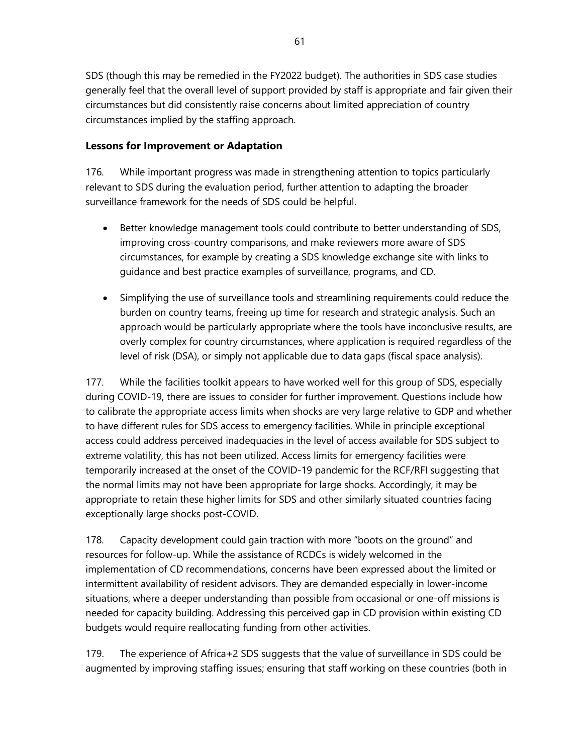SDS (though this may be remedied in the FY2022 budget). The authorities in SDS case studies generally feel that the overall level of support provided by staff is appropriate and fair given their circumstances but did consistently raise concerns about limited appreciation of country circumstances implied by the staffing approach.

## **Lessons for Improvement or Adaptation**

176. While important progress was made in strengthening attention to topics particularly relevant to SDS during the evaluation period, further attention to adapting the broader surveillance framework for the needs of SDS could be helpful.

- Better knowledge management tools could contribute to better understanding of SDS, improving cross-country comparisons, and make reviewers more aware of SDS circumstances, for example by creating a SDS knowledge exchange site with links to guidance and best practice examples of surveillance, programs, and CD.
- Simplifying the use of surveillance tools and streamlining requirements could reduce the burden on country teams, freeing up time for research and strategic analysis. Such an approach would be particularly appropriate where the tools have inconclusive results, are overly complex for country circumstances, where application is required regardless of the level of risk (DSA), or simply not applicable due to data gaps (fiscal space analysis).

177. While the facilities toolkit appears to have worked well for this group of SDS, especially during COVID-19, there are issues to consider for further improvement. Questions include how to calibrate the appropriate access limits when shocks are very large relative to GDP and whether to have different rules for SDS access to emergency facilities. While in principle exceptional access could address perceived inadequacies in the level of access available for SDS subject to extreme volatility, this has not been utilized. Access limits for emergency facilities were temporarily increased at the onset of the COVID-19 pandemic for the RCF/RFI suggesting that the normal limits may not have been appropriate for large shocks. Accordingly, it may be appropriate to retain these higher limits for SDS and other similarly situated countries facing exceptionally large shocks post-COVID.

178. Capacity development could gain traction with more "boots on the ground" and resources for follow-up. While the assistance of RCDCs is widely welcomed in the implementation of CD recommendations, concerns have been expressed about the limited or intermittent availability of resident advisors. They are demanded especially in lower-income situations, where a deeper understanding than possible from occasional or one-off missions is needed for capacity building. Addressing this perceived gap in CD provision within existing CD budgets would require reallocating funding from other activities.

179. The experience of Africa+2 SDS suggests that the value of surveillance in SDS could be augmented by improving staffing issues; ensuring that staff working on these countries (both in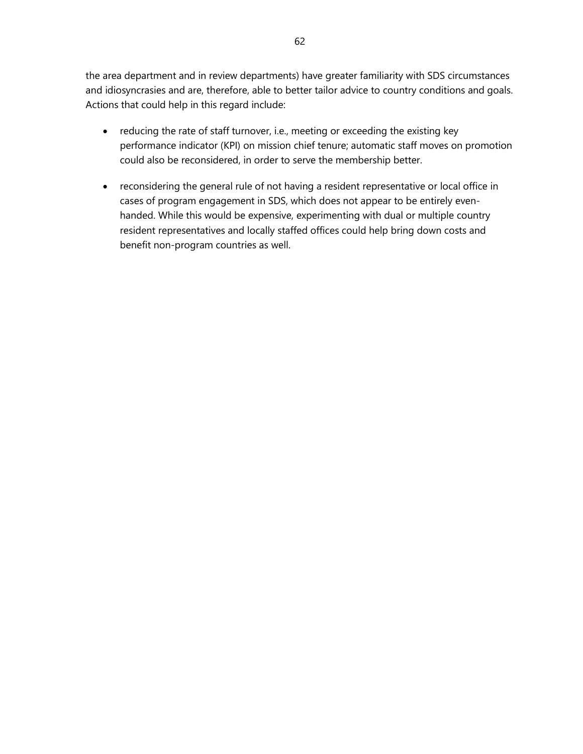the area department and in review departments) have greater familiarity with SDS circumstances and idiosyncrasies and are, therefore, able to better tailor advice to country conditions and goals. Actions that could help in this regard include:

- reducing the rate of staff turnover, i.e., meeting or exceeding the existing key performance indicator (KPI) on mission chief tenure; automatic staff moves on promotion could also be reconsidered, in order to serve the membership better.
- reconsidering the general rule of not having a resident representative or local office in cases of program engagement in SDS, which does not appear to be entirely evenhanded. While this would be expensive, experimenting with dual or multiple country resident representatives and locally staffed offices could help bring down costs and benefit non-program countries as well.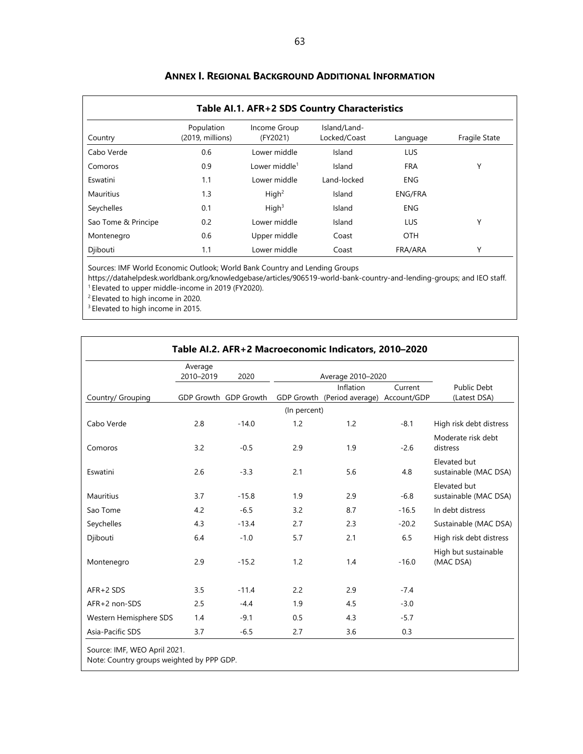| Table AI.1. AFR+2 SDS Country Characteristics |                                |                           |                              |                |               |  |
|-----------------------------------------------|--------------------------------|---------------------------|------------------------------|----------------|---------------|--|
| Country                                       | Population<br>(2019, millions) | Income Group<br>(FY2021)  | Island/Land-<br>Locked/Coast | Language       | Fragile State |  |
| Cabo Verde                                    | 0.6                            | Lower middle              | Island                       | <b>LUS</b>     |               |  |
| Comoros                                       | 0.9                            | Lower middle <sup>1</sup> | Island                       | <b>FRA</b>     | Υ             |  |
| Eswatini                                      | 1.1                            | Lower middle              | Land-locked                  | <b>ENG</b>     |               |  |
| <b>Mauritius</b>                              | 1.3                            | High <sup>2</sup>         | Island                       | <b>ENG/FRA</b> |               |  |
| Seychelles                                    | 0.1                            | High <sup>3</sup>         | Island                       | <b>ENG</b>     |               |  |
| Sao Tome & Principe                           | 0.2                            | Lower middle              | Island                       | <b>LUS</b>     | Υ             |  |
| Montenegro                                    | 0.6                            | Upper middle              | Coast                        | <b>OTH</b>     |               |  |
| Djibouti                                      | 1.1                            | Lower middle              | Coast                        | FRA/ARA        | Υ             |  |

#### **ANNEX I. REGIONAL BACKGROUND ADDITIONAL INFORMATION**

Sources: IMF World Economic Outlook; World Bank Country and Lending Groups

https://datahelpdesk.worldbank.org/knowledgebase/articles/906519-world-bank-country-and-lending-groups; and IEO staff.<br><sup>1</sup> Elevated to upper middle-income in 2019 (FY2020).

<sup>2</sup> Elevated to high income in 2020.

<sup>3</sup> Elevated to high income in 2015.

|                        | Average<br>2010-2019 | 2020                  | Average 2010-2020 |                                         |         |                                       |  |
|------------------------|----------------------|-----------------------|-------------------|-----------------------------------------|---------|---------------------------------------|--|
|                        |                      |                       |                   | Inflation                               | Current | <b>Public Debt</b>                    |  |
| Country/ Grouping      |                      | GDP Growth GDP Growth |                   | GDP Growth (Period average) Account/GDP |         | (Latest DSA)                          |  |
|                        |                      |                       | (In percent)      |                                         |         |                                       |  |
| Cabo Verde             | 2.8                  | $-14.0$               | 1.2               | 1.2                                     | $-8.1$  | High risk debt distress               |  |
| Comoros                | 3.2                  | $-0.5$                | 2.9               | 1.9                                     | $-2.6$  | Moderate risk debt<br>distress        |  |
| Eswatini               | 2.6                  | $-3.3$                | 2.1               | 5.6                                     | 4.8     | Elevated but<br>sustainable (MAC DSA) |  |
| <b>Mauritius</b>       | 3.7                  | $-15.8$               | 1.9               | 2.9                                     | $-6.8$  | Elevated but<br>sustainable (MAC DSA) |  |
| Sao Tome               | 4.2                  | $-6.5$                | 3.2               | 8.7                                     | $-16.5$ | In debt distress                      |  |
| Seychelles             | 4.3                  | $-13.4$               | 2.7               | 2.3                                     | $-20.2$ | Sustainable (MAC DSA)                 |  |
| Djibouti               | 6.4                  | $-1.0$                | 5.7               | 2.1                                     | 6.5     | High risk debt distress               |  |
| Montenegro             | 2.9                  | $-15.2$               | 1.2               | 1.4                                     | $-16.0$ | High but sustainable<br>(MAC DSA)     |  |
| AFR+2 SDS              | 3.5                  | $-11.4$               | 2.2               | 2.9                                     | $-7.4$  |                                       |  |
| AFR+2 non-SDS          | 2.5                  | $-4.4$                | 1.9               | 4.5                                     | $-3.0$  |                                       |  |
| Western Hemisphere SDS | 1.4                  | $-9.1$                | 0.5               | 4.3                                     | $-5.7$  |                                       |  |
| Asia-Pacific SDS       | 3.7                  | $-6.5$                | 2.7               | 3.6                                     | 0.3     |                                       |  |

Note: Country groups weighted by PPP GDP.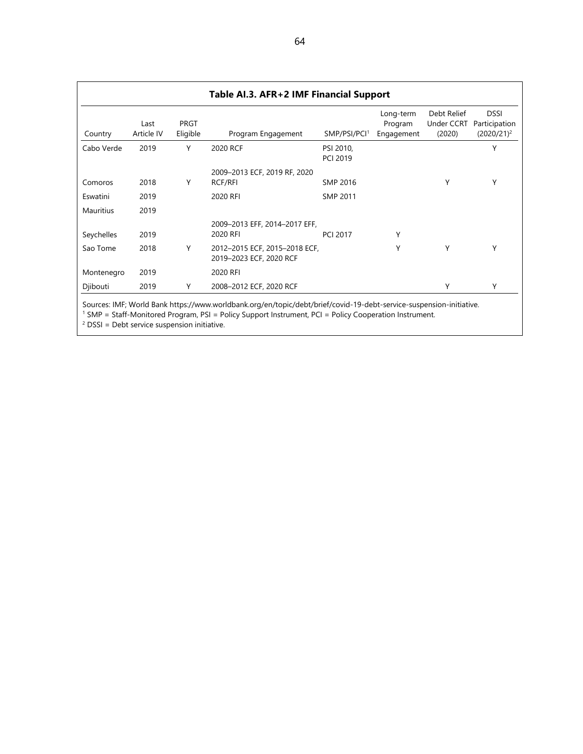| Table AI.3. AFR+2 IMF Financial Support |                    |                  |                                                          |                              |                                    |                                     |                                               |  |
|-----------------------------------------|--------------------|------------------|----------------------------------------------------------|------------------------------|------------------------------------|-------------------------------------|-----------------------------------------------|--|
| Country                                 | Last<br>Article IV | PRGT<br>Eligible | Program Engagement                                       | SMP/PSI/PCI <sup>1</sup>     | Long-term<br>Program<br>Engagement | Debt Relief<br>Under CCRT<br>(2020) | <b>DSSI</b><br>Participation<br>$(2020/21)^2$ |  |
| Cabo Verde                              | 2019               | Υ                | 2020 RCF                                                 | PSI 2010,<br><b>PCI 2019</b> |                                    |                                     | Υ                                             |  |
| Comoros                                 | 2018               | Y                | 2009-2013 ECF, 2019 RF, 2020<br>RCF/RFI                  | <b>SMP 2016</b>              |                                    | Υ                                   | Υ                                             |  |
| Eswatini                                | 2019               |                  | 2020 RFI                                                 | SMP 2011                     |                                    |                                     |                                               |  |
| Mauritius                               | 2019               |                  |                                                          |                              |                                    |                                     |                                               |  |
| Seychelles                              | 2019               |                  | 2009-2013 EFF, 2014-2017 EFF,<br>2020 RFI                | <b>PCI 2017</b>              | Υ                                  |                                     |                                               |  |
| Sao Tome                                | 2018               | Υ                | 2012-2015 ECF, 2015-2018 ECF,<br>2019-2023 ECF, 2020 RCF |                              | Υ                                  | Υ                                   | Υ                                             |  |
| Montenegro                              | 2019               |                  | 2020 RFI                                                 |                              |                                    |                                     |                                               |  |
| Djibouti                                | 2019               | Y                | 2008-2012 ECF, 2020 RCF                                  |                              |                                    | Υ                                   | Υ                                             |  |

Sources: IMF; World Ban[k https://www.worldbank.org/en/topic/debt/brief/covid-19-debt-service-suspension-initiative.](https://www.worldbank.org/en/topic/debt/brief/covid-19-debt-service-suspension-initiative)

<sup>1</sup> SMP = Staff-Monitored Program, PSI = Policy Support Instrument, PCI = Policy Cooperation Instrument.

 $2$  DSSI = Debt service suspension initiative.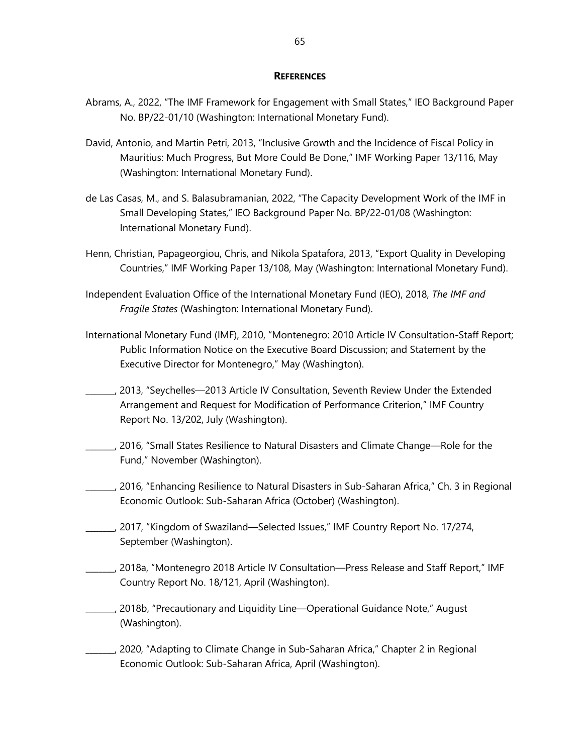#### **REFERENCES**

- Abrams, A., 2022, "The IMF Framework for Engagement with Small States," IEO Background Paper No. BP/22-01/10 (Washington: International Monetary Fund).
- David, Antonio, and Martin Petri, 2013, "Inclusive Growth and the Incidence of Fiscal Policy in Mauritius: Much Progress, But More Could Be Done," IMF Working Paper 13/116, May (Washington: International Monetary Fund).
- de Las Casas, M., and S. Balasubramanian, 2022, "The Capacity Development Work of the IMF in Small Developing States," IEO Background Paper No. BP/22-01/08 (Washington: International Monetary Fund).
- Henn, Christian, Papageorgiou, Chris, and Nikola Spatafora, 2013, ["Export Quality in Developing](https://www.imf.org/external/pubs/ft/wp/2013/wp13108.pdf)  [Countries,](https://www.imf.org/external/pubs/ft/wp/2013/wp13108.pdf)" IMF Working Paper 13/108, May (Washington: International Monetary Fund).
- Independent Evaluation Office of the International Monetary Fund (IEO), 2018, *The IMF and Fragile States* (Washington: International Monetary Fund).
- International Monetary Fund (IMF), 2010, "Montenegro: 2010 Article IV Consultation-Staff Report; Public Information Notice on the Executive Board Discussion; and Statement by the Executive Director for Montenegro," May (Washington).
- \_\_\_\_\_\_\_, 2013, "Seychelles—2013 Article IV Consultation, Seventh Review Under the Extended Arrangement and Request for Modification of Performance Criterion," IMF Country Report No. 13/202, July (Washington).
- \_\_\_\_\_\_\_, 2016, "Small States Resilience to Natural Disasters [and Climate Change—Role for the](http://www.imf.org/external/pp/longres.aspx?id=5079)  [Fund," N](http://www.imf.org/external/pp/longres.aspx?id=5079)ovember (Washington).
- \_\_\_\_\_\_\_, 2016, "Enhancing Resilience to Natural Disasters in Sub-Saharan Africa," Ch. 3 in Regional Economic Outlook: Sub-Saharan Africa (October) (Washington).
- \_\_\_\_\_\_\_, 2017, "Kingdom of Swaziland—Selected Issues," IMF Country Report No. 17/274, September (Washington).
- \_\_\_\_\_\_\_, 2018a, "Montenegro 2018 Article IV Consultation—Press Release and Staff Report," IMF Country Report No. 18/121, April (Washington).
	- \_\_\_\_\_\_\_, 2018b, ["Precautionary and Liquidity Line—Operational Guidance Note,](https://www.google.com/url?sa=t&rct=j&q=&esrc=s&source=web&cd=&ved=2ahUKEwiwhouEnv7wAhXPr54KHY83B2EQFjACegQIAxAD&url=https%3A%2F%2Fwww.imf.org%2F%7E%2Fmedia%2FFiles%2FPublications%2FPP%2F2018%2Fpp080618-precautionary-and-liquidity-line-operational-guidance-note.ashx&usg=AOvVaw3inWdkyFG9dVLCxIyT7c_L)" August (Washington).
- \_\_\_\_\_\_\_, 2020, "Adapting to Climate Change in Sub-Saharan Africa," Chapter 2 in Regional Economic Outlook: Sub-Saharan Africa, April (Washington).